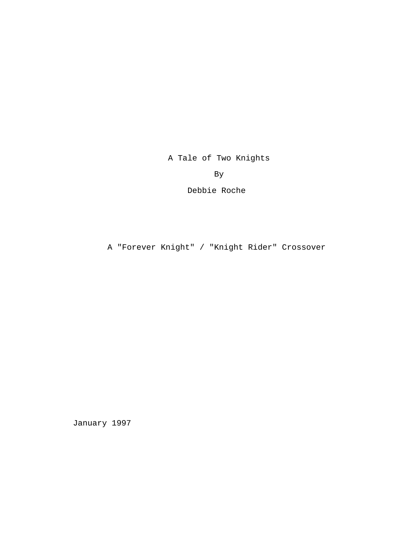A Tale of Two Knights

By

Debbie Roche

A "Forever Knight" / "Knight Rider" Crossover

January 1997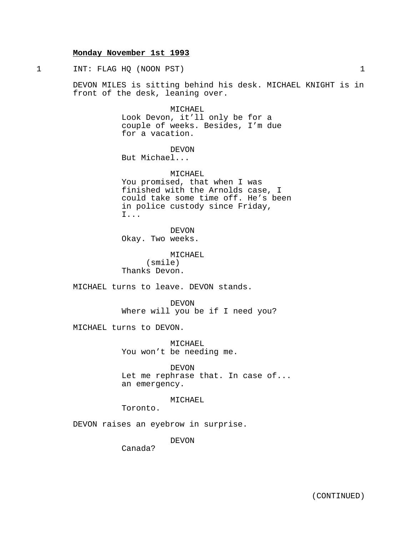# **Monday November 1st 1993**

1 INT: FLAG HQ (NOON PST) 1

DEVON MILES is sitting behind his desk. MICHAEL KNIGHT is in front of the desk, leaning over.

> MICHAEL Look Devon, it'll only be for a couple of weeks. Besides, I'm due for a vacation.

DEVON But Michael...

MICHAEL You promised, that when I was finished with the Arnolds case, I could take some time off. He's been in police custody since Friday, I...

DEVON Okay. Two weeks.

MICHAEL (smile) Thanks Devon.

MICHAEL turns to leave. DEVON stands.

DEVON Where will you be if I need you?

MICHAEL turns to DEVON.

MICHAEL You won't be needing me.

DEVON Let me rephrase that. In case of... an emergency.

MICHAEL

Toronto.

DEVON raises an eyebrow in surprise.

DEVON

Canada?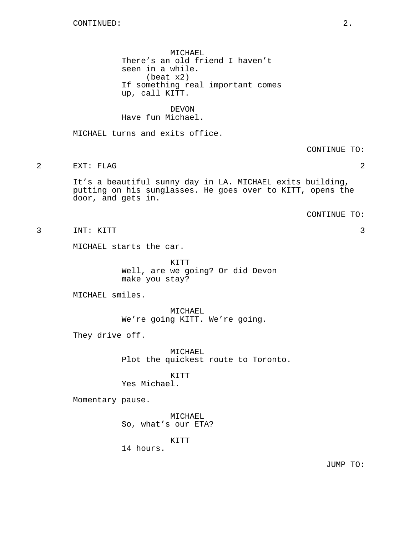MICHAEL There's an old friend I haven't seen in a while. (beat x2) If something real important comes up, call KITT.

**DEVON** Have fun Michael.

MICHAEL turns and exits office.

CONTINUE TO:

2 EXT: FLAG 2

It's a beautiful sunny day in LA. MICHAEL exits building, putting on his sunglasses. He goes over to KITT, opens the door, and gets in.

CONTINUE TO:

3 INT: KITT 3

MICHAEL starts the car.

KITT Well, are we going? Or did Devon make you stay?

MICHAEL smiles.

MICHAEL We're going KITT. We're going.

They drive off.

MICHAEL Plot the quickest route to Toronto.

KITT

Yes Michael.

Momentary pause.

MICHAEL So, what's our ETA?

KITT

14 hours.

JUMP TO: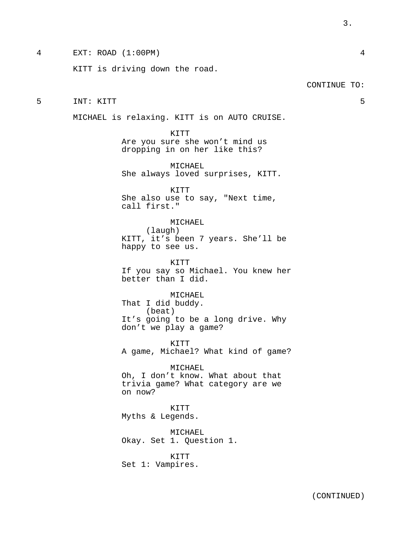4 EXT: ROAD (1:00PM) 4

KITT is driving down the road.

5 INT: KITT 5

MICHAEL is relaxing. KITT is on AUTO CRUISE.

KITT Are you sure she won't mind us dropping in on her like this?

MICHAEL She always loved surprises, KITT.

KITT She also use to say, "Next time, call first."

MICHAEL (laugh) KITT, it's been 7 years. She'll be happy to see us.

KITT If you say so Michael. You knew her better than I did.

MICHAEL That I did buddy. (beat) It's going to be a long drive. Why don't we play a game?

KITT A game, Michael? What kind of game?

MICHAEL Oh, I don't know. What about that trivia game? What category are we on now?

KITT Myths & Legends.

MICHAEL Okay. Set 1. Question 1.

KITT Set 1: Vampires. CONTINUE TO:

(CONTINUED)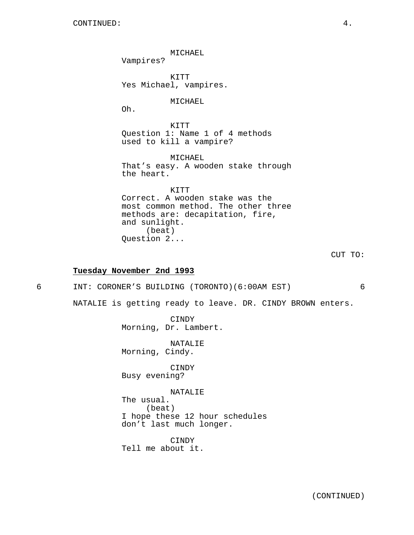MICHAEL Vampires? KITT Yes Michael, vampires. MICHAEL Oh. KITT Question 1: Name 1 of 4 methods used to kill a vampire? MICHAEL That's easy. A wooden stake through the heart. KITT Correct. A wooden stake was the most common method. The other three methods are: decapitation, fire, and sunlight. (beat) Question 2... **Tuesday November 2nd 1993** 6 INT: CORONER'S BUILDING (TORONTO)(6:00AM EST) 6 NATALIE is getting ready to leave. DR. CINDY BROWN enters.

CINDY

Morning, Dr. Lambert.

NATALIE Morning, Cindy.

CINDY Busy evening?

NATALIE The usual. (beat) I hope these 12 hour schedules don't last much longer.

CINDY Tell me about it. CUT TO: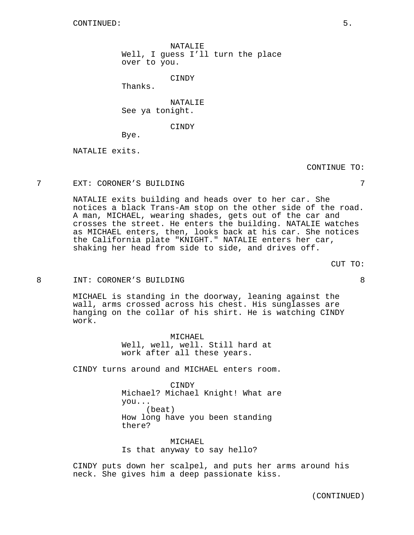NATALIE Well, I guess I'll turn the place over to you.

CINDY

Thanks.

NATALIE See ya tonight.

CINDY

Bye.

NATALIE exits.

CONTINUE TO:

#### 7 EXT: CORONER'S BUILDING 7

NATALIE exits building and heads over to her car. She notices a black Trans-Am stop on the other side of the road. A man, MICHAEL, wearing shades, gets out of the car and crosses the street. He enters the building. NATALIE watches as MICHAEL enters, then, looks back at his car. She notices the California plate "KNIGHT." NATALIE enters her car, shaking her head from side to side, and drives off.

CUT TO:

#### 8 INT: CORONER'S BUILDING 8

MICHAEL is standing in the doorway, leaning against the wall, arms crossed across his chest. His sunglasses are hanging on the collar of his shirt. He is watching CINDY work.

> MICHAEL Well, well, well. Still hard at work after all these years.

CINDY turns around and MICHAEL enters room.

CINDY Michael? Michael Knight! What are you... (beat) How long have you been standing there?

MICHAEL Is that anyway to say hello?

CINDY puts down her scalpel, and puts her arms around his neck. She gives him a deep passionate kiss.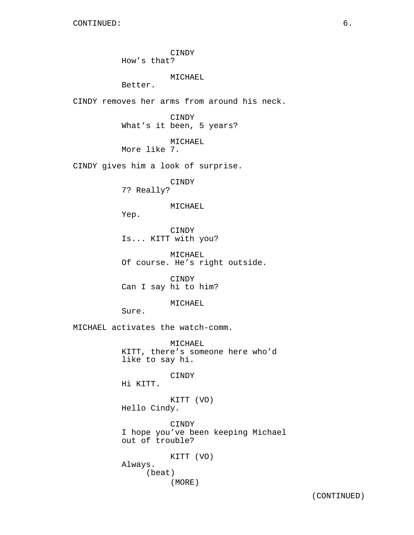CINDY How's that?

MICHAEL

Better.

CINDY removes her arms from around his neck.

CINDY What's it been, 5 years?

MICHAEL

More like 7.

CINDY gives him a look of surprise.

CINDY 7? Really?

MICHAEL

Yep.

CINDY Is... KITT with you?

MICHAEL Of course. He's right outside.

CINDY Can I say hi to him?

MICHAEL

Sure.

MICHAEL activates the watch-comm.

MICHAEL KITT, there's someone here who'd like to say hi.

CINDY

Hi KITT.

KITT (VO) Hello Cindy.

CINDY I hope you've been keeping Michael out of trouble?

KITT (VO) Always. (beat) (MORE)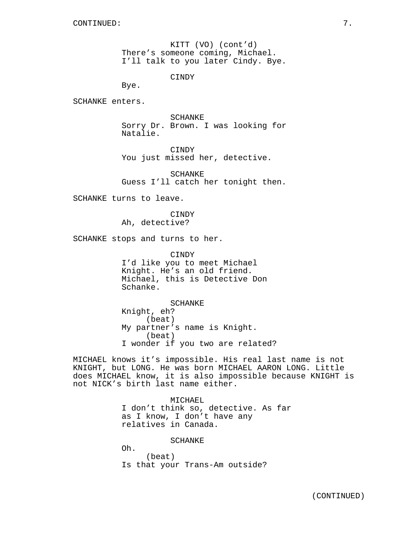KITT (VO) (cont'd) There's someone coming, Michael. I'll talk to you later Cindy. Bye.

CINDY

Bye.

SCHANKE enters.

SCHANKE Sorry Dr. Brown. I was looking for Natalie.

CINDY You just missed her, detective.

SCHANKE Guess I'll catch her tonight then.

SCHANKE turns to leave.

**CINDY** Ah, detective?

SCHANKE stops and turns to her.

CINDY I'd like you to meet Michael Knight. He's an old friend. Michael, this is Detective Don Schanke.

SCHANKE Knight, eh? (beat) My partner's name is Knight. (beat) I wonder if you two are related?

MICHAEL knows it's impossible. His real last name is not KNIGHT, but LONG. He was born MICHAEL AARON LONG. Little does MICHAEL know, it is also impossible because KNIGHT is not NICK's birth last name either.

> MICHAEL I don't think so, detective. As far as I know, I don't have any relatives in Canada.

> > SCHANKE

Oh. (beat) Is that your Trans-Am outside?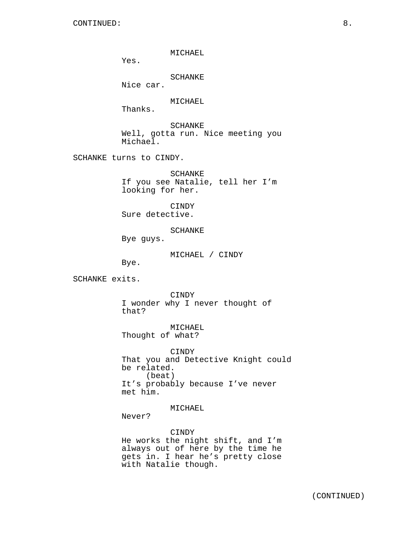MICHAEL

Yes.

SCHANKE

Nice car.

MICHAEL

Thanks.

SCHANKE Well, gotta run. Nice meeting you Michael.

SCHANKE turns to CINDY.

SCHANKE If you see Natalie, tell her I'm looking for her.

CINDY Sure detective.

SCHANKE

Bye guys.

MICHAEL / CINDY

Bye.

SCHANKE exits.

CINDY I wonder why I never thought of that?

MICHAEL Thought of what?

CINDY That you and Detective Knight could be related. (beat) It's probably because I've never met him.

MICHAEL

Never?

## CINDY

He works the night shift, and I'm always out of here by the time he gets in. I hear he's pretty close with Natalie though.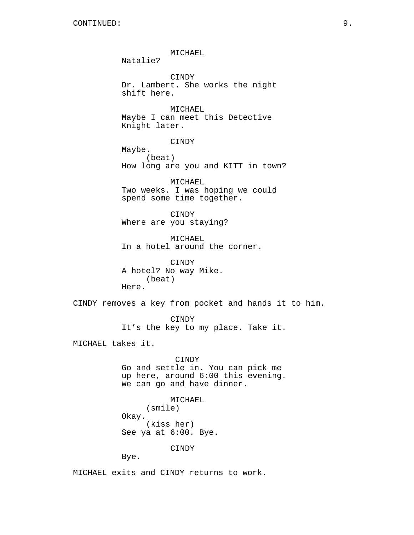MICHAEL Natalie? CINDY Dr. Lambert. She works the night shift here. MICHAEL Maybe I can meet this Detective Knight later. CINDY Maybe. (beat) How long are you and KITT in town? MICHAEL Two weeks. I was hoping we could spend some time together. CINDY Where are you staying? MICHAEL In a hotel around the corner. CINDY A hotel? No way Mike. (beat) Here. CINDY removes a key from pocket and hands it to him. CINDY It's the key to my place. Take it. MICHAEL takes it. CINDY Go and settle in. You can pick me up here, around 6:00 this evening. We can go and have dinner. MICHAEL (smile) Okay. (kiss her) See ya at 6:00. Bye. CINDY Bye.

MICHAEL exits and CINDY returns to work.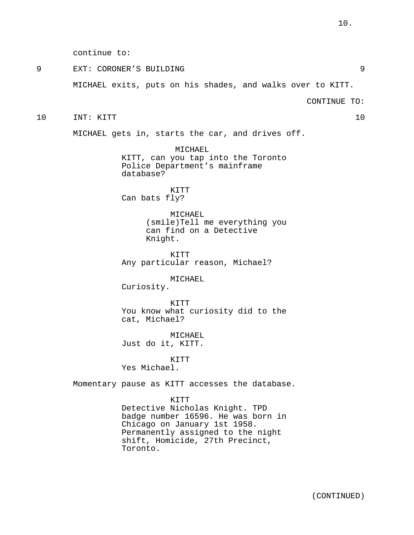continue to:

9 EXT: CORONER'S BUILDING 9

MICHAEL exits, puts on his shades, and walks over to KITT.

CONTINUE TO:

10 INT: KITT 10

MICHAEL gets in, starts the car, and drives off.

MICHAEL KITT, can you tap into the Toronto Police Department's mainframe database?

KITT Can bats fly?

> MICHAEL (smile)Tell me everything you can find on a Detective Knight.

KITT Any particular reason, Michael?

MICHAEL

Curiosity.

KITT You know what curiosity did to the cat, Michael?

MICHAEL Just do it, KITT.

KITT Yes Michael.

Momentary pause as KITT accesses the database.

#### KITT

Detective Nicholas Knight. TPD badge number 16596. He was born in Chicago on January 1st 1958. Permanently assigned to the night shift, Homicide, 27th Precinct, Toronto.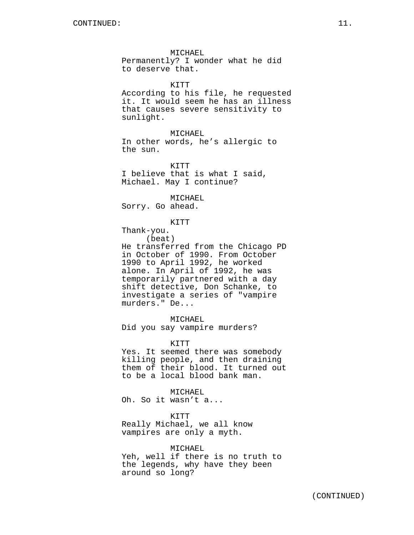MICHAEL Permanently? I wonder what he did to deserve that.

KITT According to his file, he requested it. It would seem he has an illness that causes severe sensitivity to sunlight.

MICHAEL In other words, he's allergic to the sun.

KITT I believe that is what I said, Michael. May I continue?

MICHAEL Sorry. Go ahead.

KITT

Thank-you.

(beat)

He transferred from the Chicago PD in October of 1990. From October 1990 to April 1992, he worked alone. In April of 1992, he was temporarily partnered with a day shift detective, Don Schanke, to investigate a series of "vampire murders." De...

MICHAEL

Did you say vampire murders?

KITT

Yes. It seemed there was somebody killing people, and then draining them of their blood. It turned out to be a local blood bank man.

MICHAEL

Oh. So it wasn't a...

KITT

Really Michael, we all know vampires are only a myth.

MICHAEL

Yeh, well if there is no truth to the legends, why have they been around so long?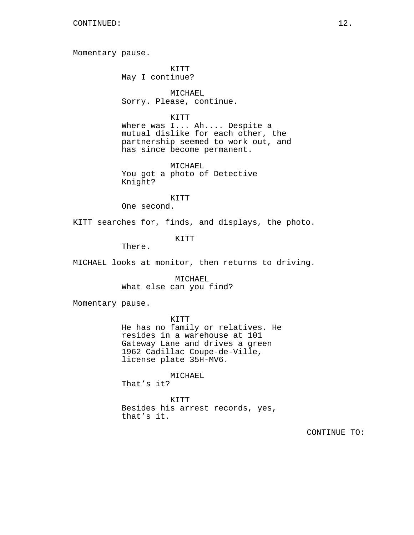Momentary pause.

KITT May I continue?

MICHAEL Sorry. Please, continue.

KITT

Where was I... Ah.... Despite a mutual dislike for each other, the partnership seemed to work out, and has since become permanent.

MICHAEL You got a photo of Detective Knight?

KITT

One second.

KITT searches for, finds, and displays, the photo.

KITT

There.

MICHAEL looks at monitor, then returns to driving.

MICHAEL What else can you find?

Momentary pause.

KITT He has no family or relatives. He resides in a warehouse at 101 Gateway Lane and drives a green 1962 Cadillac Coupe-de-Ville,

license plate 35H-MV6.

MICHAEL

That's it?

KITT Besides his arrest records, yes, that's it.

CONTINUE TO: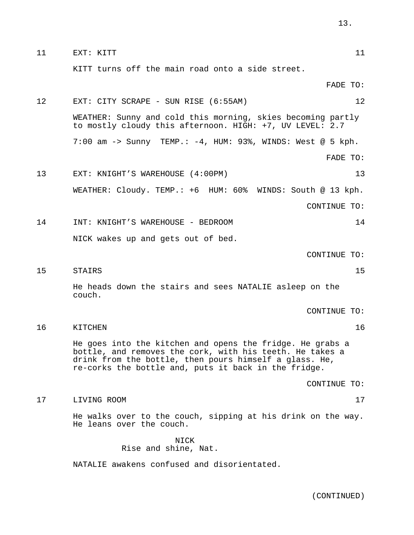| 11 | EXT: KITT                                                                                                                                                                                                                               |              | 11 |
|----|-----------------------------------------------------------------------------------------------------------------------------------------------------------------------------------------------------------------------------------------|--------------|----|
|    | KITT turns off the main road onto a side street.                                                                                                                                                                                        |              |    |
|    |                                                                                                                                                                                                                                         | FADE TO:     |    |
| 12 | EXT: CITY SCRAPE - SUN RISE (6:55AM)                                                                                                                                                                                                    |              | 12 |
|    | WEATHER: Sunny and cold this morning, skies becoming partly<br>to mostly cloudy this afternoon. HIGH: +7, UV LEVEL: 2.7                                                                                                                 |              |    |
|    | 7:00 am -> Sunny TEMP.: $-4$ , HUM: 93%, WINDS: West @ 5 kph.                                                                                                                                                                           |              |    |
|    |                                                                                                                                                                                                                                         | FADE TO:     |    |
| 13 | EXT: KNIGHT'S WAREHOUSE (4:00PM)                                                                                                                                                                                                        |              | 13 |
|    | WEATHER: Cloudy. TEMP.: +6 HUM: 60%<br>WINDS: South @ 13 kph.                                                                                                                                                                           |              |    |
|    |                                                                                                                                                                                                                                         | CONTINUE TO: |    |
| 14 | INT: KNIGHT'S WAREHOUSE - BEDROOM                                                                                                                                                                                                       |              | 14 |
|    | NICK wakes up and gets out of bed.                                                                                                                                                                                                      |              |    |
|    |                                                                                                                                                                                                                                         | CONTINUE TO: |    |
| 15 | STAIRS                                                                                                                                                                                                                                  |              | 15 |
|    | He heads down the stairs and sees NATALIE asleep on the<br>couch.                                                                                                                                                                       |              |    |
|    |                                                                                                                                                                                                                                         | CONTINUE TO: |    |
| 16 | KITCHEN                                                                                                                                                                                                                                 |              | 16 |
|    | He goes into the kitchen and opens the fridge. He grabs a<br>bottle, and removes the cork, with his teeth. He takes a<br>drink from the bottle, then pours himself a glass. He,<br>re-corks the bottle and, puts it back in the fridge. |              |    |
|    |                                                                                                                                                                                                                                         | CONTINUE TO: |    |
| 17 | LIVING ROOM                                                                                                                                                                                                                             |              | 17 |
|    | He walks over to the couch, sipping at his drink on the way.<br>He leans over the couch.                                                                                                                                                |              |    |
|    | NICK                                                                                                                                                                                                                                    |              |    |

Rise and shine, Nat. NATALIE awakens confused and disorientated.

(CONTINUED)

13.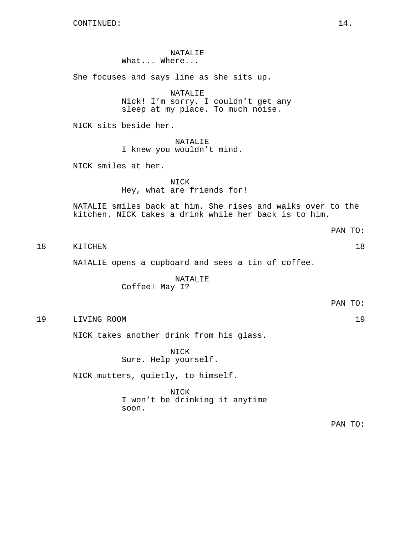NATALIE What... Where...

She focuses and says line as she sits up.

NATALIE Nick! I'm sorry. I couldn't get any sleep at my place. To much noise.

NICK sits beside her.

NATALIE I knew you wouldn't mind.

NICK smiles at her.

NICK Hey, what are friends for!

NATALIE smiles back at him. She rises and walks over to the kitchen. NICK takes a drink while her back is to him.

18 KITCHEN 18

NATALIE opens a cupboard and sees a tin of coffee.

NATALIE Coffee! May I?

PAN TO:

19 LIVING ROOM 19

NICK takes another drink from his glass.

NICK Sure. Help yourself.

NICK mutters, quietly, to himself.

NICK I won't be drinking it anytime soon.

PAN TO:

PAN TO: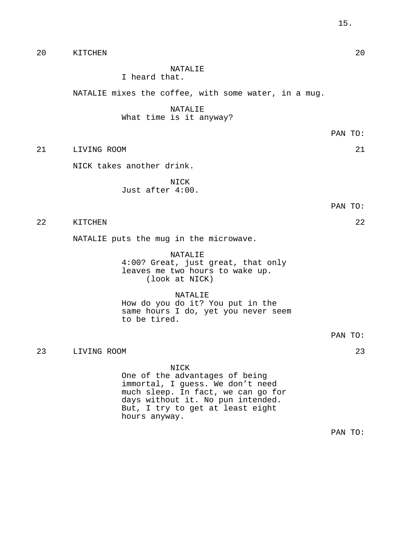| 20 | KITCHEN                                                                                                                                                                                                    |         | 20 |
|----|------------------------------------------------------------------------------------------------------------------------------------------------------------------------------------------------------------|---------|----|
|    | NATALIE<br>I heard that.                                                                                                                                                                                   |         |    |
|    | NATALIE mixes the coffee, with some water, in a mug.                                                                                                                                                       |         |    |
|    | NATALIE<br>What time is it anyway?                                                                                                                                                                         |         |    |
|    |                                                                                                                                                                                                            | PAN TO: |    |
| 21 | LIVING ROOM                                                                                                                                                                                                |         | 21 |
|    | NICK takes another drink.                                                                                                                                                                                  |         |    |
|    | NICK<br>Just after 4:00.                                                                                                                                                                                   |         |    |
|    |                                                                                                                                                                                                            | PAN TO: |    |
| 22 | KITCHEN                                                                                                                                                                                                    |         | 22 |
|    | NATALIE puts the mug in the microwave.                                                                                                                                                                     |         |    |
|    | NATALIE<br>4:00? Great, just great, that only<br>leaves me two hours to wake up.<br>(look at NICK)                                                                                                         |         |    |
|    | NATALIE<br>How do you do it? You put in the<br>same hours I do, yet you never seem<br>to be tired.                                                                                                         |         |    |
|    |                                                                                                                                                                                                            | PAN TO: |    |
| 23 | LIVING ROOM                                                                                                                                                                                                |         | 23 |
|    | NICK<br>One of the advantages of being<br>immortal, I guess. We don't need<br>much sleep. In fact, we can go for<br>days without it. No pun intended.<br>But, I try to get at least eight<br>hours anyway. |         |    |
|    |                                                                                                                                                                                                            | PAN TO: |    |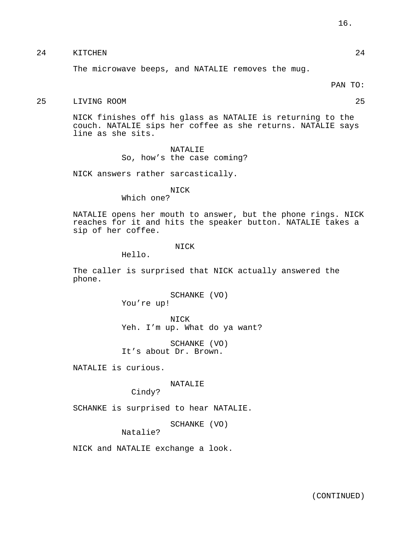# 24 KITCHEN 24

The microwave beeps, and NATALIE removes the mug.

#### PAN TO:

## 25 LIVING ROOM 25

NICK finishes off his glass as NATALIE is returning to the couch. NATALIE sips her coffee as she returns. NATALIE says line as she sits.

# NATALIE So, how's the case coming?

NICK answers rather sarcastically.

## NICK

Which one?

NATALIE opens her mouth to answer, but the phone rings. NICK reaches for it and hits the speaker button. NATALIE takes a sip of her coffee.

# NICK

Hello.

The caller is surprised that NICK actually answered the phone.

> SCHANKE (VO) You're up!

NICK Yeh. I'm up. What do ya want?

SCHANKE (VO) It's about Dr. Brown.

NATALIE is curious.

## NATALIE

Cindy?

SCHANKE is surprised to hear NATALIE.

SCHANKE (VO)

Natalie?

NICK and NATALIE exchange a look.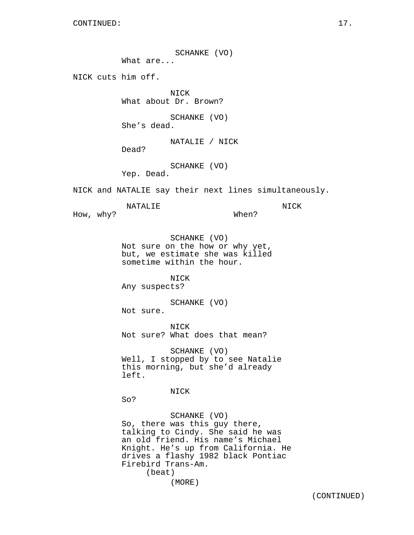SCHANKE (VO)

What are...

NICK cuts him off.

NICK What about Dr. Brown?

SCHANKE (VO) She's dead.

NATALIE / NICK

Dead?

SCHANKE (VO)

Yep. Dead.

NATALIE

NICK and NATALIE say their next lines simultaneously.

How, why?

When?

NICK

SCHANKE (VO) Not sure on the how or why yet, but, we estimate she was killed sometime within the hour.

NICK Any suspects?

SCHANKE (VO)

Not sure.

NICK Not sure? What does that mean?

SCHANKE (VO) Well, I stopped by to see Natalie this morning, but she'd already left.

NICK

So?

SCHANKE (VO) So, there was this guy there, talking to Cindy. She said he was an old friend. His name's Michael Knight. He's up from California. He drives a flashy 1982 black Pontiac Firebird Trans-Am. (beat) (MORE)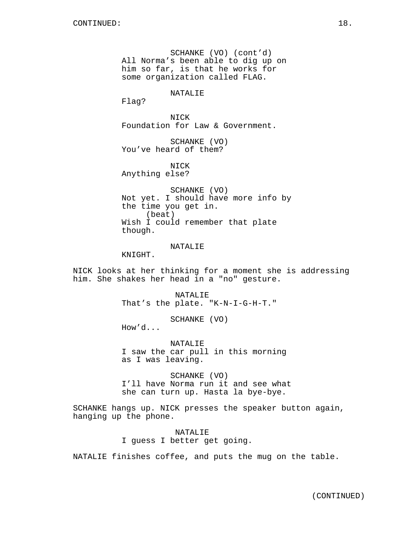SCHANKE (VO) (cont'd) All Norma's been able to dig up on him so far, is that he works for some organization called FLAG.

# NATALIE

Flag?

NICK Foundation for Law & Government.

SCHANKE (VO) You've heard of them?

NICK Anything else?

SCHANKE (VO) Not yet. I should have more info by the time you get in. (beat) Wish I could remember that plate though.

## NATALIE

KNIGHT.

NICK looks at her thinking for a moment she is addressing him. She shakes her head in a "no" gesture.

> NATALIE That's the plate. "K-N-I-G-H-T."

> > SCHANKE (VO)

How'd...

NATALIE I saw the car pull in this morning as I was leaving.

SCHANKE (VO) I'll have Norma run it and see what she can turn up. Hasta la bye-bye.

SCHANKE hangs up. NICK presses the speaker button again, hanging up the phone.

> NATALIE I guess I better get going.

NATALIE finishes coffee, and puts the mug on the table.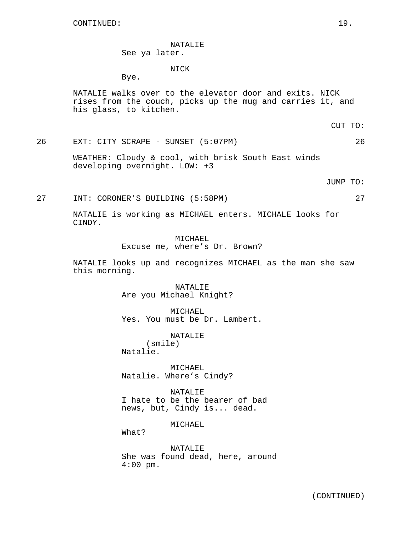NATALIE See ya later.

#### NICK

Bye.

NATALIE walks over to the elevator door and exits. NICK rises from the couch, picks up the mug and carries it, and his glass, to kitchen.

CUT TO:

26 EXT: CITY SCRAPE - SUNSET (5:07PM) 26

WEATHER: Cloudy & cool, with brisk South East winds developing overnight. LOW: +3

JUMP TO:

27 INT: CORONER'S BUILDING (5:58PM) 27

NATALIE is working as MICHAEL enters. MICHALE looks for CINDY.

> MICHAEL Excuse me, where's Dr. Brown?

NATALIE looks up and recognizes MICHAEL as the man she saw this morning.

> NATALIE Are you Michael Knight?

MICHAEL Yes. You must be Dr. Lambert.

NATALIE (smile) Natalie.

MICHAEL Natalie. Where's Cindy?

NATALIE I hate to be the bearer of bad news, but, Cindy is... dead.

MICHAEL

What?

NATALIE She was found dead, here, around 4:00 pm.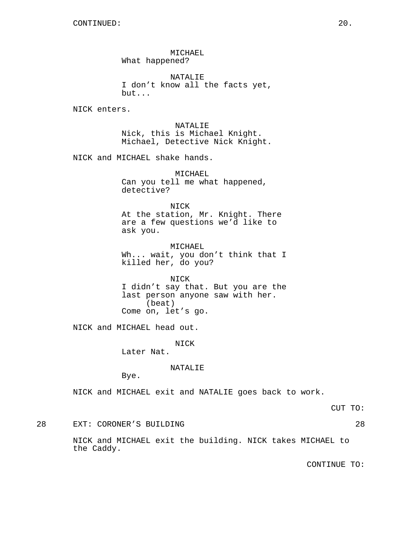MICHAEL What happened?

NATALIE I don't know all the facts yet, but...

NICK enters.

NATALIE Nick, this is Michael Knight. Michael, Detective Nick Knight.

NICK and MICHAEL shake hands.

MICHAEL Can you tell me what happened, detective?

NICK At the station, Mr. Knight. There are a few questions we'd like to ask you.

MICHAEL Wh... wait, you don't think that I killed her, do you?

NICK I didn't say that. But you are the last person anyone saw with her. (beat) Come on, let's go.

NICK and MICHAEL head out.

NICK

Later Nat.

NATALIE

Bye.

NICK and MICHAEL exit and NATALIE goes back to work.

CUT TO:

28 EXT: CORONER'S BUILDING 28

NICK and MICHAEL exit the building. NICK takes MICHAEL to the Caddy.

CONTINUE TO: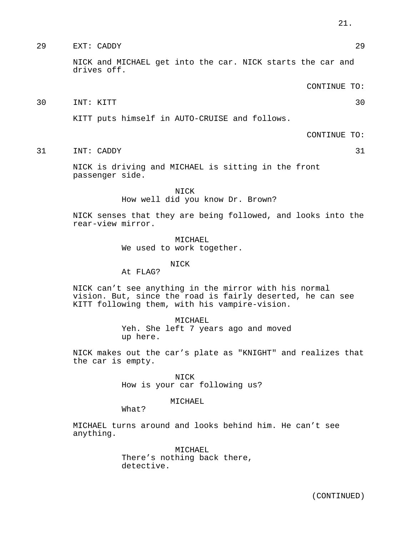# 29 EXT: CADDY 29

NICK and MICHAEL get into the car. NICK starts the car and drives off.

CONTINUE TO:

30 INT: KITT 30

KITT puts himself in AUTO-CRUISE and follows.

CONTINUE TO:

31 INT: CADDY 31

NICK is driving and MICHAEL is sitting in the front passenger side.

> NICK How well did you know Dr. Brown?

NICK senses that they are being followed, and looks into the rear-view mirror.

> MICHAEL We used to work together.

> > NICK

At FLAG?

NICK can't see anything in the mirror with his normal vision. But, since the road is fairly deserted, he can see KITT following them, with his vampire-vision.

> MICHAEL Yeh. She left 7 years ago and moved up here.

NICK makes out the car's plate as "KNIGHT" and realizes that the car is empty.

> NICK How is your car following us?

> > MICHAEL

What?

MICHAEL turns around and looks behind him. He can't see anything.

> MICHAEL There's nothing back there, detective.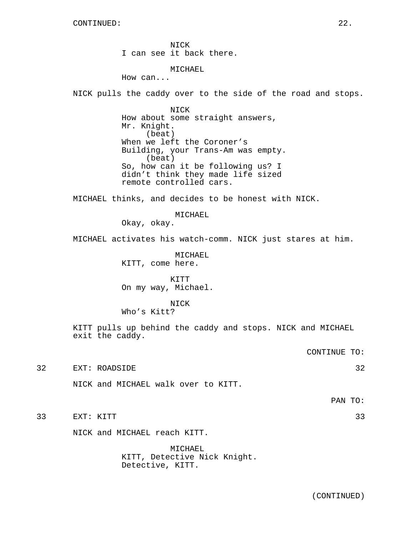NICK I can see it back there.

MICHAEL

How can...

NICK pulls the caddy over to the side of the road and stops.

NICK How about some straight answers, Mr. Knight. (beat) When we left the Coroner's Building, your Trans-Am was empty. (beat) So, how can it be following us? I didn't think they made life sized remote controlled cars.

MICHAEL thinks, and decides to be honest with NICK.

MICHAEL

Okay, okay.

MICHAEL activates his watch-comm. NICK just stares at him.

MICHAEL KITT, come here.

KITT On my way, Michael.

NICK Who's Kitt?

KITT pulls up behind the caddy and stops. NICK and MICHAEL exit the caddy.

CONTINUE TO:

32 EXT: ROADSIDE 32

NICK and MICHAEL walk over to KITT.

PAN TO:

33 EXT: KITT 33

NICK and MICHAEL reach KITT.

MICHAEL KITT, Detective Nick Knight. Detective, KITT.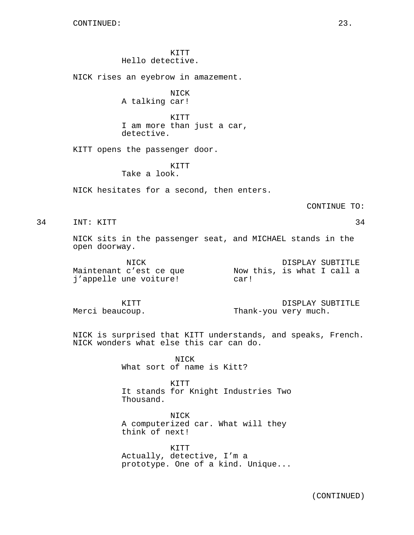KITT Hello detective.

NICK rises an eyebrow in amazement.

NICK A talking car!

KITT I am more than just a car, detective.

KITT opens the passenger door.

KITT Take a look.

NICK hesitates for a second, then enters.

CONTINUE TO:

34 INT: KITT 34

NICK sits in the passenger seat, and MICHAEL stands in the open doorway.

| NICK                    |                            | DISPLAY SUBTITLE |
|-------------------------|----------------------------|------------------|
| Maintenant c'est ce que | Now this, is what I call a |                  |
| j'appelle une voiture!  | car!                       |                  |

KITT Merci beaucoup. DISPLAY SUBTITLE Thank-you very much.

NICK is surprised that KITT understands, and speaks, French. NICK wonders what else this car can do.

> NICK What sort of name is Kitt?

KITT It stands for Knight Industries Two Thousand.

NICK A computerized car. What will they think of next!

KITT Actually, detective, I'm a prototype. One of a kind. Unique...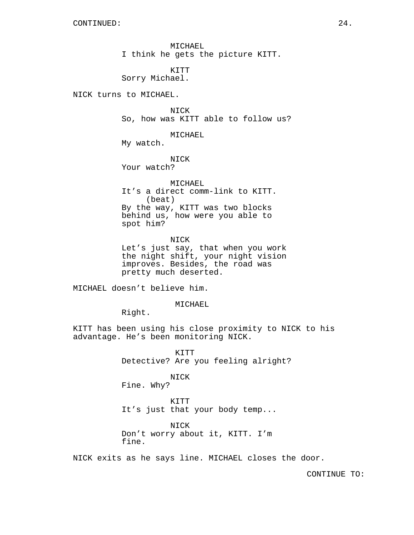MICHAEL I think he gets the picture KITT.

KITT Sorry Michael.

NICK turns to MICHAEL.

NICK So, how was KITT able to follow us?

MICHAEL

My watch.

NICK Your watch?

MICHAEL It's a direct comm-link to KITT. (beat) By the way, KITT was two blocks behind us, how were you able to spot him?

NICK Let's just say, that when you work the night shift, your night vision improves. Besides, the road was pretty much deserted.

MICHAEL doesn't believe him.

MICHAEL

Right.

KITT has been using his close proximity to NICK to his advantage. He's been monitoring NICK.

> KITT Detective? Are you feeling alright?

NICK Fine. Why?

KITT It's just that your body temp...

NICK Don't worry about it, KITT. I'm fine.

NICK exits as he says line. MICHAEL closes the door.

CONTINUE TO: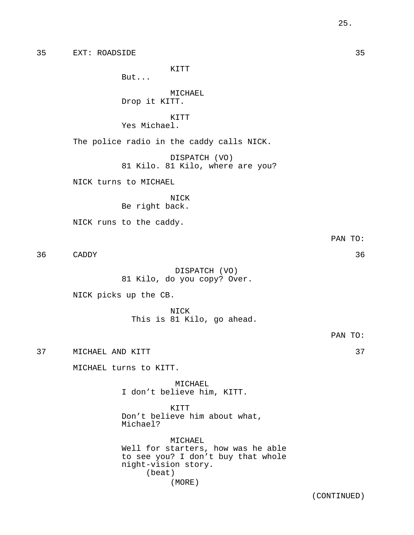KITT

But...

MICHAEL Drop it KITT.

KITT Yes Michael.

The police radio in the caddy calls NICK.

DISPATCH (VO) 81 Kilo. 81 Kilo, where are you?

NICK turns to MICHAEL

NICK Be right back.

NICK runs to the caddy.

36 CADDY 36

DISPATCH (VO) 81 Kilo, do you copy? Over.

NICK picks up the CB.

NICK This is 81 Kilo, go ahead.

PAN TO:

PAN TO:

37 MICHAEL AND KITT 37

MICHAEL turns to KITT.

MICHAEL I don't believe him, KITT.

KITT Don't believe him about what, Michael?

MICHAEL Well for starters, how was he able to see you? I don't buy that whole night-vision story. (beat) (MORE)

25.

(CONTINUED)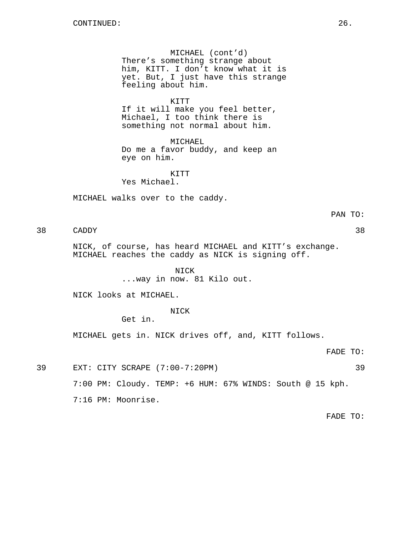MICHAEL (cont'd) There's something strange about him, KITT. I don't know what it is yet. But, I just have this strange feeling about him.

KITT

If it will make you feel better, Michael, I too think there is something not normal about him.

MICHAEL Do me a favor buddy, and keep an eye on him.

KITT

Yes Michael.

MICHAEL walks over to the caddy.

PAN TO:

38 CADDY 38

NICK, of course, has heard MICHAEL and KITT's exchange. MICHAEL reaches the caddy as NICK is signing off.

> NICK ...way in now. 81 Kilo out.

NICK looks at MICHAEL.

NICK

Get in.

MICHAEL gets in. NICK drives off, and, KITT follows.

FADE TO:

39 EXT: CITY SCRAPE (7:00-7:20PM) 39

7:00 PM: Cloudy. TEMP: +6 HUM: 67% WINDS: South @ 15 kph.

7:16 PM: Moonrise.

FADE TO: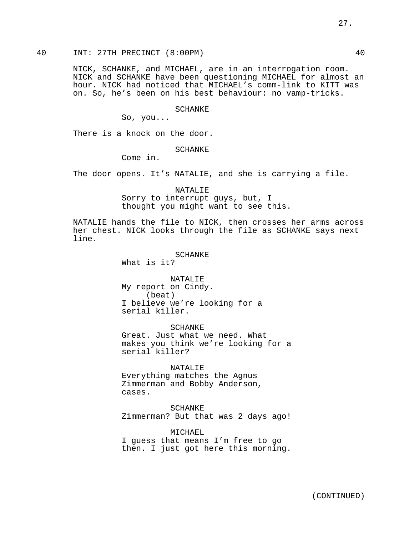NICK, SCHANKE, and MICHAEL, are in an interrogation room. NICK and SCHANKE have been questioning MICHAEL for almost an hour. NICK had noticed that MICHAEL's comm-link to KITT was on. So, he's been on his best behaviour: no vamp-tricks.

SCHANKE

So, you...

There is a knock on the door.

SCHANKE

Come in.

The door opens. It's NATALIE, and she is carrying a file.

NATALIE Sorry to interrupt guys, but, I thought you might want to see this.

NATALIE hands the file to NICK, then crosses her arms across her chest. NICK looks through the file as SCHANKE says next line.

#### SCHANKE

What is it?

NATALIE My report on Cindy. (beat) I believe we're looking for a serial killer.

SCHANKE Great. Just what we need. What makes you think we're looking for a serial killer?

NATALIE

Everything matches the Agnus Zimmerman and Bobby Anderson, cases.

SCHANKE Zimmerman? But that was 2 days ago!

MICHAEL I guess that means I'm free to go then. I just got here this morning.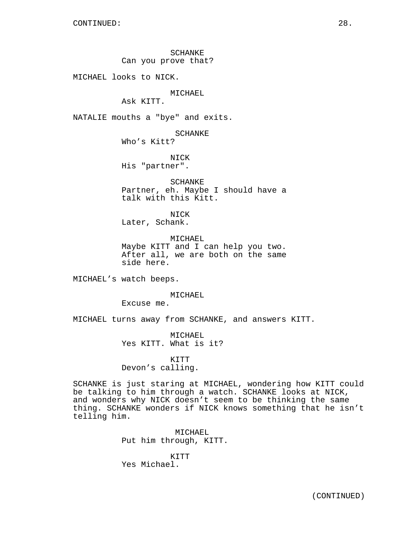SCHANKE Can you prove that?

MICHAEL looks to NICK.

MICHAEL

Ask KITT.

NATALIE mouths a "bye" and exits.

SCHANKE

Who's Kitt?

NICK His "partner".

SCHANKE Partner, eh. Maybe I should have a talk with this Kitt.

NICK Later, Schank.

MICHAEL Maybe KITT and I can help you two. After all, we are both on the same side here.

MICHAEL's watch beeps.

MICHAEL

Excuse me.

MICHAEL turns away from SCHANKE, and answers KITT.

MICHAEL Yes KITT. What is it?

# KITT Devon's calling.

SCHANKE is just staring at MICHAEL, wondering how KITT could be talking to him through a watch. SCHANKE looks at NICK, and wonders why NICK doesn't seem to be thinking the same thing. SCHANKE wonders if NICK knows something that he isn't telling him.

> MICHAEL Put him through, KITT.

KITT Yes Michael.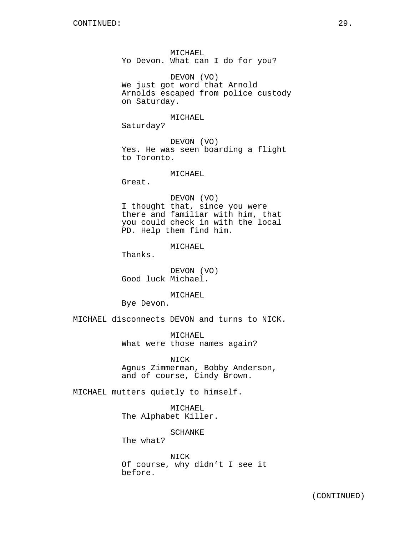MICHAEL Yo Devon. What can I do for you?

DEVON (VO) We just got word that Arnold Arnolds escaped from police custody on Saturday.

MICHAEL

Saturday?

DEVON (VO) Yes. He was seen boarding a flight to Toronto.

MICHAEL

Great.

DEVON (VO) I thought that, since you were there and familiar with him, that you could check in with the local PD. Help them find him.

MICHAEL

Thanks.

DEVON (VO) Good luck Michael.

MICHAEL

Bye Devon.

MICHAEL disconnects DEVON and turns to NICK.

MICHAEL What were those names again?

NICK Agnus Zimmerman, Bobby Anderson, and of course, Cindy Brown.

MICHAEL mutters quietly to himself.

MICHAEL The Alphabet Killer.

SCHANKE

The what?

NICK Of course, why didn't I see it before.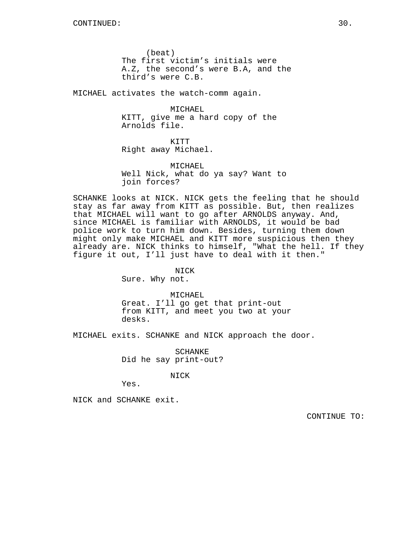(beat) The first victim's initials were A.Z, the second's were B.A, and the third's were C.B.

MICHAEL activates the watch-comm again.

MICHAEL KITT, give me a hard copy of the Arnolds file.

KITT Right away Michael.

MICHAEL Well Nick, what do ya say? Want to join forces?

SCHANKE looks at NICK. NICK gets the feeling that he should stay as far away from KITT as possible. But, then realizes that MICHAEL will want to go after ARNOLDS anyway. And, since MICHAEL is familiar with ARNOLDS, it would be bad police work to turn him down. Besides, turning them down might only make MICHAEL and KITT more suspicious then they already are. NICK thinks to himself, "What the hell. If they figure it out, I'll just have to deal with it then."

> NICK Sure. Why not.

MICHAEL Great. I'll go get that print-out from KITT, and meet you two at your desks.

MICHAEL exits. SCHANKE and NICK approach the door.

SCHANKE Did he say print-out?

NICK

Yes.

NICK and SCHANKE exit.

CONTINUE TO: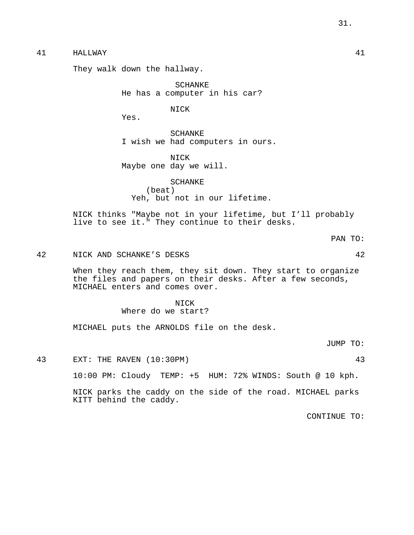# 41 HALLWAY 41

They walk down the hallway.

SCHANKE He has a computer in his car?

NICK

Yes.

SCHANKE I wish we had computers in ours.

NICK Maybe one day we will.

SCHANKE (beat) Yeh, but not in our lifetime.

NICK thinks "Maybe not in your lifetime, but I'll probably live to see it." They continue to their desks.

PAN TO:

42 NICK AND SCHANKE'S DESKS 42

When they reach them, they sit down. They start to organize the files and papers on their desks. After a few seconds, MICHAEL enters and comes over.

> NICK Where do we start?

MICHAEL puts the ARNOLDS file on the desk.

JUMP TO:

43 EXT: THE RAVEN (10:30PM) 43

10:00 PM: Cloudy TEMP: +5 HUM: 72% WINDS: South @ 10 kph.

NICK parks the caddy on the side of the road. MICHAEL parks KITT behind the caddy.

CONTINUE TO: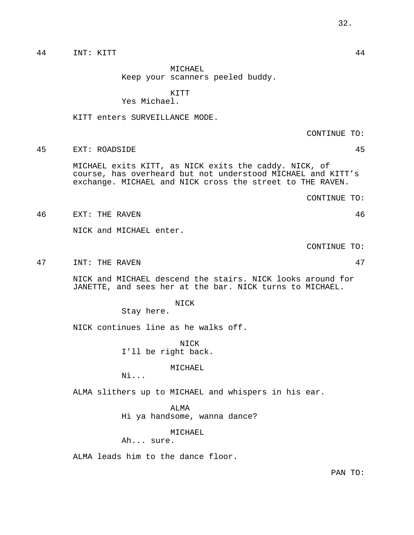44 INT: KITT 44

MICHAEL Keep your scanners peeled buddy.

KITT

Yes Michael.

KITT enters SURVEILLANCE MODE.

CONTINUE TO:

45 EXT: ROADSIDE 45

MICHAEL exits KITT, as NICK exits the caddy. NICK, of course, has overheard but not understood MICHAEL and KITT's exchange. MICHAEL and NICK cross the street to THE RAVEN.

CONTINUE TO:

46 EXT: THE RAVEN 46

NICK and MICHAEL enter.

CONTINUE TO:

47 INT: THE RAVEN 47

NICK and MICHAEL descend the stairs. NICK looks around for JANETTE, and sees her at the bar. NICK turns to MICHAEL.

NICK

Stay here.

NICK continues line as he walks off.

NICK I'll be right back.

MICHAEL

Ni...

ALMA slithers up to MICHAEL and whispers in his ear.

ALMA

Hi ya handsome, wanna dance?

MICHAEL

Ah... sure.

ALMA leads him to the dance floor.

PAN TO: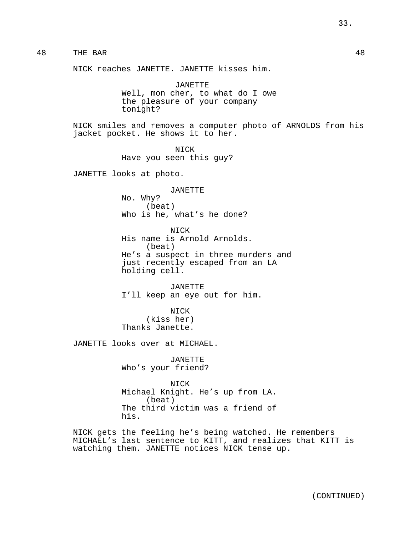# 48 THE BAR 48

NICK reaches JANETTE. JANETTE kisses him.

JANETTE Well, mon cher, to what do I owe the pleasure of your company tonight?

NICK smiles and removes a computer photo of ARNOLDS from his jacket pocket. He shows it to her.

> NICK Have you seen this guy?

JANETTE looks at photo.

JANETTE No. Why? (beat) Who is he, what's he done?

NICK His name is Arnold Arnolds. (beat) He's a suspect in three murders and just recently escaped from an LA holding cell.

JANETTE I'll keep an eye out for him.

NICK (kiss her) Thanks Janette.

JANETTE looks over at MICHAEL.

JANETTE Who's your friend?

NICK Michael Knight. He's up from LA. (beat) The third victim was a friend of his.

NICK gets the feeling he's being watched. He remembers MICHAEL's last sentence to KITT, and realizes that KITT is watching them. JANETTE notices NICK tense up.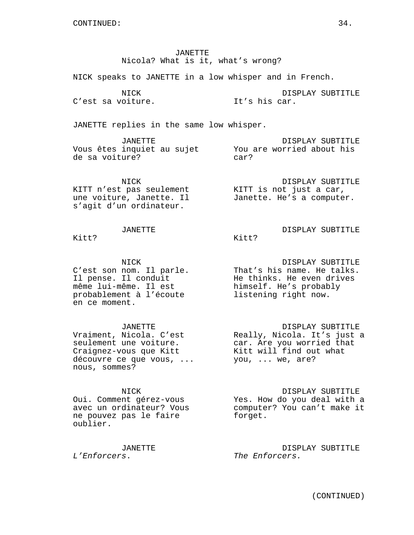JANETTE Nicola? What is it, what's wrong?

NICK speaks to JANETTE in a low whisper and in French.

NICK C'est sa voiture.

DISPLAY SUBTITLE It's his car.

JANETTE replies in the same low whisper.

JANETTE Vous êtes inquiet au sujet de sa voiture? DISPLAY SUBTITLE You are worried about his car?

Kitt?

NICK KITT n'est pas seulement une voiture, Janette. Il s'agit d'un ordinateur.

DISPLAY SUBTITLE KITT is not just a car, Janette. He's a computer.

DISPLAY SUBTITLE

# JANETTE

Kitt?

NICK C'est son nom. Il parle. Il pense. Il conduit même lui-même. Il est probablement à l'écoute en ce moment.

JANETTE Vraiment, Nicola. C'est seulement une voiture. Craignez-vous que Kitt découvre ce que vous, ... nous, sommes?

#### NICK

Oui. Comment gérez-vous avec un ordinateur? Vous ne pouvez pas le faire oublier.

JANETTE L'Enforcers.

DISPLAY SUBTITLE That's his name. He talks. He thinks. He even drives himself. He's probably listening right now.

DISPLAY SUBTITLE Really, Nicola. It's just a car. Are you worried that Kitt will find out what you, ... we, are?

DISPLAY SUBTITLE Yes. How do you deal with a computer? You can't make it forget.

DISPLAY SUBTITLE The Enforcers.

(CONTINUED)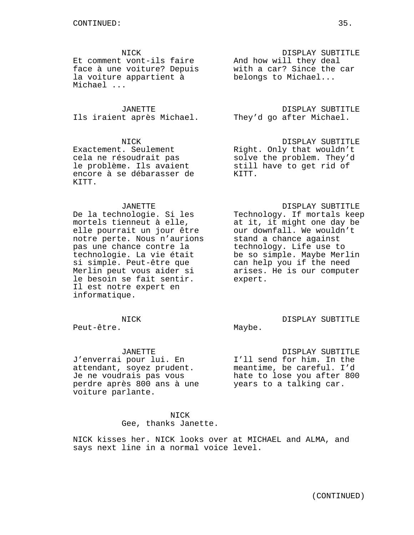NICK

Et comment vont-ils faire And how will they deal face à une voiture? Depuis la voiture appartient à Michael ...

JANETTE Ils iraient après Michael. They'd go after Michael.

NICK Exactement. Seulement cela ne résoudrait pas le problème. Ils avaient encore à se débarasser de KITT.

#### JANETTE

De la technologie. Si les mortels tienneut à elle, elle pourrait un jour être notre perte. Nous n'aurions pas une chance contre la technologie. La vie était si simple. Peut-être que Merlin peut vous aider si le besoin se fait sentir. Il est notre expert en informatique.

#### NICK

Peut-être.

JANETTE

J'enverrai pour lui. En attendant, soyez prudent. Je ne voudrais pas vous perdre après 800 ans à une voiture parlante.

> NICK Gee, thanks Janette.

NICK kisses her. NICK looks over at MICHAEL and ALMA, and says next line in a normal voice level.

DISPLAY SUBTITLE with a car? Since the car belongs to Michael...

DISPLAY SUBTITLE

DISPLAY SUBTITLE Right. Only that wouldn't solve the problem. They'd still have to get rid of KITT.

#### DISPLAY SUBTITLE

Technology. If mortals keep at it, it might one day be our downfall. We wouldn't stand a chance against technology. Life use to be so simple. Maybe Merlin can help you if the need arises. He is our computer expert.

DISPLAY SUBTITLE Maybe.

DISPLAY SUBTITLE I'll send for him. In the meantime, be careful. I'd hate to lose you after 800 years to a talking car.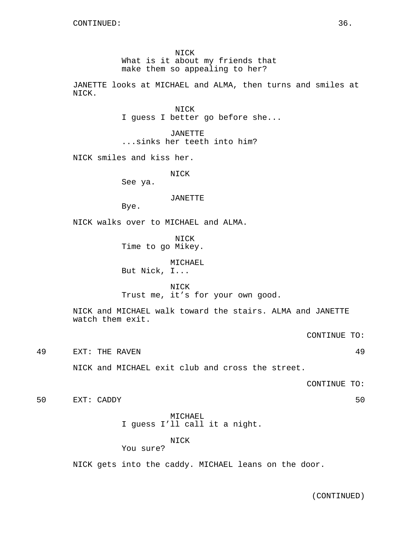NICK What is it about my friends that make them so appealing to her?

JANETTE looks at MICHAEL and ALMA, then turns and smiles at NICK.

> NICK I guess I better go before she...

JANETTE ...sinks her teeth into him?

NICK smiles and kiss her.

NICK

See ya.

JANETTE

Bye.

NICK walks over to MICHAEL and ALMA.

NICK Time to go Mikey.

MICHAEL

But Nick, I...

NICK Trust me, it's for your own good.

NICK and MICHAEL walk toward the stairs. ALMA and JANETTE watch them exit.

CONTINUE TO:

49 EXT: THE RAVEN 49

NICK and MICHAEL exit club and cross the street.

CONTINUE TO:

50 EXT: CADDY 50

MICHAEL I guess I'll call it a night.

NICK

You sure?

NICK gets into the caddy. MICHAEL leans on the door.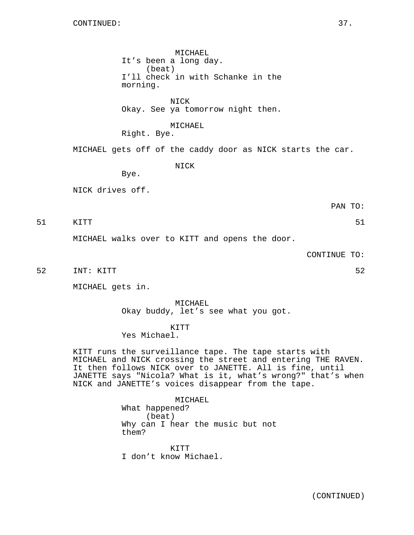MICHAEL It's been a long day. (beat) I'll check in with Schanke in the morning.

NICK Okay. See ya tomorrow night then.

## MICHAEL

Right. Bye.

MICHAEL gets off of the caddy door as NICK starts the car.

NICK

NICK drives off.

Bye.

PAN TO:

51 KITT 51

MICHAEL walks over to KITT and opens the door.

CONTINUE TO:

52 INT: KITT 52 52

MICHAEL gets in.

MICHAEL Okay buddy, let's see what you got.

KITT

Yes Michael.

KITT runs the surveillance tape. The tape starts with MICHAEL and NICK crossing the street and entering THE RAVEN. It then follows NICK over to JANETTE. All is fine, until JANETTE says "Nicola? What is it, what's wrong?" that's when NICK and JANETTE's voices disappear from the tape.

> MICHAEL What happened? (beat) Why can I hear the music but not them?

KITT I don't know Michael.

(CONTINUED)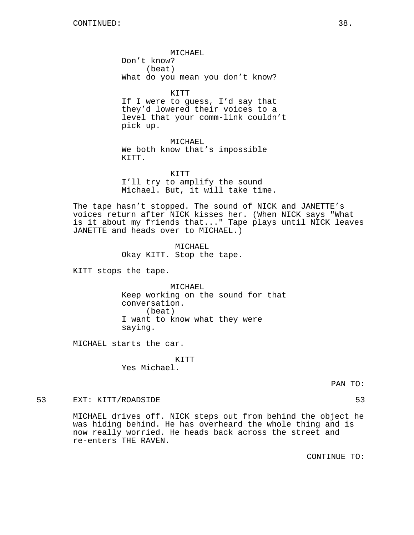MICHAEL Don't know? (beat) What do you mean you don't know?

KITT If I were to guess, I'd say that they'd lowered their voices to a level that your comm-link couldn't pick up.

MICHAEL We both know that's impossible KITT.

KITT I'll try to amplify the sound Michael. But, it will take time.

The tape hasn't stopped. The sound of NICK and JANETTE's voices return after NICK kisses her. (When NICK says "What is it about my friends that..." Tape plays until NICK leaves JANETTE and heads over to MICHAEL.)

> MICHAEL Okay KITT. Stop the tape.

KITT stops the tape.

MICHAEL Keep working on the sound for that conversation. (beat) I want to know what they were saying.

MICHAEL starts the car.

KITT Yes Michael.

PAN TO:

53 EXT: KITT/ROADSIDE 53

MICHAEL drives off. NICK steps out from behind the object he was hiding behind. He has overheard the whole thing and is now really worried. He heads back across the street and re-enters THE RAVEN.

CONTINUE TO: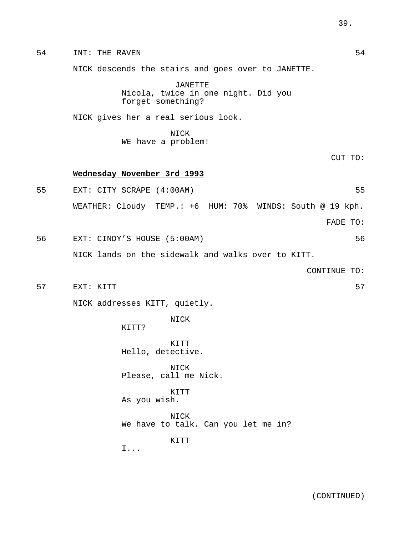54 INT: THE RAVEN NICK descends the stairs and goes over to JANETTE. JANETTE Nicola, twice in one night. Did you forget something? NICK gives her a real serious look. NICK WE have a problem! CUT TO: **Wednesday November 3rd 1993** 55 EXT: CITY SCRAPE (4:00AM) 55 WEATHER: Cloudy TEMP.: +6 HUM: 70% WINDS: South @ 19 kph. FADE TO: 56 EXT: CINDY'S HOUSE (5:00AM) 56 NICK lands on the sidewalk and walks over to KITT. CONTINUE TO: 57 EXT: KITT 57 NICK addresses KITT, quietly. NICK KITT? KITT Hello, detective. NICK Please, call me Nick. KITT As you wish. NICK We have to talk. Can you let me in? KITT I...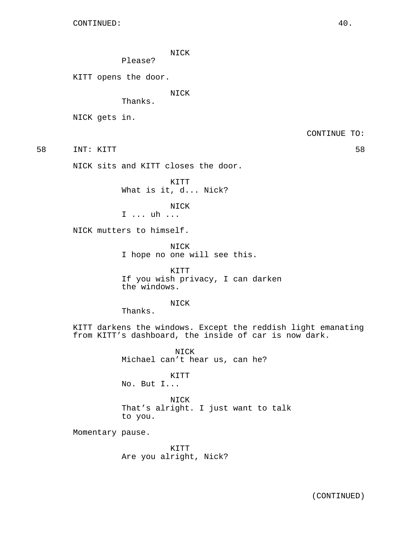NICK

Please?

KITT opens the door.

NICK

Thanks.

NICK gets in.

CONTINUE TO:

58 INT: KITT 58

NICK sits and KITT closes the door.

KITT What is it, d... Nick?

NICK I ... uh ...

NICK mutters to himself.

NICK I hope no one will see this.

KITT If you wish privacy, I can darken the windows.

## NICK

Thanks.

KITT darkens the windows. Except the reddish light emanating from KITT's dashboard, the inside of car is now dark.

> NICK Michael can't hear us, can he?

KITT No. But I...

NICK That's alright. I just want to talk to you.

Momentary pause.

KITT Are you alright, Nick?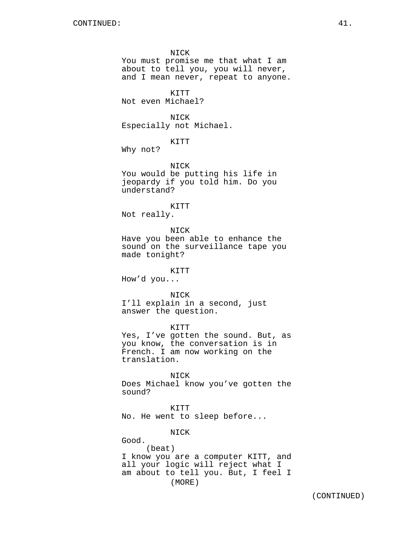NICK You must promise me that what I am about to tell you, you will never, and I mean never, repeat to anyone. KITT Not even Michael? NICK Especially not Michael. KITT Why not? NICK You would be putting his life in jeopardy if you told him. Do you understand? KITT Not really. NICK Have you been able to enhance the sound on the surveillance tape you made tonight? KITT How'd you... NICK I'll explain in a second, just answer the question. KITT Yes, I've gotten the sound. But, as you know, the conversation is in French. I am now working on the translation. NICK Does Michael know you've gotten the sound? KITT No. He went to sleep before... NICK Good. (beat) I know you are a computer KITT, and all your logic will reject what I

am about to tell you. But, I feel I

(MORE)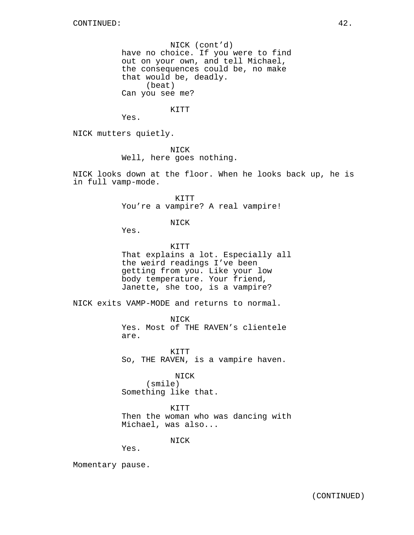NICK (cont'd) have no choice. If you were to find out on your own, and tell Michael, the consequences could be, no make that would be, deadly. (beat) Can you see me?

KITT

Yes.

NICK mutters quietly.

NICK Well, here goes nothing.

NICK looks down at the floor. When he looks back up, he is in full vamp-mode.

> KITT You're a vampire? A real vampire!

> > NICK

Yes.

KITT That explains a lot. Especially all the weird readings I've been getting from you. Like your low body temperature. Your friend, Janette, she too, is a vampire?

NICK exits VAMP-MODE and returns to normal.

NICK Yes. Most of THE RAVEN's clientele are.

KITT So, THE RAVEN, is a vampire haven.

NICK (smile) Something like that.

KITT Then the woman who was dancing with Michael, was also...

NICK

Yes.

Momentary pause.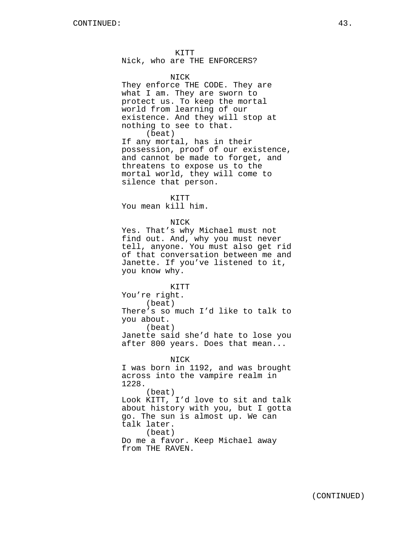KITT Nick, who are THE ENFORCERS?

## NICK

They enforce THE CODE. They are what I am. They are sworn to protect us. To keep the mortal world from learning of our existence. And they will stop at nothing to see to that. (beat)

If any mortal, has in their possession, proof of our existence, and cannot be made to forget, and threatens to expose us to the mortal world, they will come to silence that person.

KITT

You mean kill him.

## NICK

Yes. That's why Michael must not find out. And, why you must never tell, anyone. You must also get rid of that conversation between me and Janette. If you've listened to it, you know why.

KITT You're right. (beat) There's so much I'd like to talk to you about. (beat) Janette said she'd hate to lose you after 800 years. Does that mean...

NICK I was born in 1192, and was brought across into the vampire realm in 1228. (beat) Look KITT, I'd love to sit and talk about history with you, but I gotta go. The sun is almost up. We can talk later. (beat)

Do me a favor. Keep Michael away from THE RAVEN.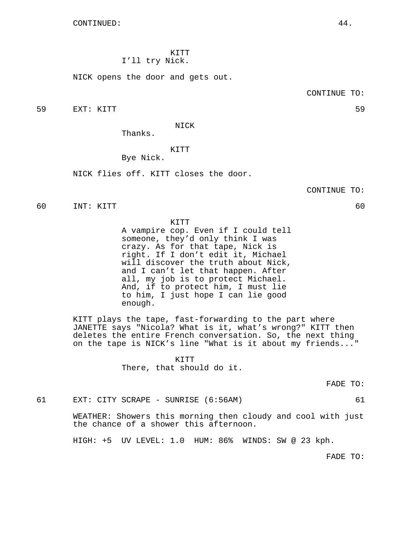KITT I'll try Nick.

NICK opens the door and gets out.

CONTINUE TO:

59 EXT: KITT 59

NICK

Thanks.

KITT

Bye Nick.

NICK flies off. KITT closes the door.

CONTINUE TO:

60 INT: KITT 60

KITT

A vampire cop. Even if I could tell someone, they'd only think I was crazy. As for that tape, Nick is right. If I don't edit it, Michael will discover the truth about Nick, and I can't let that happen. After all, my job is to protect Michael. And, if to protect him, I must lie to him, I just hope I can lie good enough.

KITT plays the tape, fast-forwarding to the part where JANETTE says "Nicola? What is it, what's wrong?" KITT then deletes the entire French conversation. So, the next thing on the tape is NICK's line "What is it about my friends..."

> KITT There, that should do it.

> > FADE TO:

61 EXT: CITY SCRAPE - SUNRISE (6:56AM) 61

WEATHER: Showers this morning then cloudy and cool with just the chance of a shower this afternoon.

HIGH: +5 UV LEVEL: 1.0 HUM: 86% WINDS: SW @ 23 kph.

FADE TO: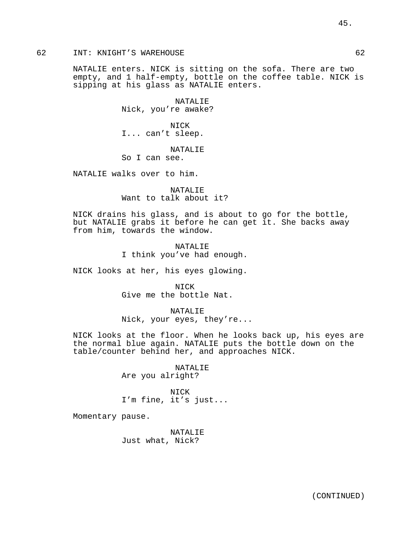# 62 INT: KNIGHT'S WAREHOUSE 62

NATALIE enters. NICK is sitting on the sofa. There are two empty, and 1 half-empty, bottle on the coffee table. NICK is sipping at his glass as NATALIE enters.

> NATALIE Nick, you're awake?

NICK I... can't sleep.

NATALIE

So I can see.

NATALIE walks over to him.

NATALIE Want to talk about it?

NICK drains his glass, and is about to go for the bottle, but NATALIE grabs it before he can get it. She backs away from him, towards the window.

> NATALIE I think you've had enough.

NICK looks at her, his eyes glowing.

NICK Give me the bottle Nat.

NATALIE Nick, your eyes, they're...

NICK looks at the floor. When he looks back up, his eyes are the normal blue again. NATALIE puts the bottle down on the table/counter behind her, and approaches NICK.

> NATALIE Are you alright?

NICK I'm fine, it's just...

Momentary pause.

NATALIE Just what, Nick?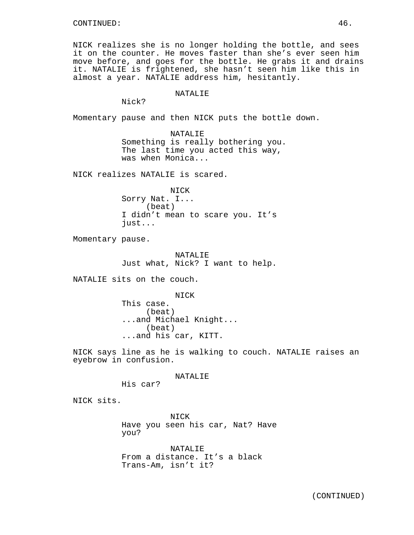NICK realizes she is no longer holding the bottle, and sees it on the counter. He moves faster than she's ever seen him move before, and goes for the bottle. He grabs it and drains it. NATALIE is frightened, she hasn't seen him like this in almost a year. NATALIE address him, hesitantly.

#### NATALIE

Nick?

Momentary pause and then NICK puts the bottle down.

NATALIE Something is really bothering you. The last time you acted this way, was when Monica...

NICK realizes NATALIE is scared.

NICK Sorry Nat. I... (beat) I didn't mean to scare you. It's just...

Momentary pause.

NATALIE Just what, Nick? I want to help.

NATALIE sits on the couch.

NICK This case. (beat) ...and Michael Knight... (beat) ...and his car, KITT.

NICK says line as he is walking to couch. NATALIE raises an eyebrow in confusion.

NATALIE

His car?

NICK sits.

NICK Have you seen his car, Nat? Have you?

NATALIE From a distance. It's a black Trans-Am, isn't it?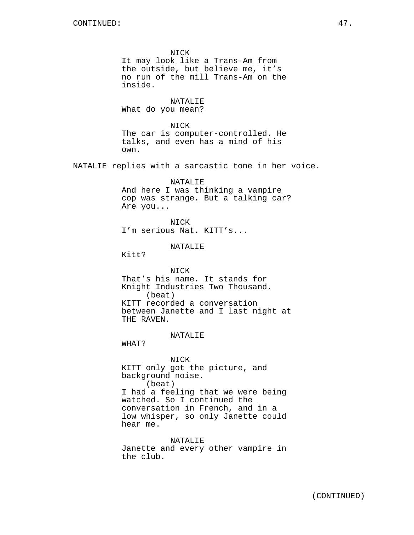NICK It may look like a Trans-Am from the outside, but believe me, it's no run of the mill Trans-Am on the inside. NATALIE What do you mean? NICK The car is computer-controlled. He talks, and even has a mind of his own. NATALIE replies with a sarcastic tone in her voice. NATALIE And here I was thinking a vampire cop was strange. But a talking car? Are you... NICK I'm serious Nat. KITT's... NATALIE Kitt? NICK That's his name. It stands for Knight Industries Two Thousand. (beat) KITT recorded a conversation between Janette and I last night at THE RAVEN. NATALIE WHAT? NICK KITT only got the picture, and background noise. (beat) I had a feeling that we were being watched. So I continued the conversation in French, and in a low whisper, so only Janette could hear me. NATALIE Janette and every other vampire in the club.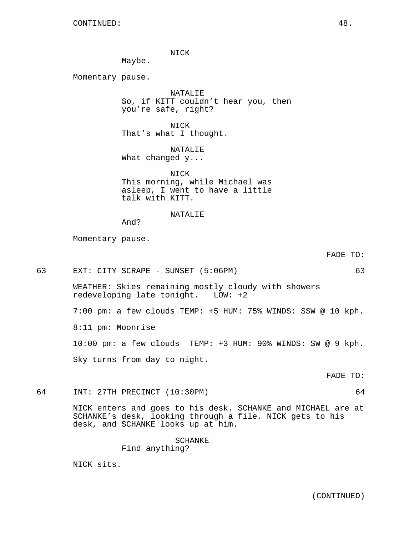NICK

Maybe.

Momentary pause.

NATALIE So, if KITT couldn't hear you, then you're safe, right?

NICK That's what I thought.

NATALIE What changed y...

NICK This morning, while Michael was asleep, I went to have a little talk with KITT.

# **NATALIE**

And?

Momentary pause.

FADE TO:

63 EXT: CITY SCRAPE - SUNSET (5:06PM) 63

WEATHER: Skies remaining mostly cloudy with showers redeveloping late tonight. LOW: +2

7:00 pm: a few clouds TEMP: +5 HUM: 75% WINDS: SSW @ 10 kph.

8:11 pm: Moonrise

10:00 pm: a few clouds TEMP: +3 HUM: 90% WINDS: SW @ 9 kph.

Sky turns from day to night.

FADE TO:

64 INT: 27TH PRECINCT (10:30PM) 64

NICK enters and goes to his desk. SCHANKE and MICHAEL are at SCHANKE's desk, looking through a file. NICK gets to his desk, and SCHANKE looks up at him.

## SCHANKE

Find anything?

NICK sits.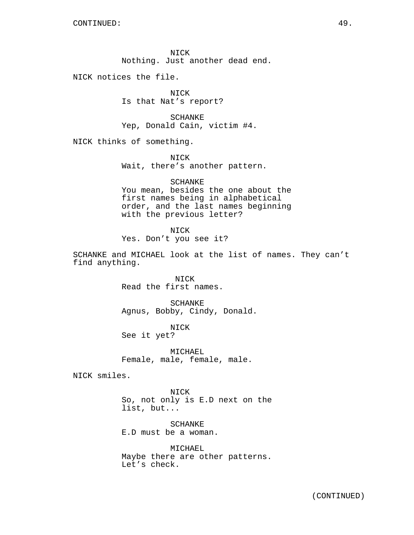NICK Nothing. Just another dead end.

NICK notices the file.

NICK Is that Nat's report?

SCHANKE Yep, Donald Cain, victim #4.

NICK thinks of something.

NICK Wait, there's another pattern.

SCHANKE You mean, besides the one about the first names being in alphabetical order, and the last names beginning with the previous letter?

NICK Yes. Don't you see it?

SCHANKE and MICHAEL look at the list of names. They can't find anything.

> NICK Read the first names.

SCHANKE Agnus, Bobby, Cindy, Donald.

NICK See it yet?

MICHAEL Female, male, female, male.

NICK smiles.

NICK So, not only is E.D next on the list, but...

SCHANKE E.D must be a woman.

MICHAEL Maybe there are other patterns. Let's check.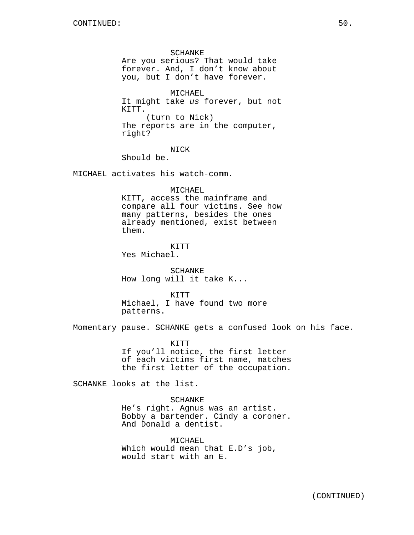SCHANKE Are you serious? That would take forever. And, I don't know about you, but I don't have forever.

MICHAEL It might take us forever, but not KITT. (turn to Nick) The reports are in the computer, right?

NICK

Should be.

MICHAEL activates his watch-comm.

MICHAEL

KITT, access the mainframe and compare all four victims. See how many patterns, besides the ones already mentioned, exist between them.

KITT Yes Michael.

SCHANKE How long will it take K...

KTTT Michael, I have found two more patterns.

Momentary pause. SCHANKE gets a confused look on his face.

KITT If you'll notice, the first letter of each victims first name, matches the first letter of the occupation.

SCHANKE looks at the list.

SCHANKE He's right. Agnus was an artist. Bobby a bartender. Cindy a coroner. And Donald a dentist.

MICHAEL Which would mean that E.D's job, would start with an E.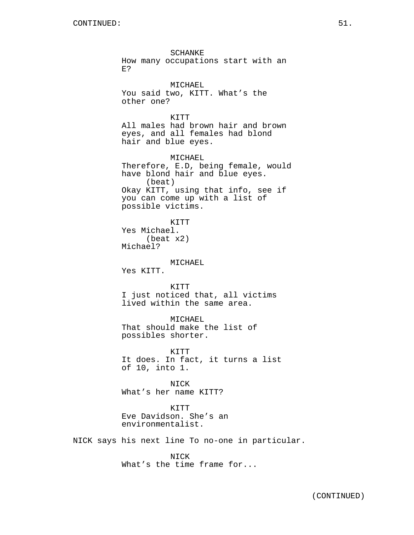SCHANKE How many occupations start with an E? MICHAEL You said two, KITT. What's the other one? KITT All males had brown hair and brown eyes, and all females had blond hair and blue eyes. MICHAEL Therefore, E.D, being female, would have blond hair and blue eyes. (beat) Okay KITT, using that info, see if you can come up with a list of possible victims. KITT Yes Michael. (beat x2) Michael? MICHAEL Yes KITT. KITT I just noticed that, all victims lived within the same area. MICHAEL That should make the list of possibles shorter. KITT It does. In fact, it turns a list of 10, into 1. NICK What's her name KITT? KITT Eve Davidson. She's an environmentalist. NICK says his next line To no-one in particular.

> NICK What's the time frame for...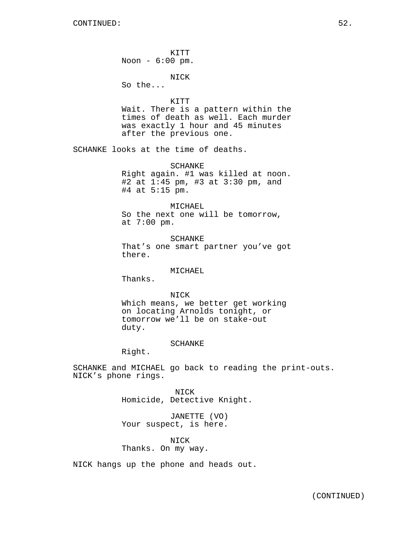KITT Noon - 6:00 pm.

NICK

So the...

#### KITT

Wait. There is a pattern within the times of death as well. Each murder was exactly 1 hour and 45 minutes after the previous one.

SCHANKE looks at the time of deaths.

SCHANKE Right again. #1 was killed at noon. #2 at 1:45 pm, #3 at 3:30 pm, and #4 at 5:15 pm.

#### MICHAEL

So the next one will be tomorrow, at 7:00 pm.

SCHANKE That's one smart partner you've got there.

# MICHAEL

Thanks.

## NICK

Which means, we better get working on locating Arnolds tonight, or tomorrow we'll be on stake-out duty.

## SCHANKE

Right.

SCHANKE and MICHAEL go back to reading the print-outs. NICK's phone rings.

> NICK Homicide, Detective Knight.

JANETTE (VO) Your suspect, is here.

# NICK Thanks. On my way.

NICK hangs up the phone and heads out.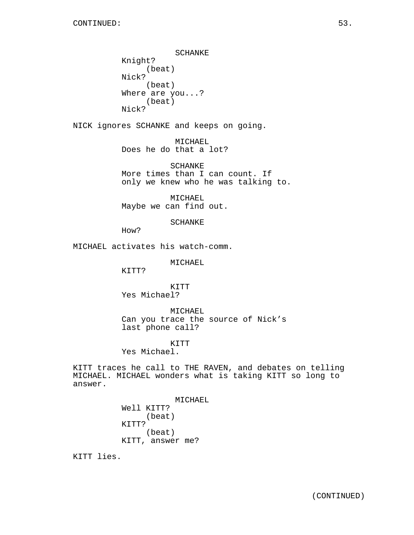SCHANKE Knight? (beat) Nick? (beat) Where are you...? (beat) Nick?

NICK ignores SCHANKE and keeps on going.

MICHAEL Does he do that a lot?

SCHANKE More times than I can count. If only we knew who he was talking to.

MICHAEL Maybe we can find out.

SCHANKE

How?

MICHAEL activates his watch-comm.

MICHAEL

KITT?

KITT Yes Michael?

MICHAEL Can you trace the source of Nick's last phone call?

KITT

Yes Michael.

KITT traces he call to THE RAVEN, and debates on telling MICHAEL. MICHAEL wonders what is taking KITT so long to answer.

> MICHAEL Well KITT? (beat) KITT? (beat) KITT, answer me?

KITT lies.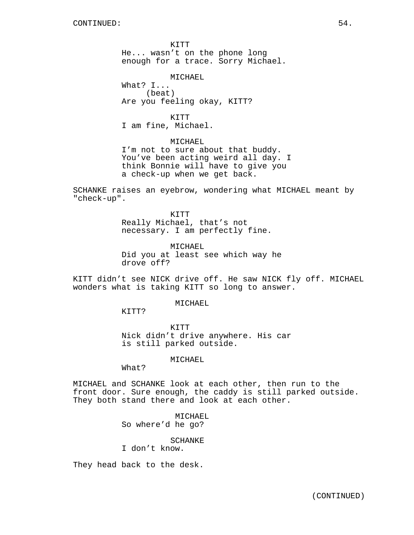KITT He... wasn't on the phone long enough for a trace. Sorry Michael.

MICHAEL What? I... (beat) Are you feeling okay, KITT?

KITT I am fine, Michael.

MICHAEL I'm not to sure about that buddy. You've been acting weird all day. I think Bonnie will have to give you a check-up when we get back.

SCHANKE raises an eyebrow, wondering what MICHAEL meant by "check-up".

> KITT Really Michael, that's not necessary. I am perfectly fine.

MICHAEL Did you at least see which way he drove off?

KITT didn't see NICK drive off. He saw NICK fly off. MICHAEL wonders what is taking KITT so long to answer.

MICHAEL

KITT?

KITT Nick didn't drive anywhere. His car is still parked outside.

MICHAEL

What?

MICHAEL and SCHANKE look at each other, then run to the front door. Sure enough, the caddy is still parked outside. They both stand there and look at each other.

> MICHAEL So where'd he go?

> > SCHANKE

I don't know.

They head back to the desk.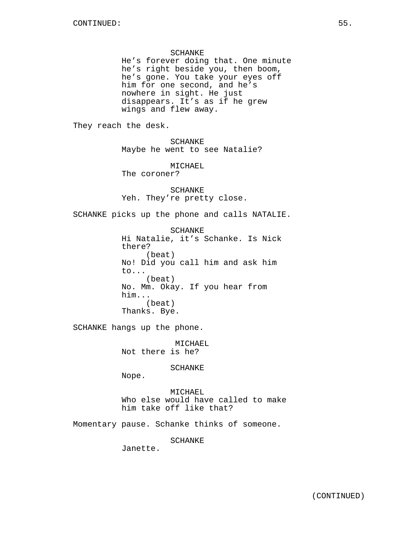SCHANKE

He's forever doing that. One minute he's right beside you, then boom, he's gone. You take your eyes off him for one second, and he's nowhere in sight. He just disappears. It's as if he grew wings and flew away.

They reach the desk.

SCHANKE Maybe he went to see Natalie?

MICHAEL The coroner?

SCHANKE Yeh. They're pretty close.

SCHANKE picks up the phone and calls NATALIE.

**SCHANKE** Hi Natalie, it's Schanke. Is Nick there? (beat) No! Did you call him and ask him to... (beat) No. Mm. Okay. If you hear from him... (beat) Thanks. Bye.

SCHANKE hangs up the phone.

MICHAEL Not there is he?

SCHANKE

Nope.

MICHAEL Who else would have called to make him take off like that?

Momentary pause. Schanke thinks of someone.

SCHANKE

Janette.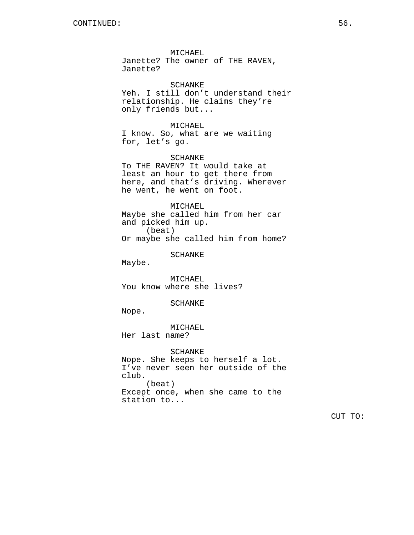MICHAEL Janette? The owner of THE RAVEN, Janette?

SCHANKE Yeh. I still don't understand their relationship. He claims they're only friends but...

MICHAEL

I know. So, what are we waiting for, let's go.

SCHANKE To THE RAVEN? It would take at least an hour to get there from here, and that's driving. Wherever he went, he went on foot.

MICHAEL Maybe she called him from her car and picked him up. (beat) Or maybe she called him from home?

SCHANKE

Maybe.

MICHAEL You know where she lives?

SCHANKE

Nope.

MICHAEL Her last name?

SCHANKE Nope. She keeps to herself a lot. I've never seen her outside of the club. (beat) Except once, when she came to the station to...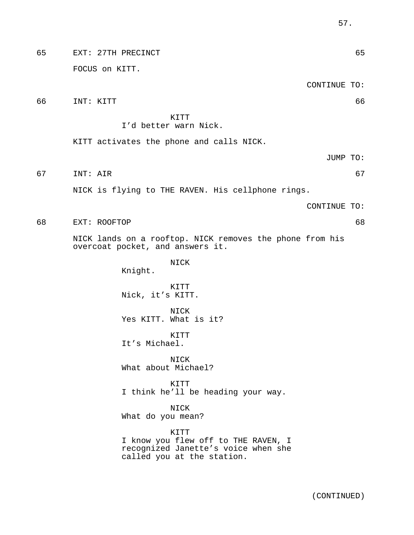| 65 | EXT: 27TH PRECINCT                                                                                               |              | 65 |
|----|------------------------------------------------------------------------------------------------------------------|--------------|----|
|    | FOCUS on KITT.                                                                                                   |              |    |
|    |                                                                                                                  | CONTINUE TO: |    |
| 66 | INT: KITT                                                                                                        |              | 66 |
|    | KITT<br>I'd better warn Nick.                                                                                    |              |    |
|    | KITT activates the phone and calls NICK.                                                                         |              |    |
|    |                                                                                                                  | JUMP TO:     |    |
| 67 | INT: AIR                                                                                                         |              | 67 |
|    | NICK is flying to THE RAVEN. His cellphone rings.                                                                |              |    |
|    |                                                                                                                  | CONTINUE TO: |    |
| 68 | EXT: ROOFTOP                                                                                                     |              | 68 |
|    | NICK lands on a rooftop. NICK removes the phone from his<br>overcoat pocket, and answers it.                     |              |    |
|    | NICK<br>Knight.                                                                                                  |              |    |
|    | KITT<br>Nick, it's KITT.                                                                                         |              |    |
|    | NICK<br>Yes KITT. What is it?                                                                                    |              |    |
|    | KITT<br>It's Michael.                                                                                            |              |    |
|    | NICK<br>What about Michael?                                                                                      |              |    |
|    | KITT<br>I think he'll be heading your way.                                                                       |              |    |
|    | NICK<br>What do you mean?                                                                                        |              |    |
|    | KITT<br>I know you flew off to THE RAVEN, I<br>recognized Janette's voice when she<br>called you at the station. |              |    |
|    |                                                                                                                  |              |    |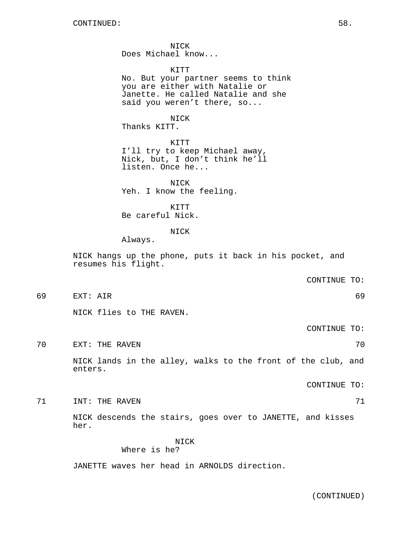NICK Does Michael know...

KITT No. But your partner seems to think

you are either with Natalie or Janette. He called Natalie and she said you weren't there, so...

NICK Thanks KITT.

KITT I'll try to keep Michael away, Nick, but, I don't think he'll listen. Once he...

NICK Yeh. I know the feeling.

KITT Be careful Nick.

## NICK

Always.

NICK hangs up the phone, puts it back in his pocket, and resumes his flight.

CONTINUE TO:

69 EXT: AIR 69

NICK flies to THE RAVEN.

CONTINUE TO:

TO EXT: THE RAVEN 20 AND TO EXTREMELY A SERIES AND TO SAFEKEEPING A SAFEKEEPING A SAFEKEEPING A SAFEKEEPING A SAFEKEEPING A SAFEKEEPING A SAFEKEEPING A SAFEKEEPING A SAFEKEEPING A SAFEKEEPING A SAFEKEEPING A SAFEKEEPING A

NICK lands in the alley, walks to the front of the club, and enters.

CONTINUE TO:

THE RAVEN **71** THE RAVEN

NICK descends the stairs, goes over to JANETTE, and kisses her.

NICK

# Where is he?

JANETTE waves her head in ARNOLDS direction.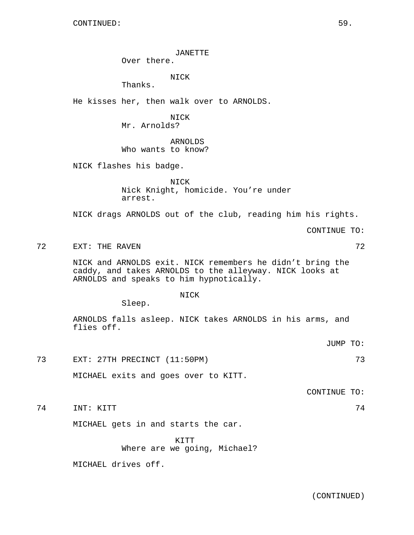# JANETTE

Over there.

NICK

Thanks.

He kisses her, then walk over to ARNOLDS.

NICK Mr. Arnolds?

# ARNOLDS Who wants to know?

NICK flashes his badge.

NICK Nick Knight, homicide. You're under arrest.

NICK drags ARNOLDS out of the club, reading him his rights.

CONTINUE TO:

The Text of the RAVEN and the set of the ST 2 and the ST 2 and the ST 2 and the ST 2

NICK and ARNOLDS exit. NICK remembers he didn't bring the caddy, and takes ARNOLDS to the alleyway. NICK looks at ARNOLDS and speaks to him hypnotically.

# NICK

Sleep.

ARNOLDS falls asleep. NICK takes ARNOLDS in his arms, and flies off.

JUMP TO:

73 EXT: 27TH PRECINCT (11:50PM) 73

MICHAEL exits and goes over to KITT.

CONTINUE TO:

74 INT: KITT 74

MICHAEL gets in and starts the car.

KITT Where are we going, Michael?

MICHAEL drives off.

(CONTINUED)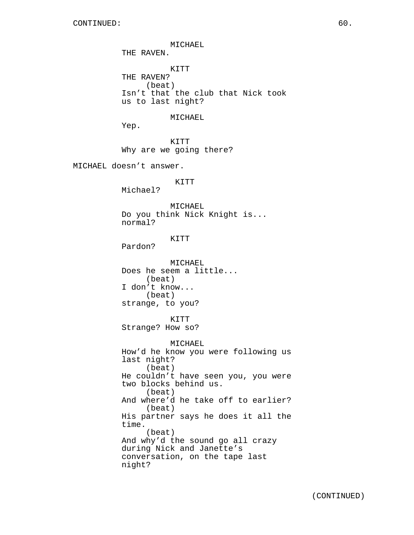MICHAEL THE RAVEN. KITT THE RAVEN? (beat) Isn't that the club that Nick took us to last night? MICHAEL Yep. KITT Why are we going there? MICHAEL doesn't answer. KITT Michael? MICHAEL Do you think Nick Knight is... normal? KITT Pardon? MICHAEL Does he seem a little... (beat) I don't know... (beat) strange, to you? KITT Strange? How so? MICHAEL How'd he know you were following us last night? (beat) He couldn't have seen you, you were two blocks behind us. (beat) And where'd he take off to earlier? (beat) His partner says he does it all the time. (beat) And why'd the sound go all crazy during Nick and Janette's conversation, on the tape last night?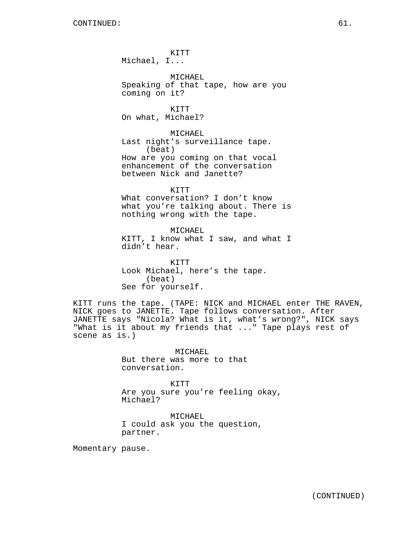KITT Michael, I... MICHAEL Speaking of that tape, how are you coming on it? KITT On what, Michael? MICHAEL Last night's surveillance tape. (beat) How are you coming on that vocal enhancement of the conversation between Nick and Janette? KITT

What conversation? I don't know what you're talking about. There is nothing wrong with the tape.

MICHAEL KITT, I know what I saw, and what I didn't hear.

KITT Look Michael, here's the tape. (beat) See for yourself.

KITT runs the tape. (TAPE: NICK and MICHAEL enter THE RAVEN, NICK goes to JANETTE. Tape follows conversation. After JANETTE says "Nicola? What is it, what's wrong?", NICK says "What is it about my friends that ..." Tape plays rest of scene as is.)

> MICHAEL But there was more to that conversation.

KITT Are you sure you're feeling okay, Michael?

MICHAEL I could ask you the question, partner.

Momentary pause.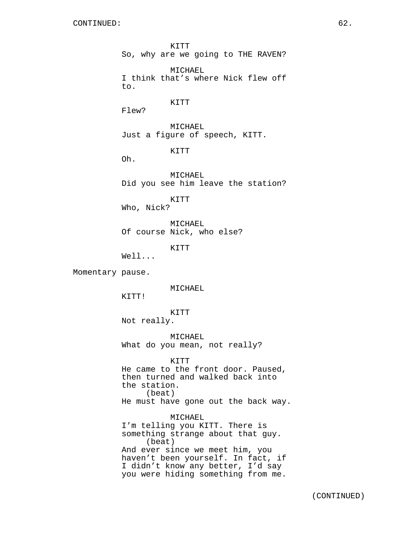CONTINUED: 62. KITT So, why are we going to THE RAVEN? MICHAEL I think that's where Nick flew off to. KITT Flew? MICHAEL Just a figure of speech, KITT. KITT Oh. MICHAEL Did you see him leave the station? KITT Who, Nick? MICHAEL Of course Nick, who else? KITT Well... Momentary pause. MICHAEL KITT! KITT Not really. MICHAEL What do you mean, not really? KITT He came to the front door. Paused, then turned and walked back into the station. (beat) He must have gone out the back way. MICHAEL

I'm telling you KITT. There is something strange about that guy. (beat) And ever since we meet him, you haven't been yourself. In fact, if I didn't know any better, I'd say you were hiding something from me.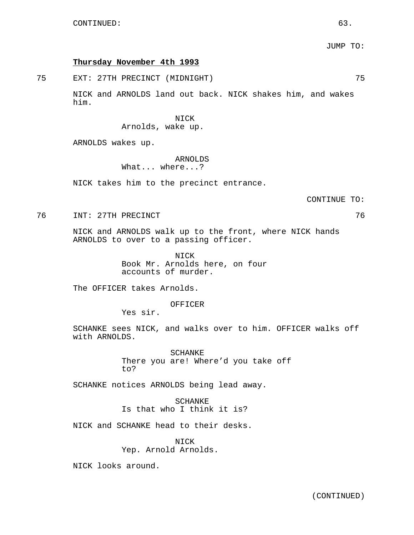# **Thursday November 4th 1993**

75 EXT: 27TH PRECINCT (MIDNIGHT) 75

NICK and ARNOLDS land out back. NICK shakes him, and wakes him.

# NICK

Arnolds, wake up.

ARNOLDS wakes up.

# ARNOLDS

What... where...?

NICK takes him to the precinct entrance.

CONTINUE TO:

76 INT: 27TH PRECINCT

NICK and ARNOLDS walk up to the front, where NICK hands ARNOLDS to over to a passing officer.

> NICK Book Mr. Arnolds here, on four accounts of murder.

The OFFICER takes Arnolds.

OFFICER

Yes sir.

SCHANKE sees NICK, and walks over to him. OFFICER walks off with ARNOLDS.

> SCHANKE There you are! Where'd you take off to?

SCHANKE notices ARNOLDS being lead away.

SCHANKE Is that who I think it is?

NICK and SCHANKE head to their desks.

NICK Yep. Arnold Arnolds.

NICK looks around.

(CONTINUED)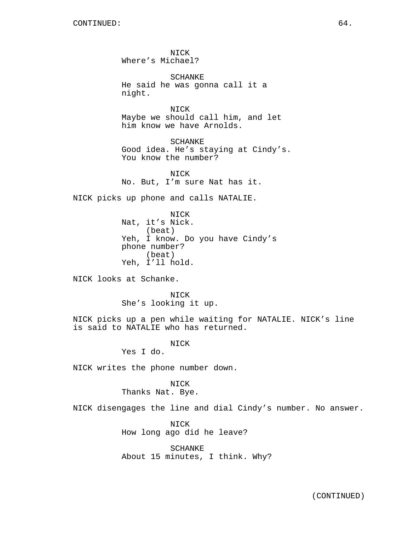NICK Where's Michael?

SCHANKE He said he was gonna call it a night.

NICK Maybe we should call him, and let him know we have Arnolds.

SCHANKE Good idea. He's staying at Cindy's. You know the number?

NICK No. But, I'm sure Nat has it.

NICK picks up phone and calls NATALIE.

NICK Nat, it's Nick. (beat) Yeh, I know. Do you have Cindy's phone number? (beat) Yeh, I'll hold.

NICK looks at Schanke.

**NTCK** She's looking it up.

NICK picks up a pen while waiting for NATALIE. NICK's line is said to NATALIE who has returned.

NICK

Yes I do.

NICK writes the phone number down.

# NICK

Thanks Nat. Bye.

NICK disengages the line and dial Cindy's number. No answer.

NICK How long ago did he leave?

SCHANKE About 15 minutes, I think. Why?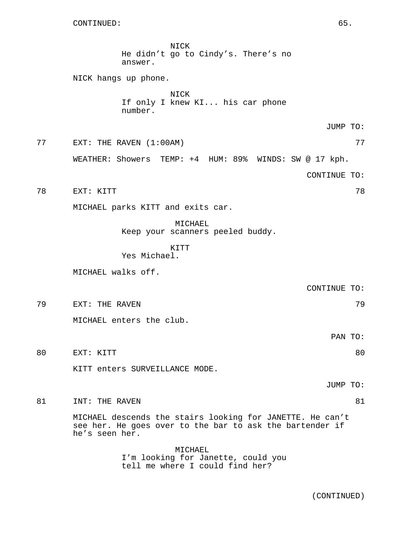NICK He didn't go to Cindy's. There's no answer. NICK hangs up phone. NICK If only I knew KI... his car phone number. JUMP TO: 77 EXT: THE RAVEN (1:00AM) 77 WEATHER: Showers TEMP: +4 HUM: 89% WINDS: SW @ 17 kph. CONTINUE TO: 78 EXT: KITT 78 MICHAEL parks KITT and exits car. MICHAEL Keep your scanners peeled buddy. KITT Yes Michael. MICHAEL walks off. CONTINUE TO: 79 EXT: THE RAVEN 79 MICHAEL enters the club. PAN TO: 80 EXT: KITT 80 KITT enters SURVEILLANCE MODE. JUMP TO: 81 INT: THE RAVEN 81 and 81 MICHAEL descends the stairs looking for JANETTE. He can't see her. He goes over to the bar to ask the bartender if he's seen her.

> MICHAEL I'm looking for Janette, could you tell me where I could find her?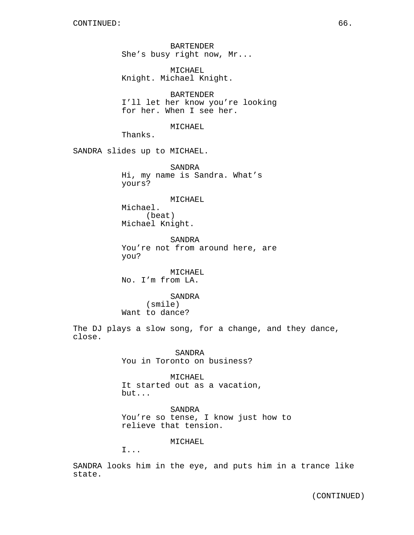BARTENDER She's busy right now, Mr...

MICHAEL Knight. Michael Knight.

BARTENDER I'll let her know you're looking for her. When I see her.

MICHAEL

Thanks.

SANDRA slides up to MICHAEL.

SANDRA Hi, my name is Sandra. What's yours?

MICHAEL Michael. (beat) Michael Knight.

SANDRA You're not from around here, are you?

MICHAEL No. I'm from LA.

SANDRA (smile) Want to dance?

The DJ plays a slow song, for a change, and they dance, close.

> SANDRA You in Toronto on business?

MICHAEL It started out as a vacation, but...

SANDRA You're so tense, I know just how to relieve that tension.

MICHAEL

I...

SANDRA looks him in the eye, and puts him in a trance like state.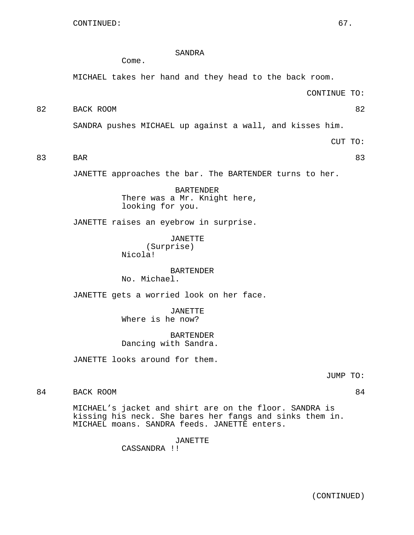# SANDRA

Come.

MICHAEL takes her hand and they head to the back room.

CONTINUE TO:

# 82 BACK ROOM 82

SANDRA pushes MICHAEL up against a wall, and kisses him.

CUT TO:

83 BAR 83

JANETTE approaches the bar. The BARTENDER turns to her.

BARTENDER There was a Mr. Knight here, looking for you.

JANETTE raises an eyebrow in surprise.

JANETTE (Surprise) Nicola!

BARTENDER No. Michael.

JANETTE gets a worried look on her face.

JANETTE Where is he now?

BARTENDER Dancing with Sandra.

JANETTE looks around for them.

JUMP TO:

84 BACK ROOM 84

MICHAEL's jacket and shirt are on the floor. SANDRA is kissing his neck. She bares her fangs and sinks them in. MICHAEL moans. SANDRA feeds. JANETTE enters.

JANETTE

CASSANDRA !!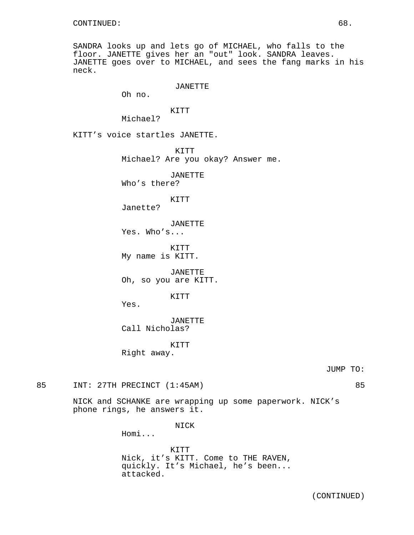SANDRA looks up and lets go of MICHAEL, who falls to the floor. JANETTE gives her an "out" look. SANDRA leaves. JANETTE goes over to MICHAEL, and sees the fang marks in his neck.

## JANETTE

Oh no.

## KITT Michael?

KITT's voice startles JANETTE.

KITT

Michael? Are you okay? Answer me.

JANETTE

Who's there?

KITT Janette?

JANETTE

Yes. Who's...

KITT My name is KITT.

JANETTE Oh, so you are KITT.

KITT

Yes.

JANETTE Call Nicholas?

KITT Right away.

JUMP TO:

85 INT: 27TH PRECINCT (1:45AM) 85

NICK and SCHANKE are wrapping up some paperwork. NICK's phone rings, he answers it.

NICK

Homi...

KITT Nick, it's KITT. Come to THE RAVEN, quickly. It's Michael, he's been... attacked.

(CONTINUED)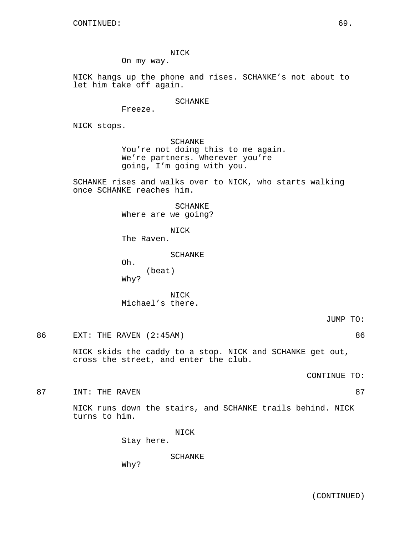NICK

On my way.

NICK hangs up the phone and rises. SCHANKE's not about to let him take off again.

SCHANKE

Freeze.

NICK stops.

SCHANKE You're not doing this to me again. We're partners. Wherever you're going, I'm going with you.

SCHANKE rises and walks over to NICK, who starts walking once SCHANKE reaches him.

> SCHANKE Where are we going?

> > NICK

The Raven.

SCHANKE

Oh. (beat) Why?

**NICK** Michael's there.

JUMP TO:

86 EXT: THE RAVEN (2:45AM) 86

NICK skids the caddy to a stop. NICK and SCHANKE get out, cross the street, and enter the club.

CONTINUE TO:

87 INT: THE RAVEN

NICK runs down the stairs, and SCHANKE trails behind. NICK turns to him.

NICK

Stay here.

SCHANKE

Why?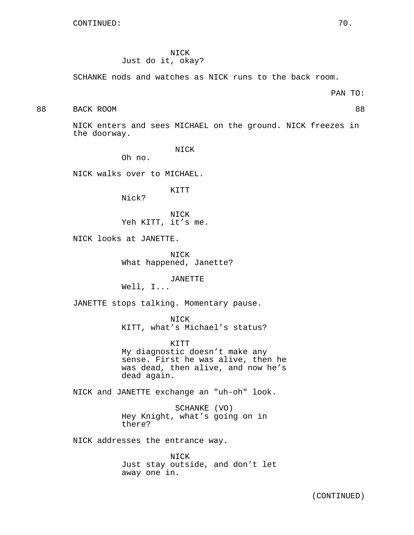NICK

# Just do it, okay?

SCHANKE nods and watches as NICK runs to the back room.

PAN TO:

## 88 BACK ROOM 88

NICK enters and sees MICHAEL on the ground. NICK freezes in the doorway.

NICK

Oh no.

NICK walks over to MICHAEL.

KITT

Nick?

NICK Yeh KITT, it's me.

NICK looks at JANETTE.

NICK What happened, Janette?

JANETTE

Well, I...

JANETTE stops talking. Momentary pause.

NICK

KITT, what's Michael's status?

KITT My diagnostic doesn't make any sense. First he was alive, then he was dead, then alive, and now he's dead again.

NICK and JANETTE exchange an "uh-oh" look.

SCHANKE (VO) Hey Knight, what's going on in there?

NICK addresses the entrance way.

NICK Just stay outside, and don't let away one in.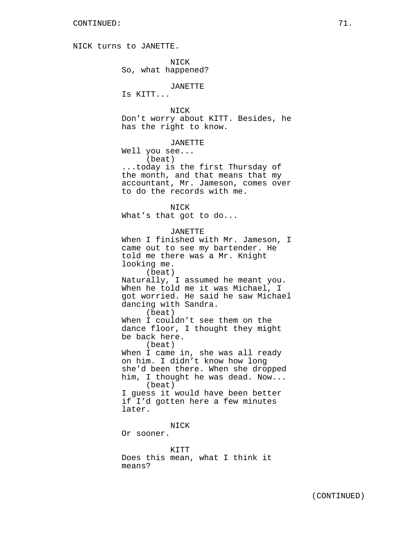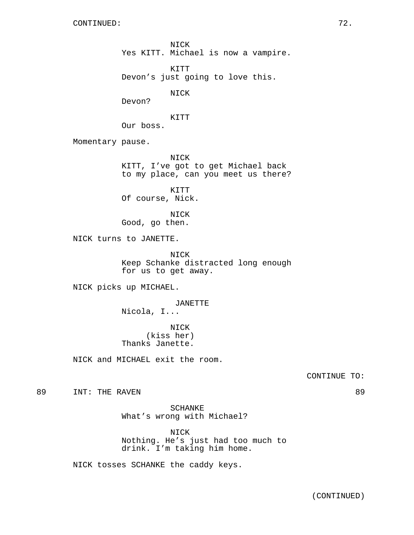NICK Yes KITT. Michael is now a vampire.

KITT Devon's just going to love this.

NICK

Devon?

KITT

Our boss.

Momentary pause.

NICK KITT, I've got to get Michael back to my place, can you meet us there?

KITT Of course, Nick.

NICK Good, go then.

NICK turns to JANETTE.

NICK Keep Schanke distracted long enough for us to get away.

NICK picks up MICHAEL.

JANETTE

Nicola, I...

NICK (kiss her) Thanks Janette.

NICK and MICHAEL exit the room.

CONTINUE TO:

89 INT: THE RAVEN 89

SCHANKE What's wrong with Michael?

NICK Nothing. He's just had too much to drink. I'm taking him home.

NICK tosses SCHANKE the caddy keys.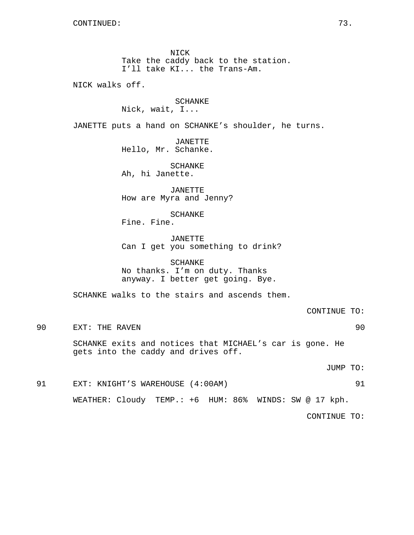NICK Take the caddy back to the station. I'll take KI... the Trans-Am.

NICK walks off.

# SCHANKE

Nick, wait, I...

JANETTE puts a hand on SCHANKE's shoulder, he turns.

JANETTE Hello, Mr. Schanke.

SCHANKE Ah, hi Janette.

JANETTE How are Myra and Jenny?

SCHANKE

Fine. Fine.

JANETTE Can I get you something to drink?

SCHANKE No thanks. I'm on duty. Thanks anyway. I better get going. Bye.

SCHANKE walks to the stairs and ascends them.

CONTINUE TO:

90 EXT: THE RAVEN 90

SCHANKE exits and notices that MICHAEL's car is gone. He gets into the caddy and drives off.

JUMP TO:

# 91 EXT: KNIGHT'S WAREHOUSE (4:00AM) 91 WEATHER: Cloudy TEMP.: +6 HUM: 86% WINDS: SW @ 17 kph.

CONTINUE TO: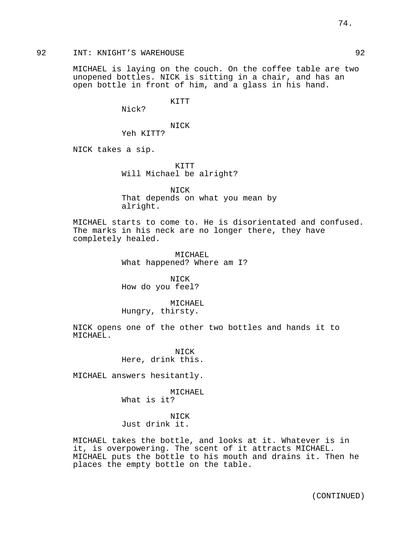## 92 INT: KNIGHT'S WAREHOUSE 92

MICHAEL is laying on the couch. On the coffee table are two unopened bottles. NICK is sitting in a chair, and has an open bottle in front of him, and a glass in his hand.

KITT

Nick?

NICK Yeh KITT?

NICK takes a sip.

KITT Will Michael be alright?

NICK That depends on what you mean by alright.

MICHAEL starts to come to. He is disorientated and confused. The marks in his neck are no longer there, they have completely healed.

> MICHAEL What happened? Where am I?

NICK How do you feel?

MICHAEL Hungry, thirsty.

NICK opens one of the other two bottles and hands it to MICHAEL.

> NICK Here, drink this.

MICHAEL answers hesitantly.

MICHAEL What is it?

NICK Just drink it.

MICHAEL takes the bottle, and looks at it. Whatever is in it, is overpowering. The scent of it attracts MICHAEL. MICHAEL puts the bottle to his mouth and drains it. Then he places the empty bottle on the table.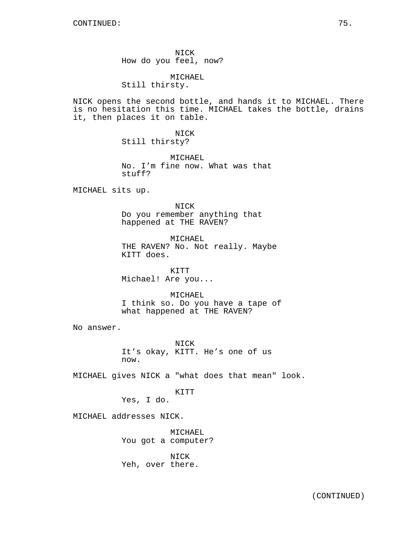NICK How do you feel, now?

MICHAEL Still thirsty.

NICK opens the second bottle, and hands it to MICHAEL. There is no hesitation this time. MICHAEL takes the bottle, drains it, then places it on table.

> NICK Still thirsty?

MICHAEL No. I'm fine now. What was that stuff?

MICHAEL sits up.

NICK Do you remember anything that happened at THE RAVEN?

MICHAEL THE RAVEN? No. Not really. Maybe KITT does.

KITT Michael! Are you...

MICHAEL I think so. Do you have a tape of what happened at THE RAVEN?

No answer.

NICK It's okay, KITT. He's one of us now.

MICHAEL gives NICK a "what does that mean" look.

KITT

Yes, I do.

MICHAEL addresses NICK.

MICHAEL You got a computer?

NICK Yeh, over there.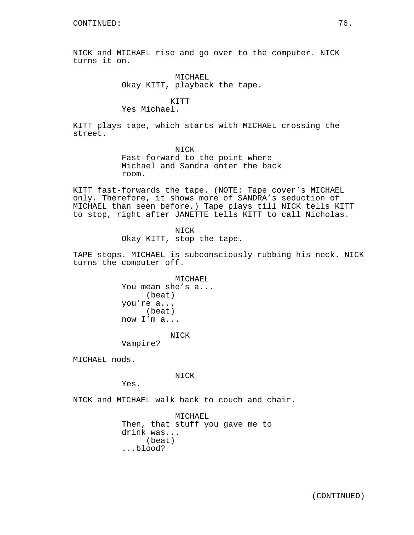NICK and MICHAEL rise and go over to the computer. NICK turns it on.

> MICHAEL Okay KITT, playback the tape.

> > KITT

Yes Michael.

KITT plays tape, which starts with MICHAEL crossing the street.

> NICK Fast-forward to the point where Michael and Sandra enter the back room.

KITT fast-forwards the tape. (NOTE: Tape cover's MICHAEL only. Therefore, it shows more of SANDRA's seduction of MICHAEL than seen before.) Tape plays till NICK tells KITT to stop, right after JANETTE tells KITT to call Nicholas.

> NICK Okay KITT, stop the tape.

TAPE stops. MICHAEL is subconsciously rubbing his neck. NICK turns the computer off.

> MICHAEL You mean she's a... (beat) you're a... (beat) now I'm a...

## NICK

Vampire?

MICHAEL nods.

NICK

Yes.

NICK and MICHAEL walk back to couch and chair.

MICHAEL Then, that stuff you gave me to drink was... (beat) ...blood?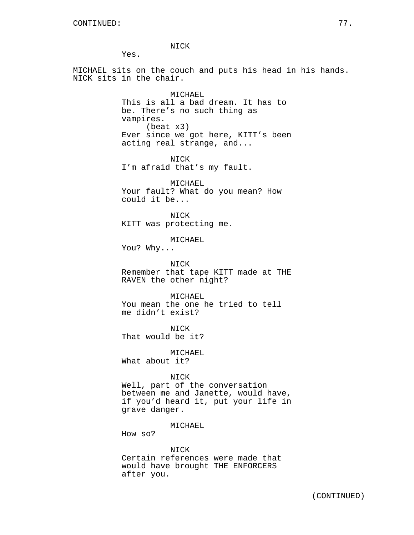NICK

Yes.

MICHAEL sits on the couch and puts his head in his hands. NICK sits in the chair.

> MICHAEL This is all a bad dream. It has to be. There's no such thing as vampires. (beat x3) Ever since we got here, KITT's been acting real strange, and...

NICK I'm afraid that's my fault.

MICHAEL Your fault? What do you mean? How could it be...

NICK KITT was protecting me.

MICHAEL

You? Why...

NICK Remember that tape KITT made at THE RAVEN the other night?

MICHAEL You mean the one he tried to tell

me didn't exist?

NICK That would be it?

MICHAEL What about it?

## NICK

Well, part of the conversation between me and Janette, would have, if you'd heard it, put your life in grave danger.

MICHAEL

How so?

NICK

Certain references were made that would have brought THE ENFORCERS after you.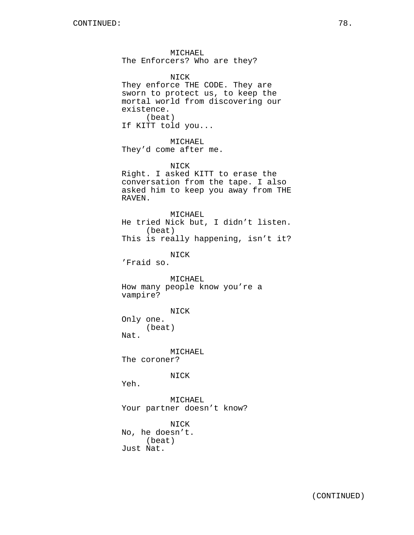MICHAEL The Enforcers? Who are they?

NICK They enforce THE CODE. They are sworn to protect us, to keep the mortal world from discovering our existence. (beat) If KITT told you... MICHAEL They'd come after me. NICK Right. I asked KITT to erase the conversation from the tape. I also asked him to keep you away from THE RAVEN. MICHAEL He tried Nick but, I didn't listen. (beat) This is really happening, isn't it? NICK 'Fraid so. MICHAEL How many people know you're a vampire? NICK Only one. (beat) Nat. MICHAEL The coroner? NICK Yeh. MICHAEL Your partner doesn't know?

NICK No, he doesn't. (beat) Just Nat.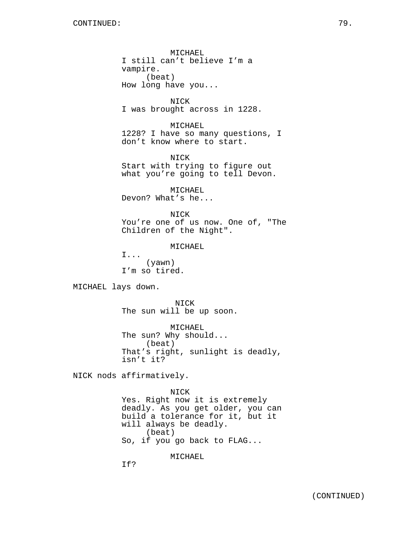MICHAEL I still can't believe I'm a vampire. (beat) How long have you...

NICK I was brought across in 1228.

MICHAEL 1228? I have so many questions, I don't know where to start.

NICK Start with trying to figure out what you're going to tell Devon.

MICHAEL Devon? What's he...

NICK You're one of us now. One of, "The Children of the Night".

MICHAEL

I... (yawn) I'm so tired.

MICHAEL lays down.

NICK The sun will be up soon.

MICHAEL The sun? Why should... (beat) That's right, sunlight is deadly, isn't it?

NICK nods affirmatively.

NICK Yes. Right now it is extremely deadly. As you get older, you can build a tolerance for it, but it will always be deadly. (beat) So, if you go back to FLAG...

MICHAEL

If?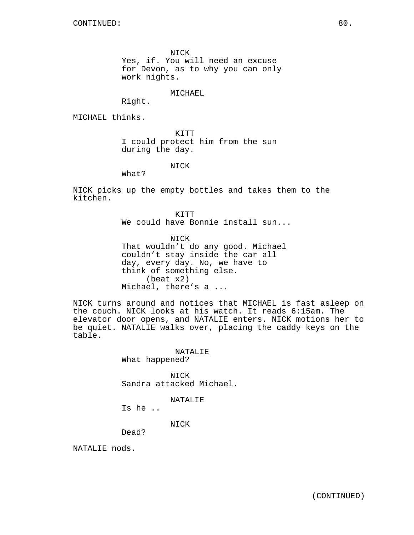NICK

Yes, if. You will need an excuse for Devon, as to why you can only work nights.

MICHAEL

Right.

MICHAEL thinks.

KITT I could protect him from the sun during the day.

NICK

What?

NICK picks up the empty bottles and takes them to the kitchen.

> KTTT We could have Bonnie install sun...

NICK That wouldn't do any good. Michael couldn't stay inside the car all day, every day. No, we have to think of something else. (beat x2) Michael, there's a ...

NICK turns around and notices that MICHAEL is fast asleep on the couch. NICK looks at his watch. It reads 6:15am. The elevator door opens, and NATALIE enters. NICK motions her to be quiet. NATALIE walks over, placing the caddy keys on the table.

## NATALIE

What happened?

NICK Sandra attacked Michael.

NATALIE

Is he ..

NICK

Dead?

NATALIE nods.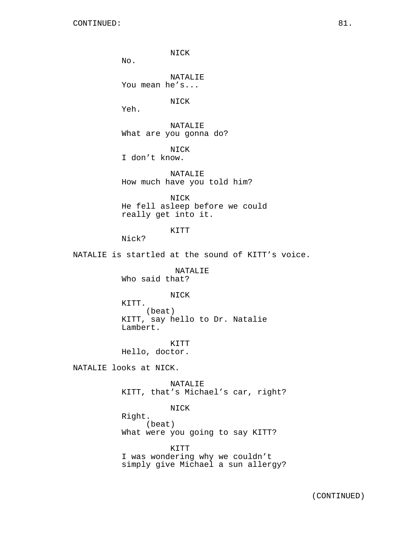$No.$ 

Yeh.

NICK NATALIE You mean he's... NICK NATALIE What are you gonna do? NICK

I don't know.

NATALIE How much have you told him?

NICK He fell asleep before we could really get into it.

KITT

Nick?

NATALIE is startled at the sound of KITT's voice.

NATALIE Who said that?

## NICK

KITT. (beat) KITT, say hello to Dr. Natalie Lambert.

KITT Hello, doctor.

NATALIE looks at NICK.

NATALIE KITT, that's Michael's car, right?

NICK Right. (beat) What were you going to say KITT?

KITT I was wondering why we couldn't simply give Michael a sun allergy?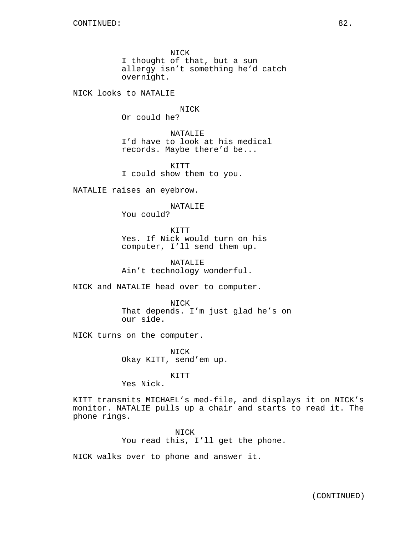NICK I thought of that, but a sun allergy isn't something he'd catch overnight.

NICK looks to NATALIE

NICK

Or could he?

NATALIE I'd have to look at his medical records. Maybe there'd be...

KITT I could show them to you.

NATALIE raises an eyebrow.

## NATALIE

You could?

**KTTT** Yes. If Nick would turn on his computer, I'll send them up.

NATALIE Ain't technology wonderful.

NICK and NATALIE head over to computer.

NICK That depends. I'm just glad he's on our side.

NICK turns on the computer.

NICK Okay KITT, send'em up.

KITT

Yes Nick.

KITT transmits MICHAEL's med-file, and displays it on NICK's monitor. NATALIE pulls up a chair and starts to read it. The phone rings.

> NICK You read this, I'll get the phone.

NICK walks over to phone and answer it.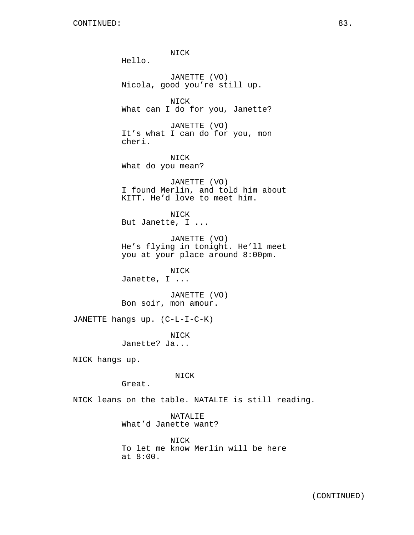NICK Hello. JANETTE (VO) Nicola, good you're still up. NICK What can I do for you, Janette? JANETTE (VO) It's what I can do for you, mon cheri. NICK What do you mean? JANETTE (VO) I found Merlin, and told him about KITT. He'd love to meet him. NICK But Janette, I ... JANETTE (VO) He's flying in tonight. He'll meet you at your place around 8:00pm. NICK Janette, I ... JANETTE (VO) Bon soir, mon amour. JANETTE hangs up. (C-L-I-C-K) NICK Janette? Ja... NICK hangs up. NICK Great. NICK leans on the table. NATALIE is still reading. NATALIE What'd Janette want?

NICK To let me know Merlin will be here at 8:00.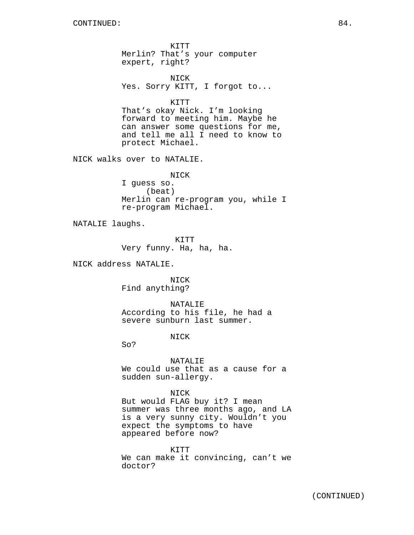KITT Merlin? That's your computer expert, right?

NICK Yes. Sorry KITT, I forgot to...

KITT

That's okay Nick. I'm looking forward to meeting him. Maybe he can answer some questions for me, and tell me all I need to know to protect Michael.

NICK walks over to NATALIE.

NICK I guess so. (beat) Merlin can re-program you, while I

NATALIE laughs.

KITT Very funny. Ha, ha, ha.

re-program Michael.

NICK address NATALIE.

NICK Find anything?

NATALIE According to his file, he had a severe sunburn last summer.

NICK

So?

NATALIE We could use that as a cause for a sudden sun-allergy.

NICK But would FLAG buy it? I mean summer was three months ago, and LA is a very sunny city. Wouldn't you expect the symptoms to have appeared before now?

KITT We can make it convincing, can't we doctor?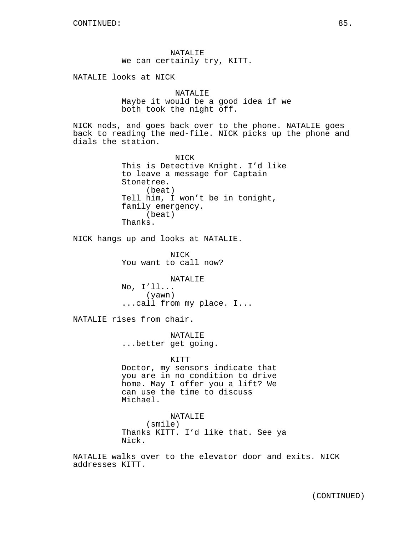NATALIE We can certainly try, KITT.

NATALIE looks at NICK

NATALIE Maybe it would be a good idea if we both took the night off.

NICK nods, and goes back over to the phone. NATALIE goes back to reading the med-file. NICK picks up the phone and dials the station.

> NICK This is Detective Knight. I'd like to leave a message for Captain Stonetree. (beat) Tell him, I won't be in tonight, family emergency. (beat) Thanks.

NICK hangs up and looks at NATALIE.

NICK You want to call now?

NATALIE No, I'll... (yawn) ...call from my place. I...

NATALIE rises from chair.

NATALIE ...better get going.

## KITT

Doctor, my sensors indicate that you are in no condition to drive home. May I offer you a lift? We can use the time to discuss Michael.

NATALIE (smile) Thanks KITT. I'd like that. See ya Nick.

NATALIE walks over to the elevator door and exits. NICK addresses KITT.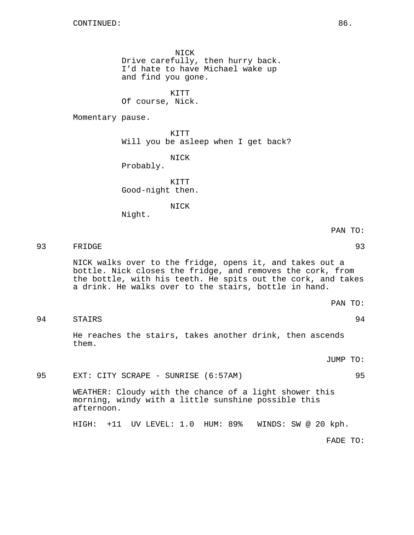NICK

Drive carefully, then hurry back. I'd hate to have Michael wake up and find you gone.

KITT Of course, Nick.

Momentary pause.

KITT Will you be asleep when I get back?

NICK Probably.

KITT Good-night then.

NICK

Night.

93 FRIDGE 93

NICK walks over to the fridge, opens it, and takes out a bottle. Nick closes the fridge, and removes the cork, from the bottle, with his teeth. He spits out the cork, and takes a drink. He walks over to the stairs, bottle in hand.

PAN TO:

94 STAIRS 94

He reaches the stairs, takes another drink, then ascends them.

JUMP TO:

95 EXT: CITY SCRAPE - SUNRISE (6:57AM) 95

WEATHER: Cloudy with the chance of a light shower this morning, windy with a little sunshine possible this afternoon.

HIGH: +11 UV LEVEL: 1.0 HUM: 89% WINDS: SW @ 20 kph.

FADE TO: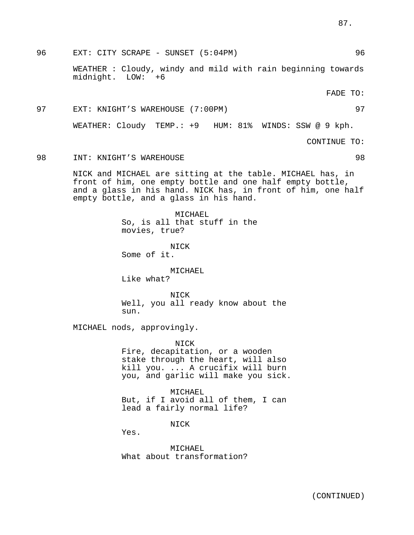96 EXT: CITY SCRAPE - SUNSET (5:04PM) 96

WEATHER : Cloudy, windy and mild with rain beginning towards midnight. LOW: +6

FADE TO:

# 97 EXT: KNIGHT'S WAREHOUSE (7:00PM) 97 WEATHER: Cloudy TEMP.: +9 HUM: 81% WINDS: SSW @ 9 kph. CONTINUE TO:

98 INT: KNIGHT'S WAREHOUSE 98

NICK and MICHAEL are sitting at the table. MICHAEL has, in front of him, one empty bottle and one half empty bottle, and a glass in his hand. NICK has, in front of him, one half empty bottle, and a glass in his hand.

> MICHAEL So, is all that stuff in the movies, true?

NICK Some of it.

MICHAEL

Like what?

NICK Well, you all ready know about the sun.

MICHAEL nods, approvingly.

NICK Fire, decapitation, or a wooden stake through the heart, will also kill you. ... A crucifix will burn you, and garlic will make you sick.

MICHAEL But, if I avoid all of them, I can lead a fairly normal life?

NICK

Yes.

MICHAEL What about transformation?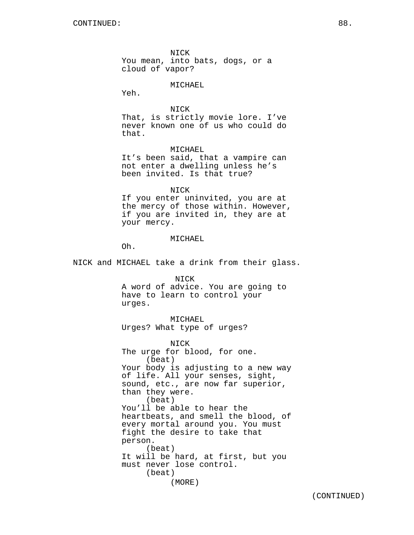NICK You mean, into bats, dogs, or a cloud of vapor?

#### MICHAEL

Yeh.

NICK That, is strictly movie lore. I've never known one of us who could do that.

MICHAEL

It's been said, that a vampire can not enter a dwelling unless he's been invited. Is that true?

#### NICK

If you enter uninvited, you are at the mercy of those within. However, if you are invited in, they are at your mercy.

#### MICHAEL

Oh.

NICK and MICHAEL take a drink from their glass.

NICK

A word of advice. You are going to have to learn to control your urges.

## MICHAEL

Urges? What type of urges?

NICK The urge for blood, for one. (beat) Your body is adjusting to a new way of life. All your senses, sight, sound, etc., are now far superior, than they were. (beat) You'll be able to hear the heartbeats, and smell the blood, of every mortal around you. You must fight the desire to take that person. (beat) It will be hard, at first, but you must never lose control. (beat) (MORE)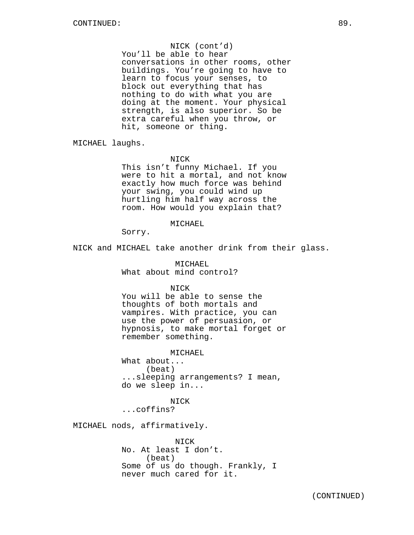NICK (cont'd) You'll be able to hear conversations in other rooms, other buildings. You're going to have to learn to focus your senses, to block out everything that has nothing to do with what you are doing at the moment. Your physical strength, is also superior. So be extra careful when you throw, or hit, someone or thing.

MICHAEL laughs.

NICK

This isn't funny Michael. If you were to hit a mortal, and not know exactly how much force was behind your swing, you could wind up hurtling him half way across the room. How would you explain that?

MICHAEL

Sorry.

NICK and MICHAEL take another drink from their glass.

MICHAEL What about mind control?

NICK

You will be able to sense the thoughts of both mortals and vampires. With practice, you can use the power of persuasion, or hypnosis, to make mortal forget or remember something.

MICHAEL

What about... (beat) ...sleeping arrangements? I mean, do we sleep in...

NICK ...coffins?

MICHAEL nods, affirmatively.

NICK No. At least I don't. (beat) Some of us do though. Frankly, I never much cared for it.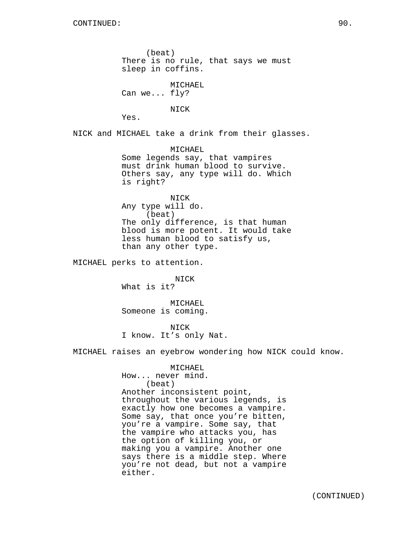(beat) There is no rule, that says we must sleep in coffins.

MICHAEL Can we... fly?

Yes.

NICK and MICHAEL take a drink from their glasses.

NICK

MICHAEL Some legends say, that vampires must drink human blood to survive. Others say, any type will do. Which is right?

NICK Any type will do. (beat) The only difference, is that human blood is more potent. It would take less human blood to satisfy us, than any other type.

MICHAEL perks to attention.

NICK What is it?

MICHAEL Someone is coming.

NICK I know. It's only Nat.

MICHAEL raises an eyebrow wondering how NICK could know.

MICHAEL How... never mind. (beat) Another inconsistent point, throughout the various legends, is exactly how one becomes a vampire. Some say, that once you're bitten, you're a vampire. Some say, that the vampire who attacks you, has the option of killing you, or making you a vampire. Another one says there is a middle step. Where you're not dead, but not a vampire either.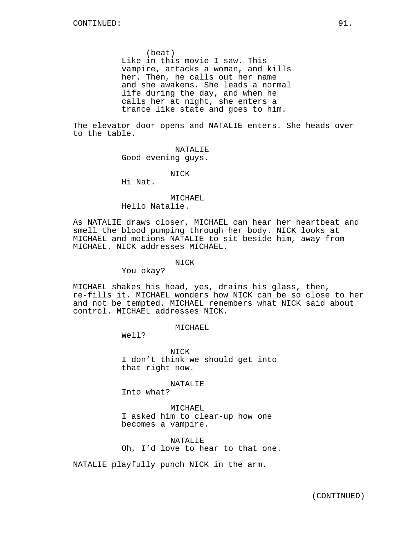(beat) Like in this movie I saw. This vampire, attacks a woman, and kills her. Then, he calls out her name and she awakens. She leads a normal life during the day, and when he calls her at night, she enters a trance like state and goes to him.

The elevator door opens and NATALIE enters. She heads over to the table.

> NATALIE Good evening guys.

> > NICK

Hi Nat.

#### MICHAEL

Hello Natalie.

As NATALIE draws closer, MICHAEL can hear her heartbeat and smell the blood pumping through her body. NICK looks at MICHAEL and motions NATALIE to sit beside him, away from MICHAEL. NICK addresses MICHAEL.

#### NICK

You okay?

MICHAEL shakes his head, yes, drains his glass, then, re-fills it. MICHAEL wonders how NICK can be so close to her and not be tempted. MICHAEL remembers what NICK said about control. MICHAEL addresses NICK.

MICHAEL

Well?

NICK I don't think we should get into that right now.

NATALIE

Into what?

MICHAEL I asked him to clear-up how one becomes a vampire.

NATALIE Oh, I'd love to hear to that one.

NATALIE playfully punch NICK in the arm.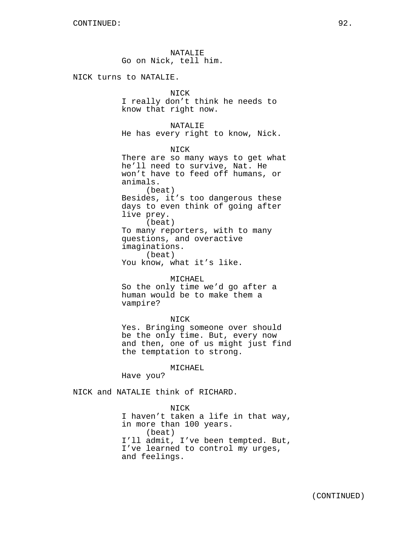NATALIE Go on Nick, tell him.

NICK turns to NATALIE.

## NICK

I really don't think he needs to know that right now.

NATALIE He has every right to know, Nick.

NICK There are so many ways to get what he'll need to survive, Nat. He won't have to feed off humans, or animals. (beat) Besides, it's too dangerous these days to even think of going after live prey. (beat) To many reporters, with to many questions, and overactive imaginations. (beat) You know, what it's like.

#### MICHAEL

So the only time we'd go after a human would be to make them a vampire?

## NICK

Yes. Bringing someone over should be the only time. But, every now and then, one of us might just find the temptation to strong.

MICHAEL

Have you?

NICK and NATALIE think of RICHARD.

NICK I haven't taken a life in that way, in more than 100 years. (beat) I'll admit, I've been tempted. But, I've learned to control my urges, and feelings.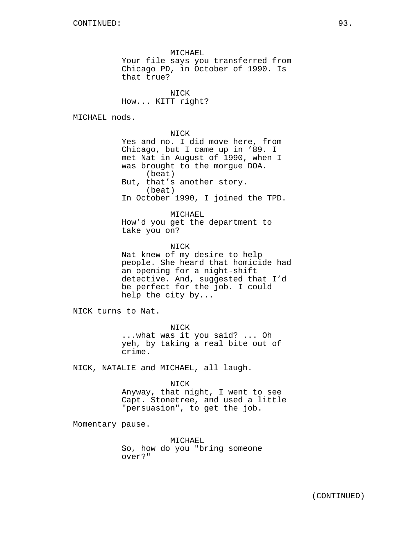MICHAEL Your file says you transferred from Chicago PD, in October of 1990. Is that true?

NICK How... KITT right?

MICHAEL nods.

NICK Yes and no. I did move here, from Chicago, but I came up in '89. I met Nat in August of 1990, when I was brought to the morgue DOA. (beat) But, that's another story. (beat) In October 1990, I joined the TPD.

MICHAEL How'd you get the department to take you on?

**NTCK** Nat knew of my desire to help people. She heard that homicide had an opening for a night-shift detective. And, suggested that I'd be perfect for the job. I could help the city by...

NICK turns to Nat.

NICK ...what was it you said? ... Oh yeh, by taking a real bite out of crime.

NICK, NATALIE and MICHAEL, all laugh.

NICK

Anyway, that night, I went to see Capt. Stonetree, and used a little "persuasion", to get the job.

Momentary pause.

MICHAEL So, how do you "bring someone over?"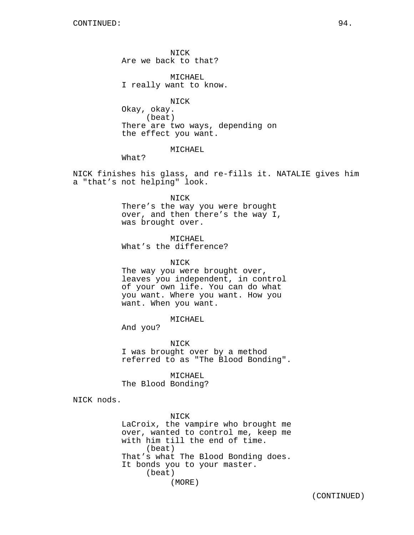NICK Are we back to that?

MICHAEL I really want to know.

NICK Okay, okay. (beat) There are two ways, depending on the effect you want.

MICHAEL

What?

NICK finishes his glass, and re-fills it. NATALIE gives him a "that's not helping" look.

NICK

There's the way you were brought over, and then there's the way I, was brought over.

MICHAEL What's the difference?

NICK

The way you were brought over, leaves you independent, in control of your own life. You can do what you want. Where you want. How you want. When you want.

MICHAEL

And you?

NICK I was brought over by a method referred to as "The Blood Bonding".

MICHAEL The Blood Bonding?

NICK nods.

NICK LaCroix, the vampire who brought me over, wanted to control me, keep me with him till the end of time. (beat) That's what The Blood Bonding does. It bonds you to your master. (beat) (MORE)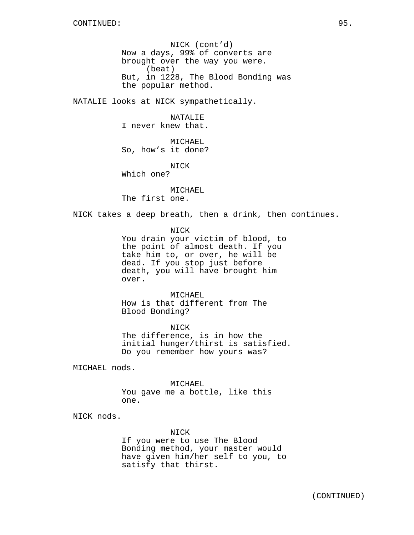NICK (cont'd) Now a days, 99% of converts are brought over the way you were. (beat) But, in 1228, The Blood Bonding was the popular method.

NATALIE looks at NICK sympathetically.

NATALIE I never knew that.

MICHAEL So, how's it done?

NICK

Which one?

MICHAEL The first one.

NICK takes a deep breath, then a drink, then continues.

NICK

You drain your victim of blood, to the point of almost death. If you take him to, or over, he will be dead. If you stop just before death, you will have brought him over.

MICHAEL How is that different from The Blood Bonding?

NICK The difference, is in how the initial hunger/thirst is satisfied. Do you remember how yours was?

MICHAEL nods.

MICHAEL

You gave me a bottle, like this one.

NICK nods.

NICK

If you were to use The Blood Bonding method, your master would have given him/her self to you, to satisfy that thirst.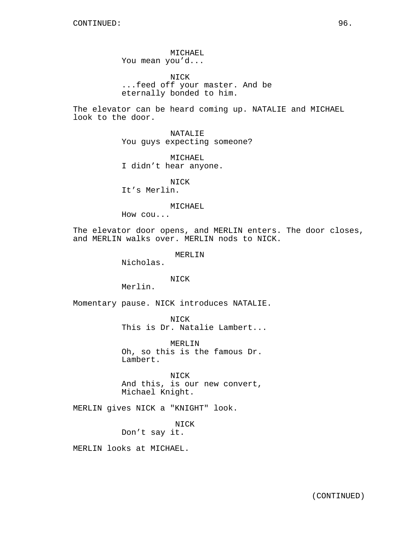MICHAEL You mean you'd...

NICK ...feed off your master. And be eternally bonded to him.

The elevator can be heard coming up. NATALIE and MICHAEL look to the door.

> NATALIE You guys expecting someone?

MICHAEL I didn't hear anyone.

NICK It's Merlin.

#### MICHAEL

How cou...

The elevator door opens, and MERLIN enters. The door closes, and MERLIN walks over. MERLIN nods to NICK.

#### MERLIN

Nicholas.

## NICK

Merlin.

Momentary pause. NICK introduces NATALIE.

NICK This is Dr. Natalie Lambert...

MERLIN Oh, so this is the famous Dr. Lambert.

NICK And this, is our new convert, Michael Knight.

MERLIN gives NICK a "KNIGHT" look.

NICK Don't say it.

MERLIN looks at MICHAEL.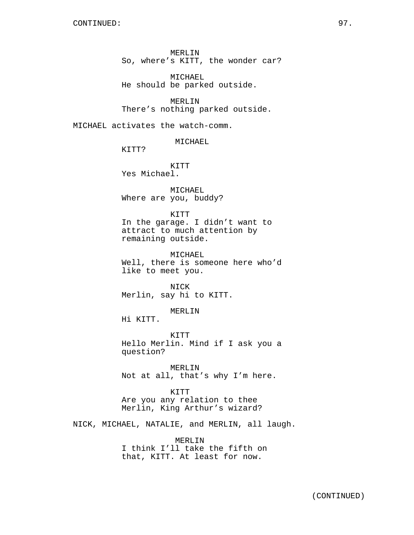MICHAEL He should be parked outside.

MERLIN There's nothing parked outside.

MICHAEL activates the watch-comm.

MICHAEL

KITT?

KITT Yes Michael.

MICHAEL Where are you, buddy?

KITT

In the garage. I didn't want to attract to much attention by remaining outside.

MICHAEL Well, there is someone here who'd like to meet you.

NICK Merlin, say hi to KITT.

MERLIN

Hi KITT.

KITT Hello Merlin. Mind if I ask you a question?

MERLIN Not at all, that's why I'm here.

KITT Are you any relation to thee Merlin, King Arthur's wizard?

NICK, MICHAEL, NATALIE, and MERLIN, all laugh.

MERLIN I think I'll take the fifth on that, KITT. At least for now.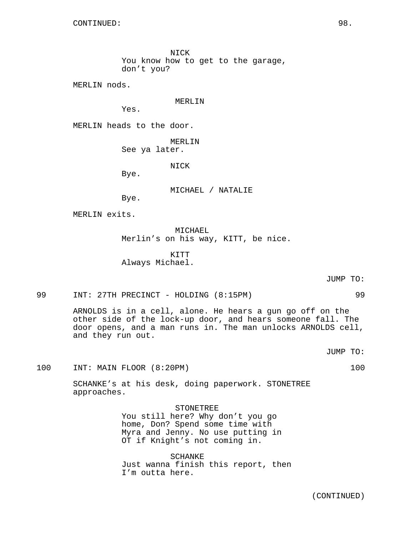NICK You know how to get to the garage, don't you?

MERLIN nods.

MERLIN

Yes.

MERLIN heads to the door.

MERLIN

See ya later.

NICK

Bye.

MICHAEL / NATALIE

Bye.

MERLIN exits.

MICHAEL Merlin's on his way, KITT, be nice.

KITT Always Michael.

JUMP TO:

99 INT: 27TH PRECINCT - HOLDING (8:15PM) 99

ARNOLDS is in a cell, alone. He hears a gun go off on the other side of the lock-up door, and hears someone fall. The door opens, and a man runs in. The man unlocks ARNOLDS cell, and they run out.

JUMP TO:

100 INT: MAIN FLOOR (8:20PM) 100

SCHANKE's at his desk, doing paperwork. STONETREE approaches.

STONETREE

You still here? Why don't you go home, Don? Spend some time with Myra and Jenny. No use putting in OT if Knight's not coming in.

SCHANKE Just wanna finish this report, then I'm outta here.

(CONTINUED)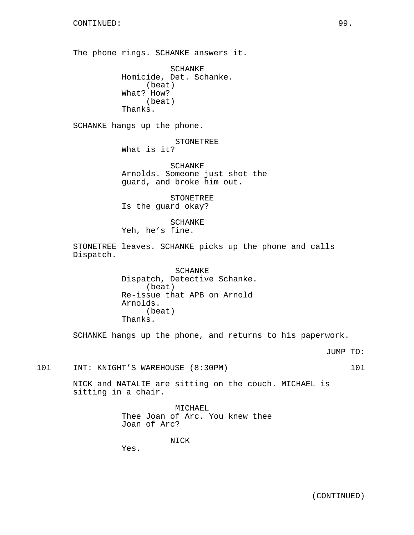The phone rings. SCHANKE answers it.

SCHANKE Homicide, Det. Schanke. (beat) What? How? (beat) Thanks.

SCHANKE hangs up the phone.

STONETREE

What is it?

SCHANKE Arnolds. Someone just shot the guard, and broke him out.

STONETREE Is the guard okay?

SCHANKE Yeh, he's fine.

STONETREE leaves. SCHANKE picks up the phone and calls Dispatch.

> SCHANKE Dispatch, Detective Schanke. (beat) Re-issue that APB on Arnold Arnolds. (beat) Thanks.

SCHANKE hangs up the phone, and returns to his paperwork.

JUMP TO:

101 INT: KNIGHT'S WAREHOUSE (8:30PM) 101

NICK and NATALIE are sitting on the couch. MICHAEL is sitting in a chair.

> MICHAEL Thee Joan of Arc. You knew thee Joan of Arc?

> > NICK

Yes.

(CONTINUED)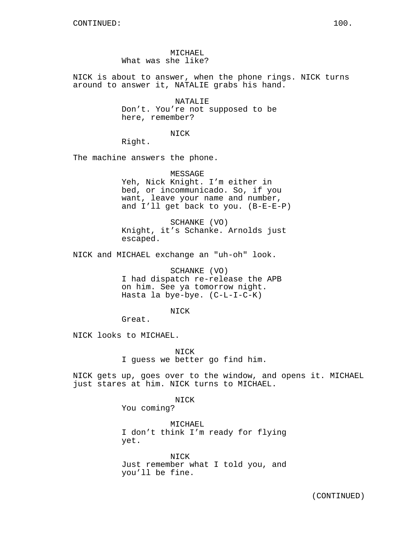MICHAEL What was she like?

NICK is about to answer, when the phone rings. NICK turns around to answer it, NATALIE grabs his hand.

> NATALIE Don't. You're not supposed to be here, remember?

> > NICK

Right.

The machine answers the phone.

MESSAGE Yeh, Nick Knight. I'm either in bed, or incommunicado. So, if you want, leave your name and number, and I'll get back to you. (B-E-E-P)

SCHANKE (VO) Knight, it's Schanke. Arnolds just escaped.

NICK and MICHAEL exchange an "uh-oh" look.

SCHANKE (VO) I had dispatch re-release the APB on him. See ya tomorrow night. Hasta la bye-bye. (C-L-I-C-K)

NICK

Great.

NICK looks to MICHAEL.

NICK I guess we better go find him.

NICK gets up, goes over to the window, and opens it. MICHAEL just stares at him. NICK turns to MICHAEL.

NICK

You coming?

MICHAEL I don't think I'm ready for flying yet.

NICK Just remember what I told you, and you'll be fine.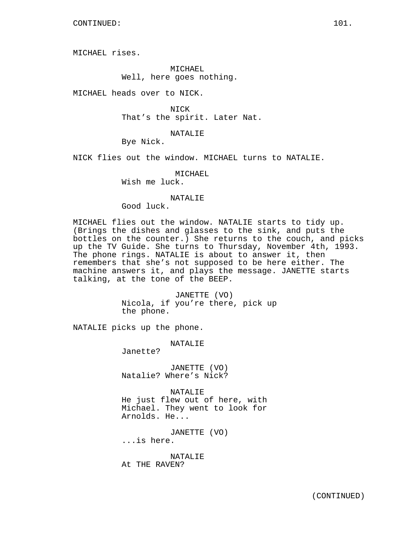MICHAEL rises.

MICHAEL Well, here goes nothing.

MICHAEL heads over to NICK.

NICK That's the spirit. Later Nat.

NATALIE

Bye Nick.

NICK flies out the window. MICHAEL turns to NATALIE.

MICHAEL

Wish me luck.

#### NATALIE

Good luck.

MICHAEL flies out the window. NATALIE starts to tidy up. (Brings the dishes and glasses to the sink, and puts the bottles on the counter.) She returns to the couch, and picks up the TV Guide. She turns to Thursday, November 4th, 1993. The phone rings. NATALIE is about to answer it, then remembers that she's not supposed to be here either. The machine answers it, and plays the message. JANETTE starts talking, at the tone of the BEEP.

> JANETTE (VO) Nicola, if you're there, pick up the phone.

NATALIE picks up the phone.

NATALIE

Janette?

JANETTE (VO) Natalie? Where's Nick?

NATALIE He just flew out of here, with Michael. They went to look for Arnolds. He...

JANETTE (VO)

...is here.

NATALIE At THE RAVEN?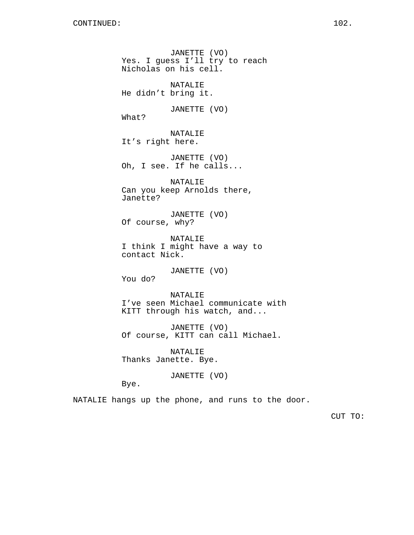JANETTE (VO) Yes. I guess I'll try to reach Nicholas on his cell. NATALIE He didn't bring it. JANETTE (VO) What? NATALIE It's right here. JANETTE (VO) Oh, I see. If he calls... NATALIE Can you keep Arnolds there, Janette? JANETTE (VO) Of course, why? NATALIE I think I might have a way to contact Nick. JANETTE (VO) You do? NATALIE I've seen Michael communicate with KITT through his watch, and... JANETTE (VO) Of course, KITT can call Michael. NATALIE Thanks Janette. Bye. JANETTE (VO)

Bye.

NATALIE hangs up the phone, and runs to the door.

CUT TO: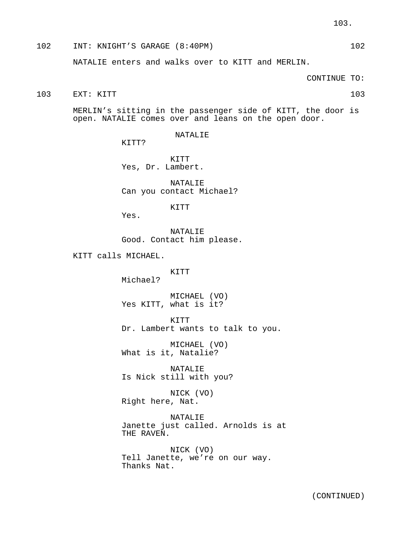# 102 INT: KNIGHT'S GARAGE (8:40PM) 102

NATALIE enters and walks over to KITT and MERLIN.

CONTINUE TO:

103 EXT: KITT 103

MERLIN's sitting in the passenger side of KITT, the door is open. NATALIE comes over and leans on the open door.

NATALIE

KTTT?

KITT Yes, Dr. Lambert.

NATALIE Can you contact Michael?

KITT

Yes.

NATALIE Good. Contact him please.

KITT calls MICHAEL.

KITT Michael?

MICHAEL (VO) Yes KITT, what is it?

KITT Dr. Lambert wants to talk to you.

MICHAEL (VO) What is it, Natalie?

NATALIE Is Nick still with you?

NICK (VO) Right here, Nat.

NATALIE Janette just called. Arnolds is at THE RAVEN.

NICK (VO) Tell Janette, we're on our way. Thanks Nat.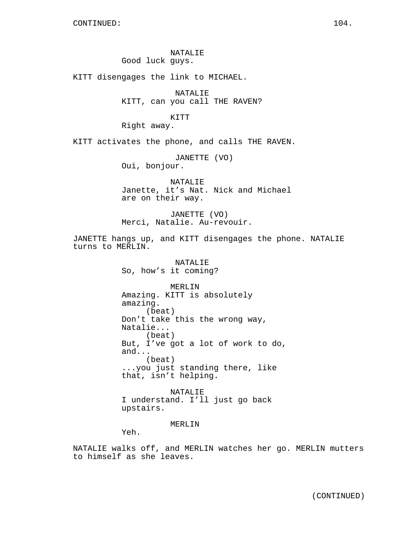NATALIE Good luck guys.

KITT disengages the link to MICHAEL.

NATALIE KITT, can you call THE RAVEN?

KITT

Right away.

KITT activates the phone, and calls THE RAVEN.

JANETTE (VO) Oui, bonjour.

NATALIE Janette, it's Nat. Nick and Michael are on their way.

JANETTE (VO) Merci, Natalie. Au-revouir.

JANETTE hangs up, and KITT disengages the phone. NATALIE turns to MERLIN.

> NATALIE So, how's it coming?

MERLIN Amazing. KITT is absolutely amazing. (beat) Don't take this the wrong way, Natalie... (beat) But, I've got a lot of work to do, and... (beat) ...you just standing there, like that, isn't helping.

NATALIE I understand. I'll just go back upstairs.

MERLIN

Yeh.

NATALIE walks off, and MERLIN watches her go. MERLIN mutters to himself as she leaves.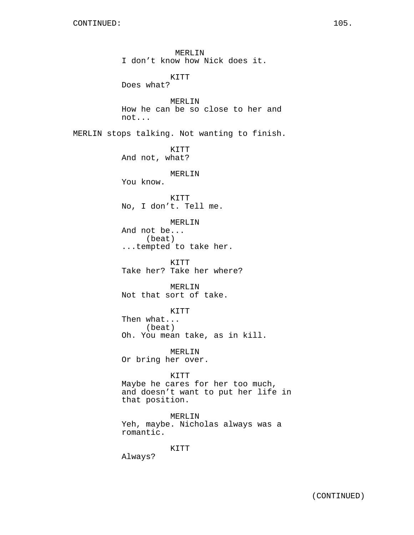MERLIN I don't know how Nick does it. KITT Does what? MERLIN How he can be so close to her and not... MERLIN stops talking. Not wanting to finish. KITT And not, what? MERLIN You know. KITT No, I don't. Tell me. MERLIN And not be... (beat) ...tempted to take her. KITT Take her? Take her where? MERLIN Not that sort of take. KITT Then what... (beat) Oh. You mean take, as in kill. MERLIN Or bring her over. KITT Maybe he cares for her too much, and doesn't want to put her life in that position. MERLIN Yeh, maybe. Nicholas always was a romantic. KITT

Always?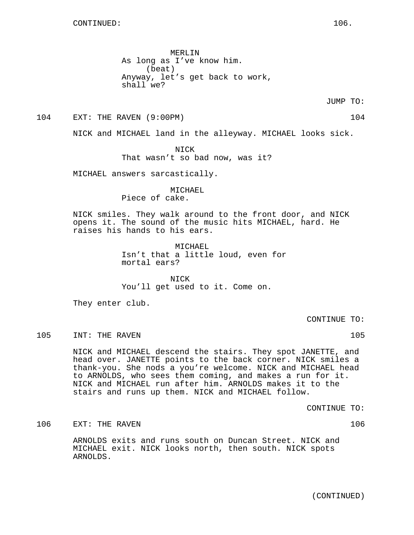MERLIN As long as I've know him. (beat) Anyway, let's get back to work, shall we?

JUMP TO:

104 EXT: THE RAVEN (9:00PM) 104

NICK and MICHAEL land in the alleyway. MICHAEL looks sick.

NICK That wasn't so bad now, was it?

MICHAEL answers sarcastically.

MICHAEL Piece of cake.

NICK smiles. They walk around to the front door, and NICK opens it. The sound of the music hits MICHAEL, hard. He raises his hands to his ears.

> MICHAEL Isn't that a little loud, even for mortal ears?

NICK You'll get used to it. Come on.

They enter club.

CONTINUE TO:

105 INT: THE RAVEN 105

NICK and MICHAEL descend the stairs. They spot JANETTE, and head over. JANETTE points to the back corner. NICK smiles a thank-you. She nods a you're welcome. NICK and MICHAEL head to ARNOLDS, who sees them coming, and makes a run for it. NICK and MICHAEL run after him. ARNOLDS makes it to the stairs and runs up them. NICK and MICHAEL follow.

CONTINUE TO:

106 EXT: THE RAVEN 106

ARNOLDS exits and runs south on Duncan Street. NICK and MICHAEL exit. NICK looks north, then south. NICK spots ARNOLDS.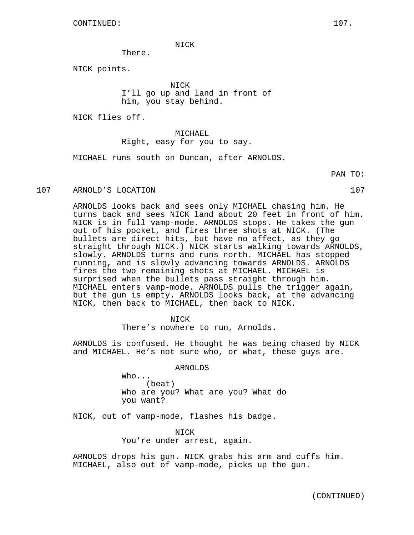NICK

There.

NICK points.

NICK I'll go up and land in front of him, you stay behind.

NICK flies off.

MICHAEL Right, easy for you to say.

MICHAEL runs south on Duncan, after ARNOLDS.

107 ARNOLD'S LOCATION 107

ARNOLDS looks back and sees only MICHAEL chasing him. He turns back and sees NICK land about 20 feet in front of him. NICK is in full vamp-mode. ARNOLDS stops. He takes the gun out of his pocket, and fires three shots at NICK. (The bullets are direct hits, but have no affect, as they go straight through NICK.) NICK starts walking towards ARNOLDS, slowly. ARNOLDS turns and runs north. MICHAEL has stopped running, and is slowly advancing towards ARNOLDS. ARNOLDS fires the two remaining shots at MICHAEL. MICHAEL is surprised when the bullets pass straight through him. MICHAEL enters vamp-mode. ARNOLDS pulls the trigger again, but the gun is empty. ARNOLDS looks back, at the advancing NICK, then back to MICHAEL, then back to NICK.

NICK

There's nowhere to run, Arnolds.

ARNOLDS is confused. He thought he was being chased by NICK and MICHAEL. He's not sure who, or what, these guys are.

ARNOLDS

Who... (beat) Who are you? What are you? What do you want?

NICK, out of vamp-mode, flashes his badge.

NICK You're under arrest, again.

ARNOLDS drops his gun. NICK grabs his arm and cuffs him. MICHAEL, also out of vamp-mode, picks up the gun.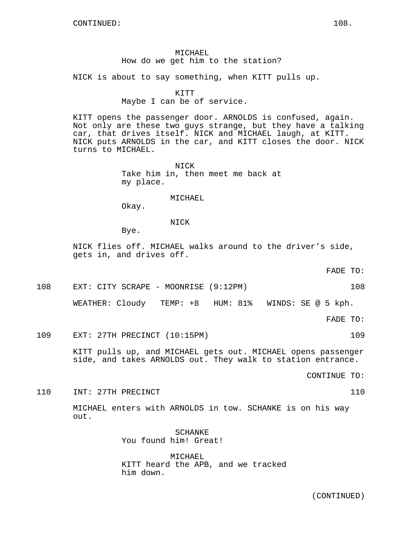# MICHAEL How do we get him to the station?

NICK is about to say something, when KITT pulls up.

#### KITT

#### Maybe I can be of service.

KITT opens the passenger door. ARNOLDS is confused, again. Not only are these two guys strange, but they have a talking car, that drives itself. NICK and MICHAEL laugh, at KITT. NICK puts ARNOLDS in the car, and KITT closes the door. NICK turns to MICHAEL.

> NICK Take him in, then meet me back at my place.

#### MICHAEL

Okay.

NICK

Bye.

NICK flies off. MICHAEL walks around to the driver's side, gets in, and drives off.

FADE TO:

108 EXT: CITY SCRAPE - MOONRISE (9:12PM) 108 WEATHER: Cloudy TEMP: +8 HUM: 81% WINDS: SE @ 5 kph.

FADE TO:

#### 109 EXT: 27TH PRECINCT (10:15PM) 109

KITT pulls up, and MICHAEL gets out. MICHAEL opens passenger side, and takes ARNOLDS out. They walk to station entrance.

CONTINUE TO:

110 INT: 27TH PRECINCT 110

MICHAEL enters with ARNOLDS in tow. SCHANKE is on his way out.

> SCHANKE You found him! Great!

MICHAEL KITT heard the APB, and we tracked him down.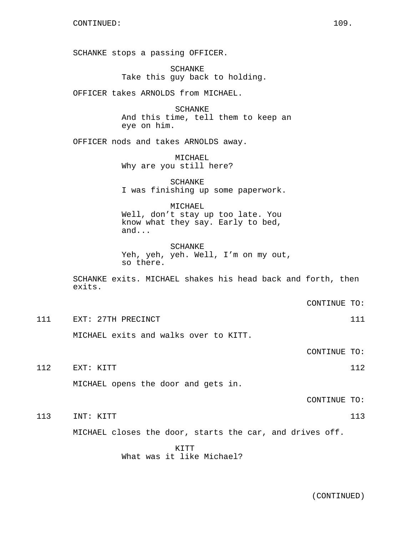SCHANKE stops a passing OFFICER.

SCHANKE Take this guy back to holding.

OFFICER takes ARNOLDS from MICHAEL.

**SCHANKE** And this time, tell them to keep an eye on him.

OFFICER nods and takes ARNOLDS away.

MICHAEL Why are you still here?

SCHANKE I was finishing up some paperwork.

MICHAEL Well, don't stay up too late. You know what they say. Early to bed, and...

SCHANKE Yeh, yeh, yeh. Well, I'm on my out, so there.

SCHANKE exits. MICHAEL shakes his head back and forth, then exits.

CONTINUE TO:

111 EXT: 27TH PRECINCT 2000 111

MICHAEL exits and walks over to KITT.

CONTINUE TO:

112 EXT: KITT 112 112

MICHAEL opens the door and gets in.

CONTINUE TO:

113 INT: KITT 113 113

MICHAEL closes the door, starts the car, and drives off.

KITT What was it like Michael?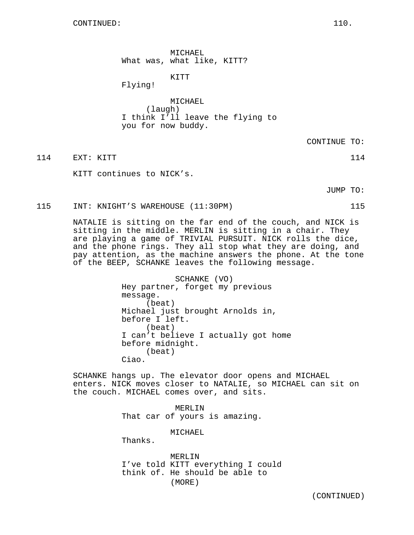MICHAEL What was, what like, KITT?

KITT

Flying!

MICHAEL (laugh) I think I'll leave the flying to you for now buddy.

CONTINUE TO:

114 EXT: KITT 114 EXT: 115

KITT continues to NICK's.

JUMP TO:

115 INT: KNIGHT'S WAREHOUSE (11:30PM) 115

NATALIE is sitting on the far end of the couch, and NICK is sitting in the middle. MERLIN is sitting in a chair. They are playing a game of TRIVIAL PURSUIT. NICK rolls the dice, and the phone rings. They all stop what they are doing, and pay attention, as the machine answers the phone. At the tone of the BEEP, SCHANKE leaves the following message.

> SCHANKE (VO) Hey partner, forget my previous message. (beat) Michael just brought Arnolds in, before I left. (beat) I can't believe I actually got home before midnight. (beat) Ciao.

SCHANKE hangs up. The elevator door opens and MICHAEL enters. NICK moves closer to NATALIE, so MICHAEL can sit on the couch. MICHAEL comes over, and sits.

> MERLIN That car of yours is amazing.

> > MICHAEL

Thanks.

MERLIN I've told KITT everything I could think of. He should be able to (MORE)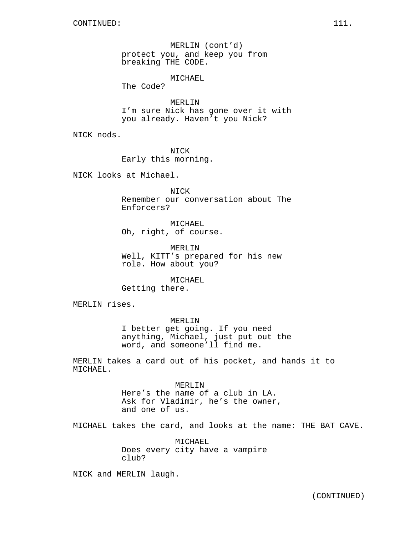MERLIN (cont'd) protect you, and keep you from breaking THE CODE.

MICHAEL

The Code?

MERLIN I'm sure Nick has gone over it with you already. Haven't you Nick?

NICK nods.

NICK Early this morning.

NICK looks at Michael.

NICK Remember our conversation about The Enforcers?

MICHAEL Oh, right, of course.

MERLIN Well, KITT's prepared for his new role. How about you?

MICHAEL Getting there.

MERLIN rises.

MERLIN I better get going. If you need anything, Michael, just put out the word, and someone'll find me.

MERLIN takes a card out of his pocket, and hands it to MICHAEL.

> MERLIN Here's the name of a club in LA. Ask for Vladimir, he's the owner, and one of us.

MICHAEL takes the card, and looks at the name: THE BAT CAVE.

MICHAEL Does every city have a vampire club?

NICK and MERLIN laugh.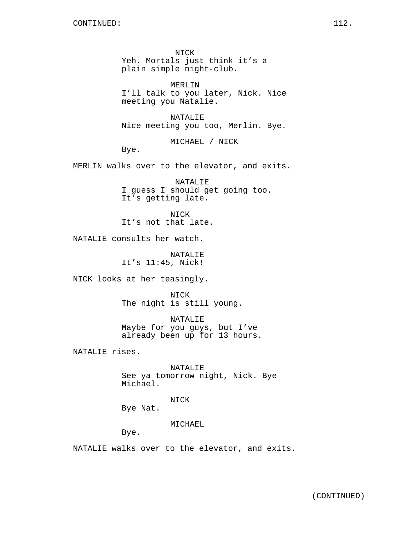NICK Yeh. Mortals just think it's a plain simple night-club.

MERLIN I'll talk to you later, Nick. Nice meeting you Natalie.

NATALIE Nice meeting you too, Merlin. Bye.

MICHAEL / NICK

Bye.

MERLIN walks over to the elevator, and exits.

NATALIE I guess I should get going too. It's getting late.

NICK It's not that late.

NATALIE consults her watch.

NATALIE It's 11:45, Nick!

NICK looks at her teasingly.

NICK The night is still young.

NATALIE Maybe for you guys, but I've already been up for 13 hours.

NATALIE rises.

NATALIE See ya tomorrow night, Nick. Bye Michael.

NICK

Bye Nat.

MICHAEL

Bye.

NATALIE walks over to the elevator, and exits.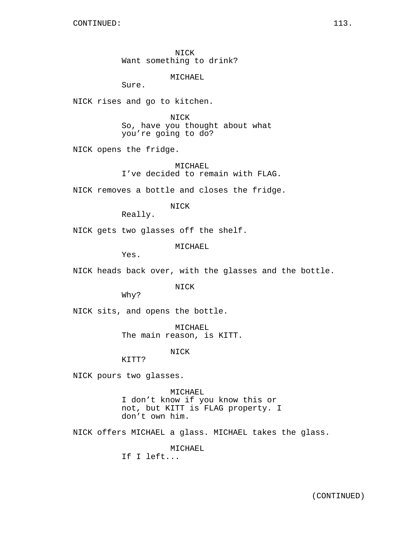NICK Want something to drink?

MICHAEL

Sure.

NICK rises and go to kitchen.

NICK So, have you thought about what you're going to do?

NICK opens the fridge.

MICHAEL I've decided to remain with FLAG.

NICK removes a bottle and closes the fridge.

NICK

Really.

NICK gets two glasses off the shelf.

MICHAEL

Yes.

NICK heads back over, with the glasses and the bottle.

NICK

Why?

NICK sits, and opens the bottle.

MICHAEL The main reason, is KITT.

NICK

KITT?

NICK pours two glasses.

MICHAEL I don't know if you know this or not, but KITT is FLAG property. I don't own him.

NICK offers MICHAEL a glass. MICHAEL takes the glass.

MICHAEL

If I left...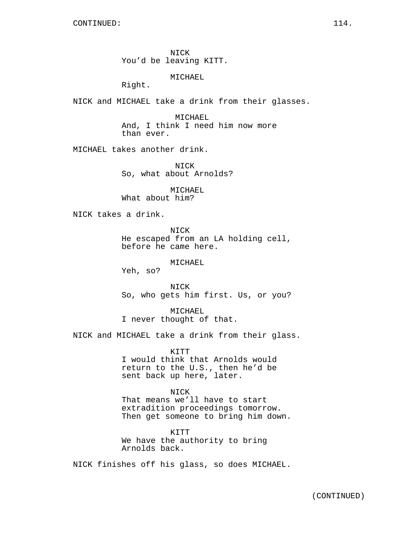NICK You'd be leaving KITT.

MICHAEL

Right.

NICK and MICHAEL take a drink from their glasses.

MICHAEL And, I think I need him now more than ever.

MICHAEL takes another drink.

NICK So, what about Arnolds?

MICHAEL What about him?

NICK takes a drink.

NICK He escaped from an LA holding cell, before he came here.

MICHAEL

Yeh, so?

NICK So, who gets him first. Us, or you?

MICHAEL I never thought of that.

NICK and MICHAEL take a drink from their glass.

KITT I would think that Arnolds would return to the U.S., then he'd be sent back up here, later.

NICK That means we'll have to start extradition proceedings tomorrow. Then get someone to bring him down.

KITT We have the authority to bring Arnolds back.

NICK finishes off his glass, so does MICHAEL.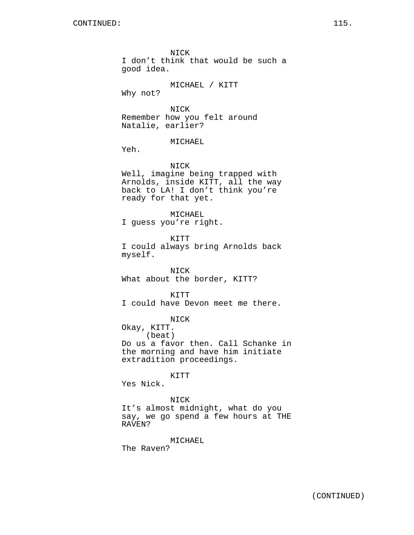NICK I don't think that would be such a good idea. MICHAEL / KITT Why not? NICK Remember how you felt around Natalie, earlier? MICHAEL Yeh. NICK Well, imagine being trapped with Arnolds, inside KITT, all the way back to LA! I don't think you're ready for that yet. MICHAEL I guess you're right. KITT I could always bring Arnolds back myself. NICK What about the border, KITT? **KTTT** I could have Devon meet me there. NICK Okay, KITT. (beat) Do us a favor then. Call Schanke in the morning and have him initiate extradition proceedings.

KITT

Yes Nick.

## NICK

It's almost midnight, what do you say, we go spend a few hours at THE RAVEN?

MICHAEL

The Raven?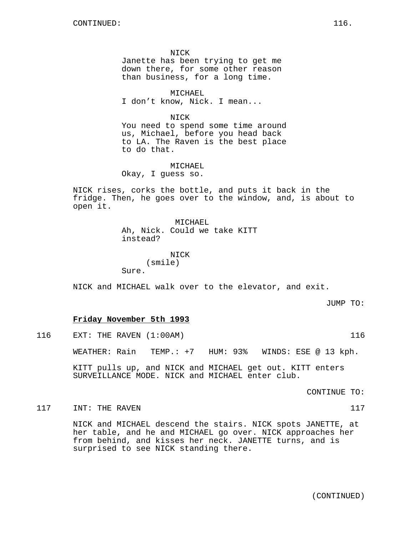NICK Janette has been trying to get me down there, for some other reason than business, for a long time.

MICHAEL I don't know, Nick. I mean...

NICK You need to spend some time around us, Michael, before you head back to LA. The Raven is the best place to do that.

MICHAEL Okay, I guess so.

NICK rises, corks the bottle, and puts it back in the fridge. Then, he goes over to the window, and, is about to open it.

> MICHAEL Ah, Nick. Could we take KITT instead?

NICK (smile) Sure.

NICK and MICHAEL walk over to the elevator, and exit.

JUMP TO:

## **Friday November 5th 1993**

116 EXT: THE RAVEN (1:00AM) 116

WEATHER: Rain TEMP.: +7 HUM: 93% WINDS: ESE @ 13 kph.

KITT pulls up, and NICK and MICHAEL get out. KITT enters SURVEILLANCE MODE. NICK and MICHAEL enter club.

CONTINUE TO:

117 INT: THE RAVEN 2007 12:20 12:20 12:20 12:20 12:20 12:20 12:20 12:20 12:20 12:20 12:20 12:20 12:20 12:20 12:20 12:20 12:20 12:20 12:20 12:20 12:20 12:20 12:20 12:20 12:20 12:20 12:20 12:20 12:20 12:20 12:20 12:20 12:20

NICK and MICHAEL descend the stairs. NICK spots JANETTE, at her table, and he and MICHAEL go over. NICK approaches her from behind, and kisses her neck. JANETTE turns, and is surprised to see NICK standing there.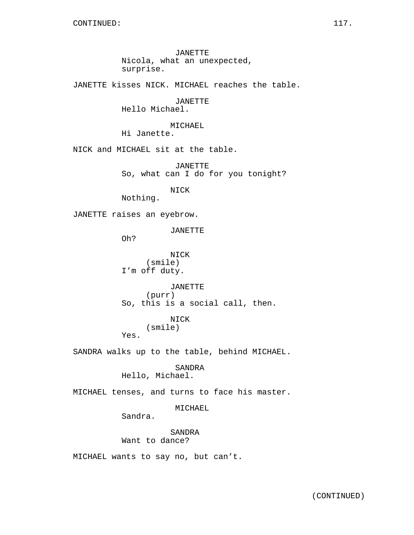JANETTE kisses NICK. MICHAEL reaches the table.

JANETTE Hello Michael.

MICHAEL

Hi Janette.

NICK and MICHAEL sit at the table.

JANETTE So, what can I do for you tonight?

NICK

Nothing.

JANETTE raises an eyebrow.

JANETTE

Oh?

Yes.

NICK (smile) I'm off duty.

JANETTE (purr) So, this is a social call, then.

# NICK

```
(smile)
```
SANDRA walks up to the table, behind MICHAEL.

SANDRA Hello, Michael.

MICHAEL tenses, and turns to face his master.

## MICHAEL

Sandra.

SANDRA Want to dance?

MICHAEL wants to say no, but can't.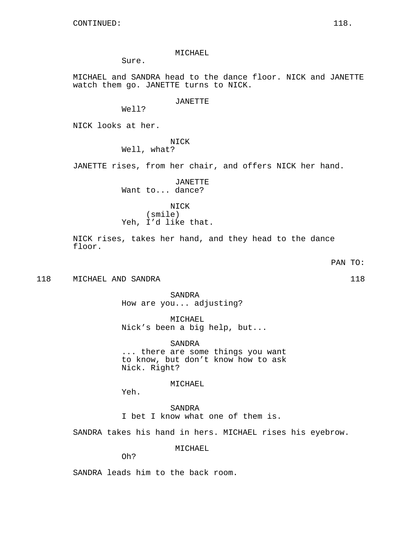MICHAEL

Sure.

MICHAEL and SANDRA head to the dance floor. NICK and JANETTE watch them go. JANETTE turns to NICK.

JANETTE

Well?

NICK looks at her.

NICK

Well, what?

JANETTE rises, from her chair, and offers NICK her hand.

JANETTE Want to... dance?

NICK (smile) Yeh, I'd like that.

NICK rises, takes her hand, and they head to the dance floor.

PAN TO:

118 MICHAEL AND SANDRA 118 (1899) 118

SANDRA How are you... adjusting?

MICHAEL Nick's been a big help, but...

SANDRA ... there are some things you want to know, but don't know how to ask Nick. Right?

MICHAEL

Yeh.

SANDRA I bet I know what one of them is.

SANDRA takes his hand in hers. MICHAEL rises his eyebrow.

MICHAEL

Oh?

SANDRA leads him to the back room.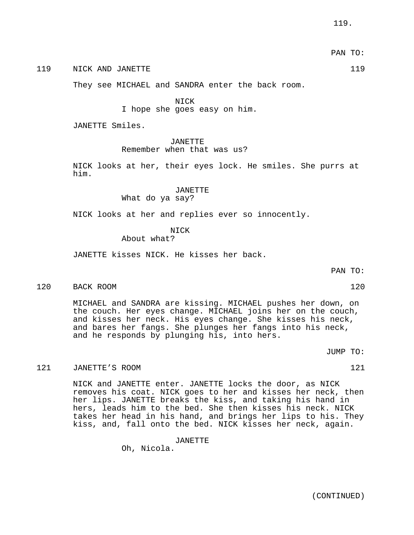## 119 NICK AND JANETTE 119 119

They see MICHAEL and SANDRA enter the back room.

NICK

I hope she goes easy on him.

JANETTE Smiles.

JANETTE

#### Remember when that was us?

NICK looks at her, their eyes lock. He smiles. She purrs at him.

## JANETTE What do ya say?

NICK looks at her and replies ever so innocently.

**NTCK** 

About what?

JANETTE kisses NICK. He kisses her back.

PAN TO:

#### 120 BACK ROOM 120 BACK ROOM 120

MICHAEL and SANDRA are kissing. MICHAEL pushes her down, on the couch. Her eyes change. MICHAEL joins her on the couch, and kisses her neck. His eyes change. She kisses his neck, and bares her fangs. She plunges her fangs into his neck, and he responds by plunging his, into hers.

JUMP TO:

## 121 JANETTE'S ROOM 121 121

NICK and JANETTE enter. JANETTE locks the door, as NICK removes his coat. NICK goes to her and kisses her neck, then her lips. JANETTE breaks the kiss, and taking his hand in hers, leads him to the bed. She then kisses his neck. NICK takes her head in his hand, and brings her lips to his. They kiss, and, fall onto the bed. NICK kisses her neck, again.

JANETTE

Oh, Nicola.

PAN TO: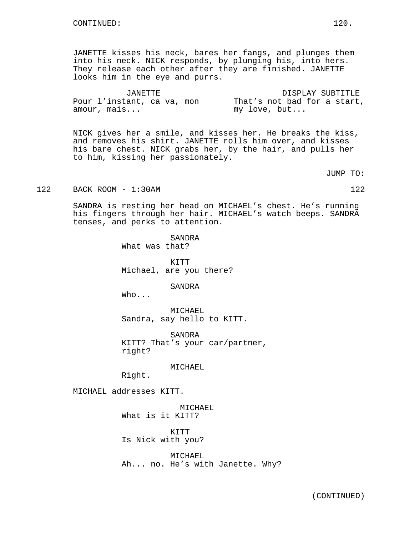JANETTE kisses his neck, bares her fangs, and plunges them into his neck. NICK responds, by plunging his, into hers. They release each other after they are finished. JANETTE looks him in the eye and purrs.

| JANETTE |  |                            |  |  |  | DISPLAY SUBTITLE |  |  |  |  |  |                             |
|---------|--|----------------------------|--|--|--|------------------|--|--|--|--|--|-----------------------------|
|         |  | Pour l'instant, ca va, mon |  |  |  |                  |  |  |  |  |  | That's not bad for a start, |
|         |  | amour, mais                |  |  |  | my love, but     |  |  |  |  |  |                             |

NICK gives her a smile, and kisses her. He breaks the kiss, and removes his shirt. JANETTE rolls him over, and kisses his bare chest. NICK grabs her, by the hair, and pulls her to him, kissing her passionately.

JUMP TO:

122 BACK ROOM - 1:30AM 122

SANDRA is resting her head on MICHAEL's chest. He's running his fingers through her hair. MICHAEL's watch beeps. SANDRA tenses, and perks to attention.

> SANDRA What was that?

KITT Michael, are you there?

SANDRA

Who...

MICHAEL Sandra, say hello to KITT.

SANDRA KITT? That's your car/partner, right?

MICHAEL

Right.

MICHAEL addresses KITT.

MICHAEL What is it KITT?

KITT Is Nick with you?

MICHAEL Ah... no. He's with Janette. Why?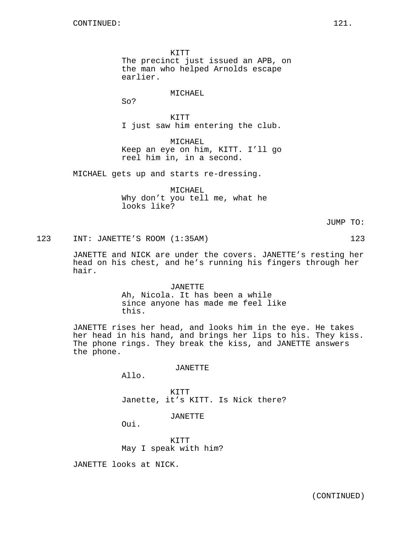KITT The precinct just issued an APB, on the man who helped Arnolds escape earlier.

MICHAEL

So?

KITT I just saw him entering the club.

MICHAEL Keep an eye on him, KITT. I'll go reel him in, in a second.

MICHAEL gets up and starts re-dressing.

MICHAEL Why don't you tell me, what he looks like?

JUMP TO:

123 INT: JANETTE'S ROOM (1:35AM) 123

JANETTE and NICK are under the covers. JANETTE's resting her head on his chest, and he's running his fingers through her hair.

> JANETTE Ah, Nicola. It has been a while since anyone has made me feel like this.

JANETTE rises her head, and looks him in the eye. He takes her head in his hand, and brings her lips to his. They kiss. The phone rings. They break the kiss, and JANETTE answers the phone.

JANETTE

Allo.

KITT Janette, it's KITT. Is Nick there?

JANETTE

Oui.

KITT May I speak with him?

JANETTE looks at NICK.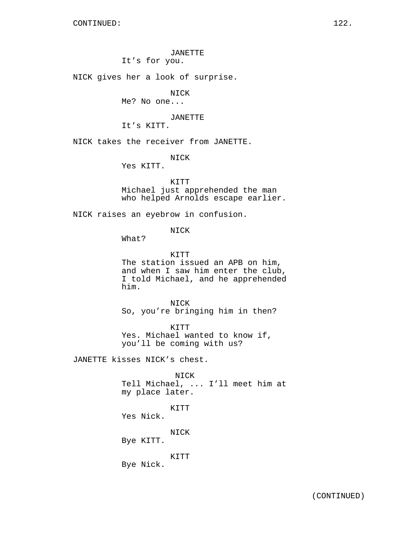JANETTE

It's for you.

NICK gives her a look of surprise.

NICK

Me? No one...

JANETTE

It's KITT.

NICK takes the receiver from JANETTE.

NICK

Yes KITT.

KITT Michael just apprehended the man who helped Arnolds escape earlier.

NICK raises an eyebrow in confusion.

NICK

What?

KITT The station issued an APB on him, and when I saw him enter the club, I told Michael, and he apprehended him.

NICK So, you're bringing him in then?

KITT Yes. Michael wanted to know if, you'll be coming with us?

JANETTE kisses NICK's chest.

NICK Tell Michael, ... I'll meet him at

my place later.

KITT

Yes Nick.

NICK

Bye KITT.

KITT

Bye Nick.

(CONTINUED)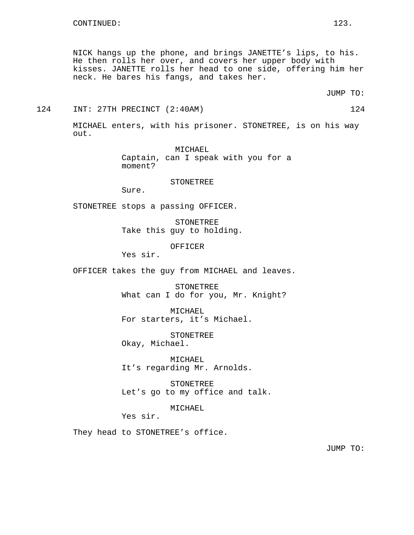NICK hangs up the phone, and brings JANETTE's lips, to his. He then rolls her over, and covers her upper body with kisses. JANETTE rolls her head to one side, offering him her neck. He bares his fangs, and takes her.

JUMP TO:

#### 124 INT: 27TH PRECINCT (2:40AM) 124

MICHAEL enters, with his prisoner. STONETREE, is on his way out.

> MICHAEL Captain, can I speak with you for a moment?

#### **STONETREE**

Sure.

STONETREE stops a passing OFFICER.

STONETREE Take this guy to holding.

OFFICER

Yes sir.

OFFICER takes the guy from MICHAEL and leaves.

STONETREE What can I do for you, Mr. Knight?

MICHAEL For starters, it's Michael.

STONETREE Okay, Michael.

MICHAEL It's regarding Mr. Arnolds.

STONETREE Let's go to my office and talk.

MICHAEL

Yes sir.

They head to STONETREE's office.

JUMP TO: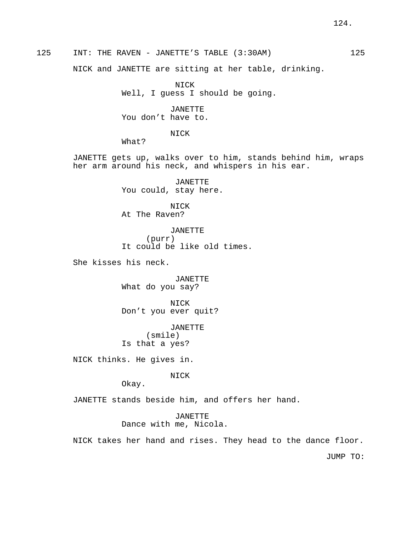# 125 INT: THE RAVEN - JANETTE'S TABLE (3:30AM) 125

NICK and JANETTE are sitting at her table, drinking.

NICK Well, I guess I should be going.

JANETTE You don't have to.

NICK

What?

JANETTE gets up, walks over to him, stands behind him, wraps her arm around his neck, and whispers in his ear.

> JANETTE You could, stay here.

NICK At The Raven?

JANETTE (purr) It could be like old times.

She kisses his neck.

JANETTE What do you say?

NICK Don't you ever quit?

JANETTE (smile) Is that a yes?

NICK thinks. He gives in.

NICK

Okay.

JANETTE stands beside him, and offers her hand.

JANETTE Dance with me, Nicola.

NICK takes her hand and rises. They head to the dance floor.

JUMP TO: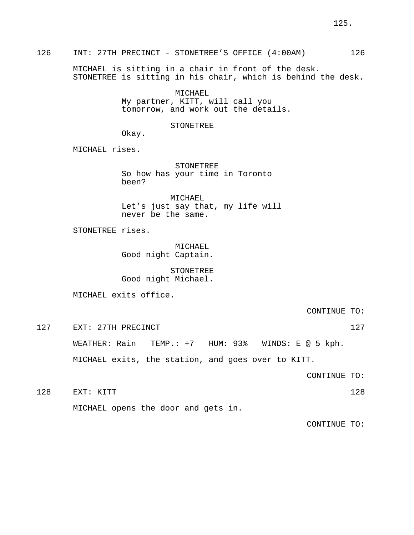# 126 INT: 27TH PRECINCT - STONETREE'S OFFICE (4:00AM) 126

MICHAEL is sitting in a chair in front of the desk. STONETREE is sitting in his chair, which is behind the desk.

> MICHAEL My partner, KITT, will call you tomorrow, and work out the details.

#### STONETREE

Okay.

MICHAEL rises.

**STONETREE** So how has your time in Toronto been?

MICHAEL Let's just say that, my life will never be the same.

STONETREE rises.

MICHAEL Good night Captain.

STONETREE Good night Michael.

MICHAEL exits office.

CONTINUE TO:

127 EXT: 27TH PRECINCT 127 27

WEATHER: Rain TEMP.: +7 HUM: 93% WINDS: E @ 5 kph.

MICHAEL exits, the station, and goes over to KITT.

CONTINUE TO:

128 EXT: KITT 128

MICHAEL opens the door and gets in.

CONTINUE TO: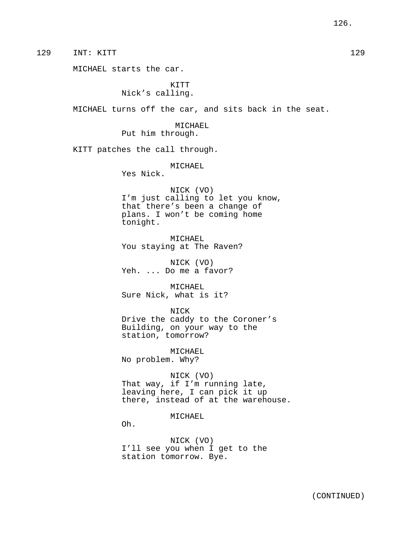129 INT: KITT 129

MICHAEL starts the car.

KITT Nick's calling.

MICHAEL turns off the car, and sits back in the seat.

MICHAEL Put him through.

KITT patches the call through.

MICHAEL

Yes Nick.

NICK (VO) I'm just calling to let you know, that there's been a change of plans. I won't be coming home tonight.

MICHAEL You staying at The Raven?

NICK (VO) Yeh. ... Do me a favor?

MICHAEL Sure Nick, what is it?

## NICK

Drive the caddy to the Coroner's Building, on your way to the station, tomorrow?

MICHAEL No problem. Why?

NICK (VO)

That way, if I'm running late, leaving here, I can pick it up there, instead of at the warehouse.

MICHAEL

Oh.

NICK (VO) I'll see you when I get to the station tomorrow. Bye.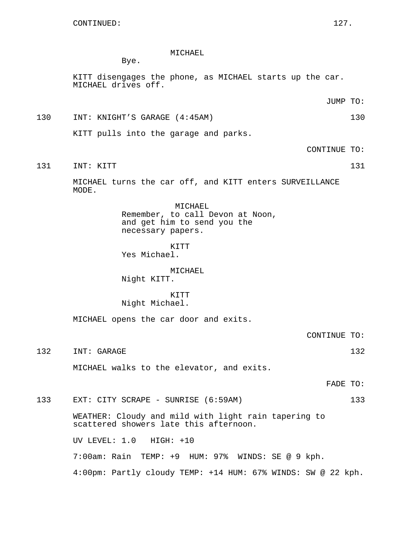## MICHAEL

Bye.

KITT disengages the phone, as MICHAEL starts up the car. MICHAEL drives off.

JUMP TO:

# 130 INT: KNIGHT'S GARAGE (4:45AM) 130

KITT pulls into the garage and parks.

CONTINUE TO:

131 INT: KITT 131

MICHAEL turns the car off, and KITT enters SURVEILLANCE MODE.

> MICHAEL Remember, to call Devon at Noon, and get him to send you the necessary papers.

KITT Yes Michael.

MICHAEL Night KITT.

## **KTTT** Night Michael.

MICHAEL opens the car door and exits.

CONTINUE TO:

132 INT: GARAGE 132 132

MICHAEL walks to the elevator, and exits.

FADE TO:

133 EXT: CITY SCRAPE - SUNRISE (6:59AM) 133

WEATHER: Cloudy and mild with light rain tapering to scattered showers late this afternoon.

UV LEVEL: 1.0 HIGH: +10

7:00am: Rain TEMP: +9 HUM: 97% WINDS: SE @ 9 kph.

4:00pm: Partly cloudy TEMP: +14 HUM: 67% WINDS: SW @ 22 kph.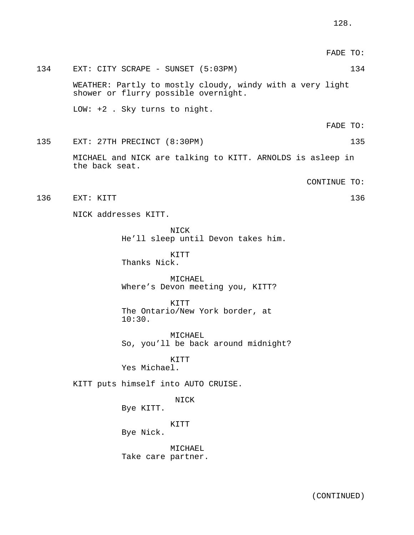|     |                                                                                                   | FADE TO:     |     |
|-----|---------------------------------------------------------------------------------------------------|--------------|-----|
| 134 | EXT: CITY SCRAPE - SUNSET (5:03PM)                                                                |              | 134 |
|     | WEATHER: Partly to mostly cloudy, windy with a very light<br>shower or flurry possible overnight. |              |     |
|     | LOW: $+2$ . Sky turns to night.                                                                   |              |     |
|     |                                                                                                   | FADE TO:     |     |
| 135 | EXT: 27TH PRECINCT (8:30PM)                                                                       |              | 135 |
|     | MICHAEL and NICK are talking to KITT. ARNOLDS is asleep in<br>the back seat.                      |              |     |
|     |                                                                                                   | CONTINUE TO: |     |
| 136 | EXT: KITT                                                                                         |              | 136 |
|     | NICK addresses KITT.                                                                              |              |     |
|     | NICK<br>He'll sleep until Devon takes him.                                                        |              |     |
|     | KITT<br>Thanks Nick.                                                                              |              |     |
|     | MICHAEL<br>Where's Devon meeting you, KITT?                                                       |              |     |
|     | KITT<br>The Ontario/New York border, at<br>10:30.                                                 |              |     |
|     | MICHAEL<br>So, you'll be back around midnight?                                                    |              |     |
|     | KITT<br>Yes Michael.                                                                              |              |     |
|     | KITT puts himself into AUTO CRUISE.                                                               |              |     |
|     | <b>NICK</b><br>Bye KITT.                                                                          |              |     |
|     | KITT<br>Bye Nick.                                                                                 |              |     |
|     | MICHAEL<br>Take care partner.                                                                     |              |     |
|     |                                                                                                   |              |     |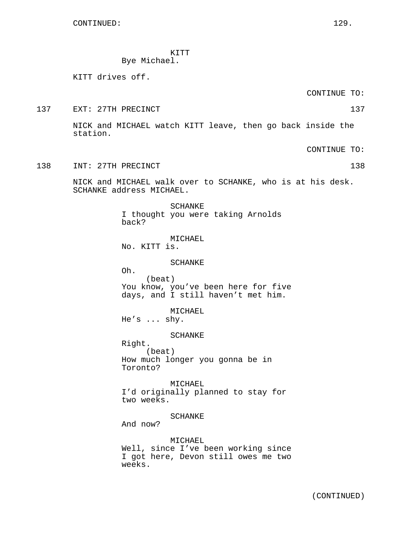KITT Bye Michael.

KITT drives off.

CONTINUE TO:

137 EXT: 27TH PRECINCT 137

NICK and MICHAEL watch KITT leave, then go back inside the station.

CONTINUE TO:

138 INT: 27TH PRECINCT 138

NICK and MICHAEL walk over to SCHANKE, who is at his desk. SCHANKE address MICHAEL.

SCHANKE

I thought you were taking Arnolds back? MICHAEL No. KITT is. SCHANKE Oh. (beat) You know, you've been here for five days, and I still haven't met him. MICHAEL He's ... shy. SCHANKE Right. (beat) How much longer you gonna be in Toronto? MICHAEL I'd originally planned to stay for two weeks. SCHANKE And now? MICHAEL Well, since I've been working since I got here, Devon still owes me two weeks.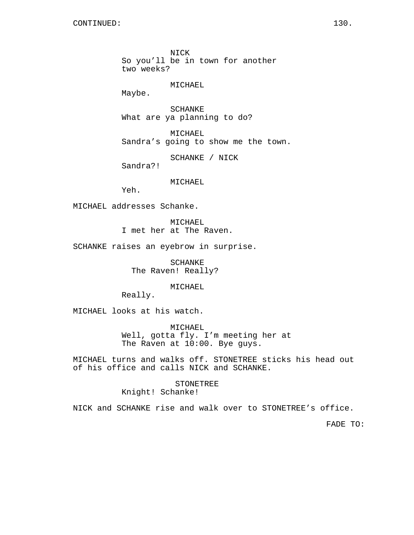NICK So you'll be in town for another two weeks?

MICHAEL

Maybe.

SCHANKE What are ya planning to do?

MICHAEL Sandra's going to show me the town.

SCHANKE / NICK

Sandra?!

# MICHAEL

Yeh.

MICHAEL addresses Schanke.

MICHAEL I met her at The Raven.

SCHANKE raises an eyebrow in surprise.

SCHANKE The Raven! Really?

MICHAEL

Really.

MICHAEL looks at his watch.

MICHAEL Well, gotta fly. I'm meeting her at The Raven at 10:00. Bye guys.

MICHAEL turns and walks off. STONETREE sticks his head out of his office and calls NICK and SCHANKE.

> STONETREE Knight! Schanke!

NICK and SCHANKE rise and walk over to STONETREE's office.

FADE TO: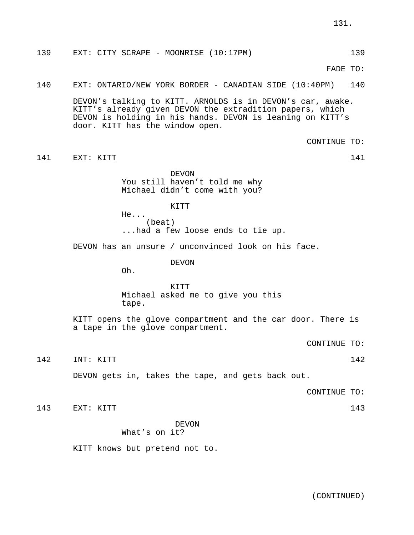139 EXT: CITY SCRAPE - MOONRISE (10:17PM) 139

FADE TO:

## 140 EXT: ONTARIO/NEW YORK BORDER - CANADIAN SIDE (10:40PM) 140

DEVON's talking to KITT. ARNOLDS is in DEVON's car, awake. KITT's already given DEVON the extradition papers, which DEVON is holding in his hands. DEVON is leaning on KITT's door. KITT has the window open.

CONTINUE TO:

141 EXT: KITT 141 EXT: 15

DEVON You still haven't told me why Michael didn't come with you?

**KTTT** 

He... (beat) ...had a few loose ends to tie up.

DEVON has an unsure / unconvinced look on his face.

DEVON

Oh.

KITT Michael asked me to give you this tape.

KITT opens the glove compartment and the car door. There is a tape in the glove compartment.

CONTINUE TO:

142 INT: KITT 142 142

DEVON gets in, takes the tape, and gets back out.

CONTINUE TO:

143 EXT: KITT 143

DEVON What's on it?

KITT knows but pretend not to.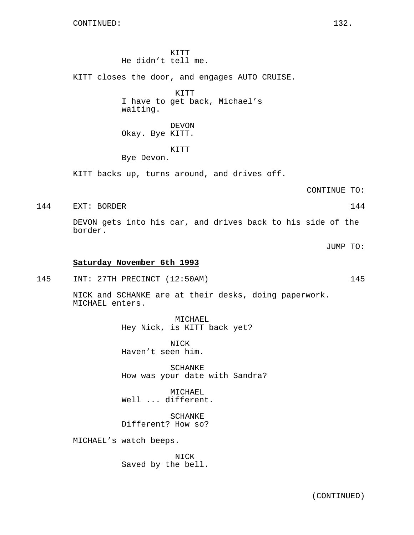KITT He didn't tell me.

KITT closes the door, and engages AUTO CRUISE.

KITT I have to get back, Michael's waiting.

DEVON Okay. Bye KITT.

KITT

Bye Devon.

KITT backs up, turns around, and drives off.

CONTINUE TO:

144 EXT: BORDER 144

DEVON gets into his car, and drives back to his side of the border.

JUMP TO:

#### **Saturday November 6th 1993**

145 INT: 27TH PRECINCT (12:50AM) 145

NICK and SCHANKE are at their desks, doing paperwork. MICHAEL enters.

> MICHAEL Hey Nick, is KITT back yet?

NICK Haven't seen him.

SCHANKE How was your date with Sandra?

MICHAEL Well ... different.

SCHANKE Different? How so?

MICHAEL's watch beeps.

NICK Saved by the bell.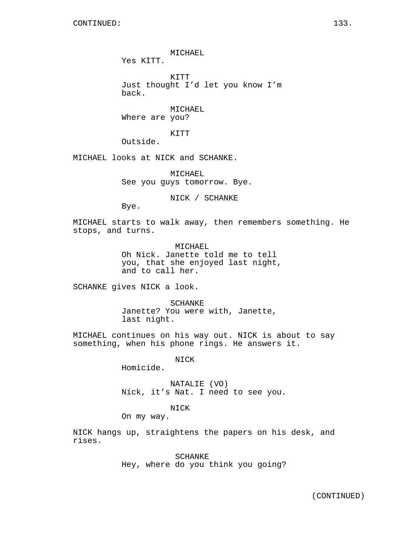MICHAEL

Yes KITT.

KITT Just thought I'd let you know I'm back.

MICHAEL Where are you?

KITT

Outside.

MICHAEL looks at NICK and SCHANKE.

MICHAEL See you guys tomorrow. Bye.

NICK / SCHANKE

Bye.

MICHAEL starts to walk away, then remembers something. He stops, and turns.

> MICHAEL Oh Nick. Janette told me to tell you, that she enjoyed last night, and to call her.

SCHANKE gives NICK a look.

SCHANKE Janette? You were with, Janette, last night.

MICHAEL continues on his way out. NICK is about to say something, when his phone rings. He answers it.

NICK

Homicide.

NATALIE (VO) Nick, it's Nat. I need to see you.

## NICK

On my way.

NICK hangs up, straightens the papers on his desk, and rises.

> SCHANKE Hey, where do you think you going?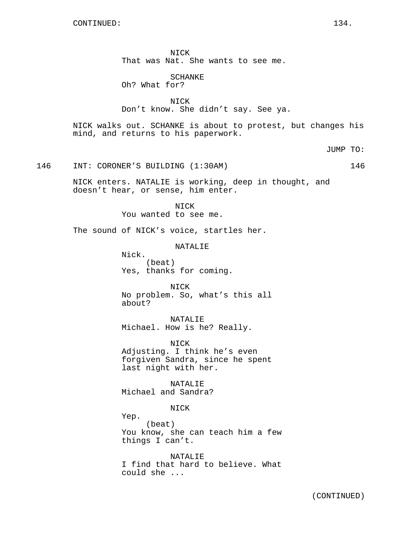NICK That was Nat. She wants to see me.

SCHANKE Oh? What for?

NICK Don't know. She didn't say. See ya.

NICK walks out. SCHANKE is about to protest, but changes his mind, and returns to his paperwork.

JUMP TO:

146 INT: CORONER'S BUILDING (1:30AM) 146

NICK enters. NATALIE is working, deep in thought, and doesn't hear, or sense, him enter.

> NICK You wanted to see me.

The sound of NICK's voice, startles her.

NATALIE

Nick. (beat) Yes, thanks for coming.

NICK No problem. So, what's this all about?

NATALIE Michael. How is he? Really.

NICK Adjusting. I think he's even forgiven Sandra, since he spent last night with her.

NATALIE Michael and Sandra?

NICK

Yep.

(beat) You know, she can teach him a few things I can't.

NATALIE I find that hard to believe. What could she ...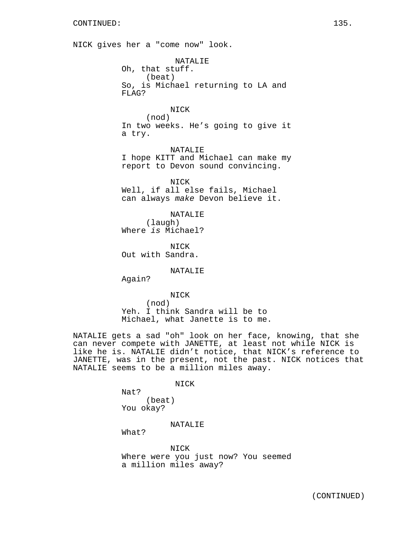NICK gives her a "come now" look. NATALIE Oh, that stuff. (beat) So, is Michael returning to LA and FLAG? NICK (nod) In two weeks. He's going to give it a try. NATALIE I hope KITT and Michael can make my report to Devon sound convincing. NICK Well, if all else fails, Michael can always make Devon believe it. NATALIE (laugh) Where is Michael? NICK Out with Sandra. NATALIE Again? NICK (nod) Yeh. I think Sandra will be to Michael, what Janette is to me. NATALIE gets a sad "oh" look on her face, knowing, that she can never compete with JANETTE, at least not while NICK is like he is. NATALIE didn't notice, that NICK's reference to JANETTE, was in the present, not the past. NICK notices that

NICK

NATALIE seems to be a million miles away.

Nat? (beat) You okay?

NATALIE

What?

NICK Where were you just now? You seemed a million miles away?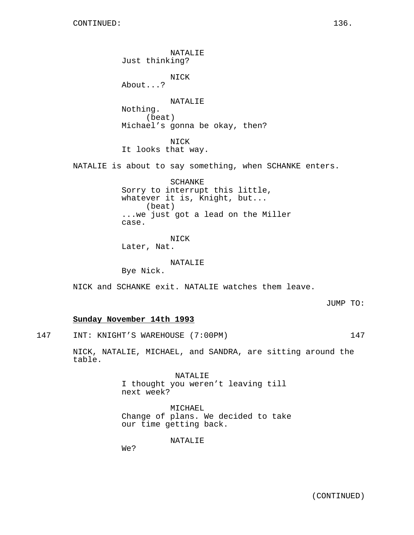NATALIE Just thinking? NICK About...? NATALIE Nothing. (beat) Michael's gonna be okay, then? NICK It looks that way. NATALIE is about to say something, when SCHANKE enters. SCHANKE Sorry to interrupt this little, whatever it is, Knight, but... (beat) ...we just got a lead on the Miller case. NICK Later, Nat. NATALIE Bye Nick. NICK and SCHANKE exit. NATALIE watches them leave.

JUMP TO:

## **Sunday November 14th 1993**

147 INT: KNIGHT'S WAREHOUSE (7:00PM) 147

NICK, NATALIE, MICHAEL, and SANDRA, are sitting around the table.

> NATALIE I thought you weren't leaving till next week?

MICHAEL Change of plans. We decided to take our time getting back.

NATALIE

We?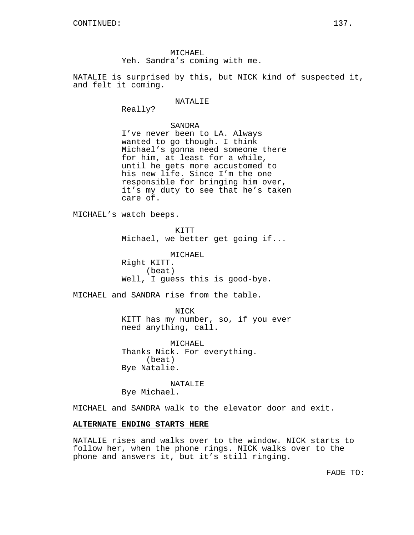MICHAEL Yeh. Sandra's coming with me.

NATALIE is surprised by this, but NICK kind of suspected it, and felt it coming.

### NATALIE

Really?

## SANDRA

I've never been to LA. Always wanted to go though. I think Michael's gonna need someone there for him, at least for a while, until he gets more accustomed to his new life. Since I'm the one responsible for bringing him over, it's my duty to see that he's taken care of.

MICHAEL's watch beeps.

KITT

Michael, we better get going if...

MICHAEL Right KITT. (beat) Well, I guess this is good-bye.

MICHAEL and SANDRA rise from the table.

NICK KITT has my number, so, if you ever need anything, call.

MICHAEL Thanks Nick. For everything. (beat) Bye Natalie.

NATALIE Bye Michael.

MICHAEL and SANDRA walk to the elevator door and exit.

## **ALTERNATE ENDING STARTS HERE**

NATALIE rises and walks over to the window. NICK starts to follow her, when the phone rings. NICK walks over to the phone and answers it, but it's still ringing.

FADE TO: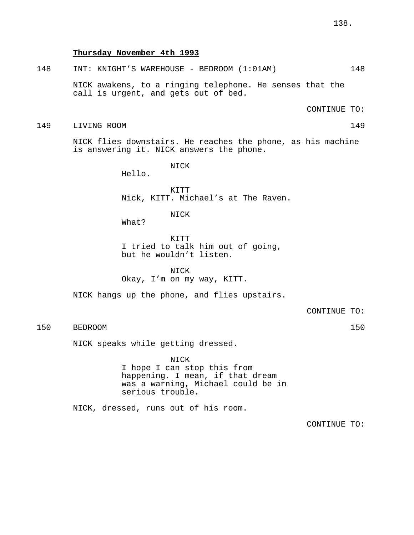## **Thursday November 4th 1993**

## 148 INT: KNIGHT'S WAREHOUSE - BEDROOM (1:01AM) 148

NICK awakens, to a ringing telephone. He senses that the call is urgent, and gets out of bed.

CONTINUE TO:

149 LIVING ROOM 149

NICK flies downstairs. He reaches the phone, as his machine is answering it. NICK answers the phone.

NICK

Hello.

KITT Nick, KITT. Michael's at The Raven.

NICK

What?

KITT I tried to talk him out of going, but he wouldn't listen.

NICK Okay, I'm on my way, KITT.

NICK hangs up the phone, and flies upstairs.

CONTINUE TO:

# 150 BEDROOM 150

NICK speaks while getting dressed.

NICK I hope I can stop this from happening. I mean, if that dream was a warning, Michael could be in serious trouble.

NICK, dressed, runs out of his room.

CONTINUE TO: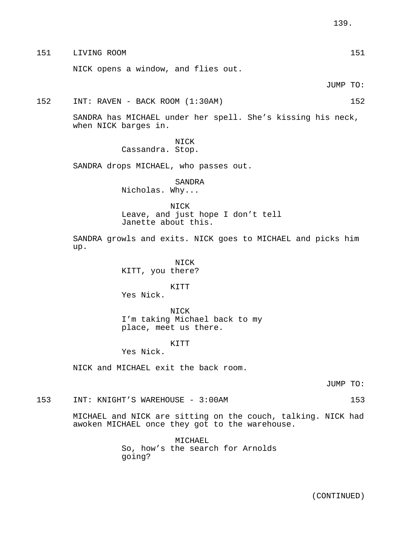151 LIVING ROOM 151

NICK opens a window, and flies out.

JUMP TO:

# 152 INT: RAVEN - BACK ROOM (1:30AM) 152

SANDRA has MICHAEL under her spell. She's kissing his neck, when NICK barges in.

> NICK Cassandra. Stop.

SANDRA drops MICHAEL, who passes out.

SANDRA Nicholas. Why...

NICK Leave, and just hope I don't tell Janette about this.

SANDRA growls and exits. NICK goes to MICHAEL and picks him up.

> NICK KITT, you there?

KITT Yes Nick.

NICK I'm taking Michael back to my place, meet us there.

KITT

Yes Nick.

NICK and MICHAEL exit the back room.

JUMP TO:

153 INT: KNIGHT'S WAREHOUSE - 3:00AM 153

MICHAEL and NICK are sitting on the couch, talking. NICK had awoken MICHAEL once they got to the warehouse.

> MICHAEL So, how's the search for Arnolds going?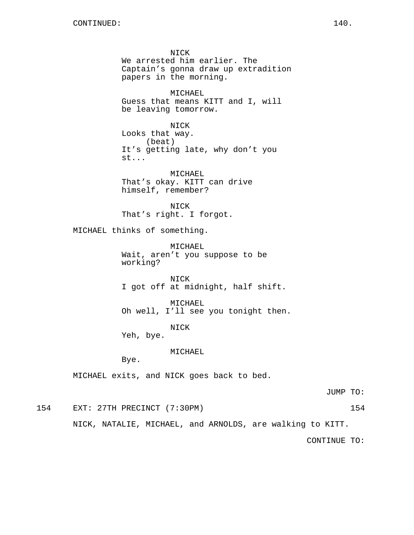NICK We arrested him earlier. The Captain's gonna draw up extradition papers in the morning. MICHAEL Guess that means KITT and I, will be leaving tomorrow. NICK Looks that way. (beat) It's getting late, why don't you st... MICHAEL That's okay. KITT can drive himself, remember? NICK That's right. I forgot. MICHAEL thinks of something. MICHAEL Wait, aren't you suppose to be working? NICK I got off at midnight, half shift. MICHAEL Oh well, I'll see you tonight then. NICK Yeh, bye. MICHAEL Bye. MICHAEL exits, and NICK goes back to bed.

JUMP TO:

154 EXT: 27TH PRECINCT (7:30PM) 154

NICK, NATALIE, MICHAEL, and ARNOLDS, are walking to KITT.

CONTINUE TO: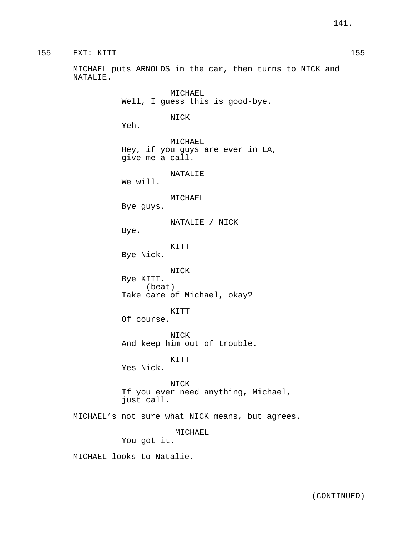MICHAEL puts ARNOLDS in the car, then turns to NICK and NATALIE.

MICHAEL Well, I guess this is good-bye. NICK Yeh. MICHAEL Hey, if you guys are ever in LA, give me a call. NATALIE We will. MICHAEL Bye guys. NATALIE / NICK Bye. KITT Bye Nick. NICK Bye KITT. (beat) Take care of Michael, okay? KITT Of course. NICK And keep him out of trouble. KITT Yes Nick. NICK If you ever need anything, Michael, just call. MICHAEL's not sure what NICK means, but agrees. MICHAEL You got it.

MICHAEL looks to Natalie.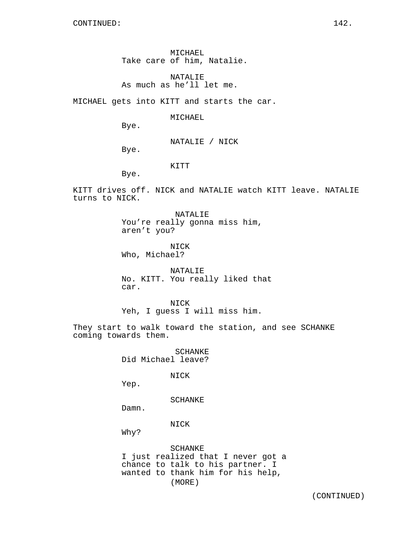MICHAEL Take care of him, Natalie.

NATALIE As much as he'll let me.

MICHAEL gets into KITT and starts the car.

MICHAEL

Bye.

NATALIE / NICK

Bye.

KITT

Bye.

KITT drives off. NICK and NATALIE watch KITT leave. NATALIE turns to NICK.

> NATALIE You're really gonna miss him, aren't you?

NICK Who, Michael?

NATALIE No. KITT. You really liked that car.

NICK Yeh, I guess I will miss him.

They start to walk toward the station, and see SCHANKE coming towards them.

> SCHANKE Did Michael leave?

> > NICK

Yep.

SCHANKE

Damn.

NICK

Why?

SCHANKE I just realized that I never got a chance to talk to his partner. I wanted to thank him for his help, (MORE)